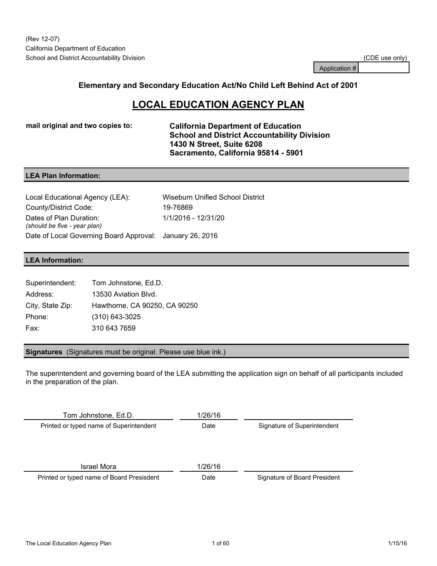Application #

### **Elementary and Secondary Education Act/No Child Left Behind Act of 2001**

# **LOCAL EDUCATION AGENCY PLAN**

**mail original and two copies to: California Department of Education School and District Accountability Division 1430 N Street, Suite 6208 Sacramento, California 95814 - 5901**

### **LEA Plan Information:**

Local Educational Agency (LEA): Wiseburn Unified School District County/District Code: 19-76869 Dates of Plan Duration: *(should be five - year plan)* 1/1/2016 - 12/31/20 Date of Local Governing Board Approval: January 26, 2016

### **LEA Information:**

| Superintendent:  | Tom Johnstone, Ed.D.          |
|------------------|-------------------------------|
| Address:         | 13530 Aviation Blyd.          |
| City, State Zip: | Hawthorne, CA 90250, CA 90250 |
| Phone:           | $(310)$ 643-3025              |
| Fax:             | 310 643 7659                  |

**Signatures** (Signatures must be original. Please use blue ink.)

The superintendent and governing board of the LEA submitting the application sign on behalf of all participants included in the preparation of the plan.

Tom Johnstone, Ed.D. **1/26/16** Printed or typed name of Superintendent Date Date Signature of Superintendent **Israel Mora** 1/26/16 Printed or typed name of Board Presisdent **Date** Date Signature of Board President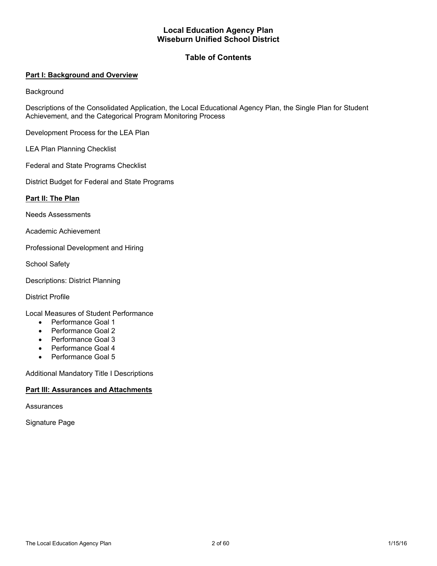### **Local Education Agency Plan Wiseburn Unified School District**

### **Table of Contents**

### **Part I: Background and Overview**

**Background** 

Descriptions of the Consolidated Application, the Local Educational Agency Plan, the Single Plan for Student Achievement, and the Categorical Program Monitoring Process

Development Process for the LEA Plan

LEA Plan Planning Checklist

Federal and State Programs Checklist

District Budget for Federal and State Programs

#### **Part II: The Plan**

Needs Assessments

Academic Achievement

Professional Development and Hiring

School Safety

Descriptions: District Planning

District Profile

Local Measures of Student Performance

- Performance Goal 1
- Performance Goal 2
- Performance Goal 3
- Performance Goal 4
- Performance Goal 5

Additional Mandatory Title I Descriptions

### **Part III: Assurances and Attachments**

**Assurances** 

Signature Page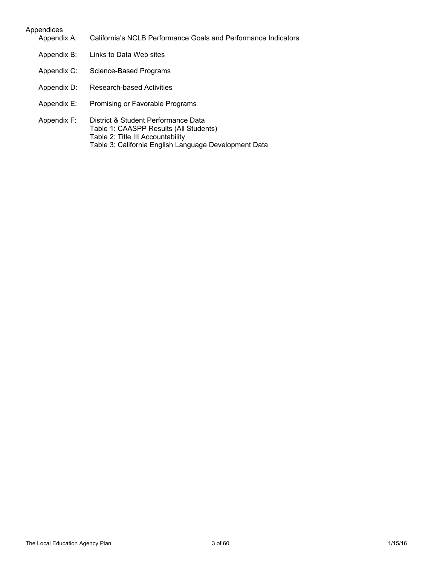# Appendices Appendix A: California's NCLB Performance Goals and Performance Indicators Appendix B: Links to Data Web sites Appendix C: Science-Based Programs Appendix D: Research-based Activities Appendix E: Promising or Favorable Programs Appendix F: District & Student Performance Data Table 1: CAASPP Results (All Students) Table 2: Title III Accountability Table 3: California English Language Development Data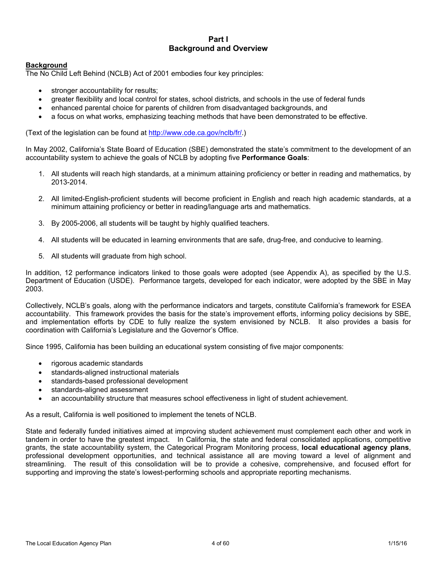### **Part I Background and Overview**

### **Background**

The No Child Left Behind (NCLB) Act of 2001 embodies four key principles:

- stronger accountability for results;
- greater flexibility and local control for states, school districts, and schools in the use of federal funds
- enhanced parental choice for parents of children from disadvantaged backgrounds, and
- a focus on what works, emphasizing teaching methods that have been demonstrated to be effective.

(Text of the legislation can be found at [http://www.cde.ca.gov/nclb/fr/.](http://www.cde.ca.gov/nclb/fr/))

In May 2002, California's State Board of Education (SBE) demonstrated the state's commitment to the development of an accountability system to achieve the goals of NCLB by adopting five **Performance Goals**:

- 1. All students will reach high standards, at a minimum attaining proficiency or better in reading and mathematics, by 2013-2014.
- 2. All limited-English-proficient students will become proficient in English and reach high academic standards, at a minimum attaining proficiency or better in reading/language arts and mathematics.
- 3. By 2005-2006, all students will be taught by highly qualified teachers.
- 4. All students will be educated in learning environments that are safe, drug-free, and conducive to learning.
- 5. All students will graduate from high school.

In addition, 12 performance indicators linked to those goals were adopted (see Appendix A), as specified by the U.S. Department of Education (USDE). Performance targets, developed for each indicator, were adopted by the SBE in May 2003.

Collectively, NCLB's goals, along with the performance indicators and targets, constitute California's framework for ESEA accountability. This framework provides the basis for the state's improvement efforts, informing policy decisions by SBE, and implementation efforts by CDE to fully realize the system envisioned by NCLB. It also provides a basis for coordination with California's Legislature and the Governor's Office.

Since 1995, California has been building an educational system consisting of five major components:

- rigorous academic standards
- standards-aligned instructional materials
- standards-based professional development
- standards-aligned assessment
- an accountability structure that measures school effectiveness in light of student achievement.

As a result, California is well positioned to implement the tenets of NCLB.

State and federally funded initiatives aimed at improving student achievement must complement each other and work in tandem in order to have the greatest impact. In California, the state and federal consolidated applications, competitive grants, the state accountability system, the Categorical Program Monitoring process, **local educational agency plans**, professional development opportunities, and technical assistance all are moving toward a level of alignment and streamlining. The result of this consolidation will be to provide a cohesive, comprehensive, and focused effort for supporting and improving the state's lowest-performing schools and appropriate reporting mechanisms.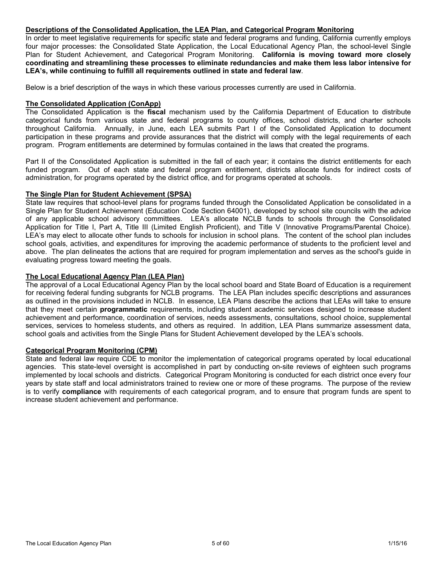#### **Descriptions of the Consolidated Application, the LEA Plan, and Categorical Program Monitoring**

In order to meet legislative requirements for specific state and federal programs and funding, California currently employs four major processes: the Consolidated State Application, the Local Educational Agency Plan, the school-level Single Plan for Student Achievement, and Categorical Program Monitoring. **California is moving toward more closely coordinating and streamlining these processes to eliminate redundancies and make them less labor intensive for LEA's, while continuing to fulfill all requirements outlined in state and federal law**.

Below is a brief description of the ways in which these various processes currently are used in California.

### **The Consolidated Application (ConApp)**

The Consolidated Application is the **fiscal** mechanism used by the California Department of Education to distribute categorical funds from various state and federal programs to county offices, school districts, and charter schools throughout California. Annually, in June, each LEA submits Part I of the Consolidated Application to document participation in these programs and provide assurances that the district will comply with the legal requirements of each program. Program entitlements are determined by formulas contained in the laws that created the programs.

Part II of the Consolidated Application is submitted in the fall of each year; it contains the district entitlements for each funded program. Out of each state and federal program entitlement, districts allocate funds for indirect costs of administration, for programs operated by the district office, and for programs operated at schools.

### **The Single Plan for Student Achievement (SPSA)**

State law requires that school-level plans for programs funded through the Consolidated Application be consolidated in a Single Plan for Student Achievement (Education Code Section 64001), developed by school site councils with the advice of any applicable school advisory committees. LEA's allocate NCLB funds to schools through the Consolidated Application for Title I, Part A, Title III (Limited English Proficient), and Title V (Innovative Programs/Parental Choice). LEA's may elect to allocate other funds to schools for inclusion in school plans. The content of the school plan includes school goals, activities, and expenditures for improving the academic performance of students to the proficient level and above. The plan delineates the actions that are required for program implementation and serves as the school's guide in evaluating progress toward meeting the goals.

### **The Local Educational Agency Plan (LEA Plan)**

The approval of a Local Educational Agency Plan by the local school board and State Board of Education is a requirement for receiving federal funding subgrants for NCLB programs. The LEA Plan includes specific descriptions and assurances as outlined in the provisions included in NCLB. In essence, LEA Plans describe the actions that LEAs will take to ensure that they meet certain **programmatic** requirements, including student academic services designed to increase student achievement and performance, coordination of services, needs assessments, consultations, school choice, supplemental services, services to homeless students, and others as required. In addition, LEA Plans summarize assessment data, school goals and activities from the Single Plans for Student Achievement developed by the LEA's schools.

### **Categorical Program Monitoring (CPM)**

State and federal law require CDE to monitor the implementation of categorical programs operated by local educational agencies. This state-level oversight is accomplished in part by conducting on-site reviews of eighteen such programs implemented by local schools and districts. Categorical Program Monitoring is conducted for each district once every four years by state staff and local administrators trained to review one or more of these programs. The purpose of the review is to verify **compliance** with requirements of each categorical program, and to ensure that program funds are spent to increase student achievement and performance.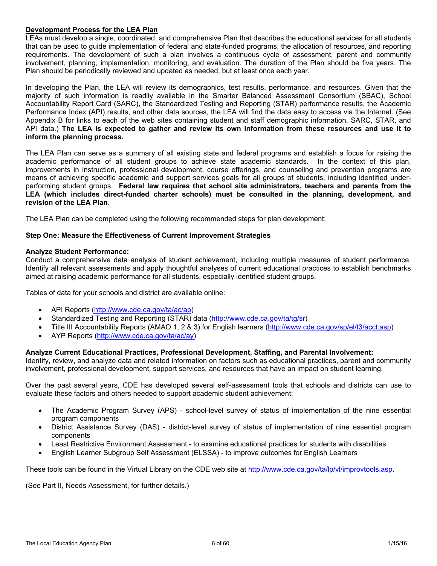### **Development Process for the LEA Plan**

LEAs must develop a single, coordinated, and comprehensive Plan that describes the educational services for all students that can be used to guide implementation of federal and state-funded programs, the allocation of resources, and reporting requirements. The development of such a plan involves a continuous cycle of assessment, parent and community involvement, planning, implementation, monitoring, and evaluation. The duration of the Plan should be five years. The Plan should be periodically reviewed and updated as needed, but at least once each year.

In developing the Plan, the LEA will review its demographics, test results, performance, and resources. Given that the majority of such information is readily available in the Smarter Balanced Assessment Consortium (SBAC), School Accountability Report Card (SARC), the Standardized Testing and Reporting (STAR) performance results, the Academic Performance Index (API) results, and other data sources, the LEA will find the data easy to access via the Internet. (See Appendix B for links to each of the web sites containing student and staff demographic information, SARC, STAR, and API data.) The LEA is expected to gather and review its own information from these resources and use it to **inform the planning process.**

The LEA Plan can serve as a summary of all existing state and federal programs and establish a focus for raising the academic performance of all student groups to achieve state academic standards. In the context of this plan, improvements in instruction, professional development, course offerings, and counseling and prevention programs are means of achieving specific academic and support services goals for all groups of students, including identified underperforming student groups. **Federal law requires that school site administrators, teachers and parents from the LEA (which includes direct-funded charter schools) must be consulted in the planning, development, and revision of the LEA Plan**.

The LEA Plan can be completed using the following recommended steps for plan development:

### **Step One: Measure the Effectiveness of Current Improvement Strategies**

### **Analyze Student Performance:**

Conduct a comprehensive data analysis of student achievement, including multiple measures of student performance. Identify all relevant assessments and apply thoughtful analyses of current educational practices to establish benchmarks aimed at raising academic performance for all students, especially identified student groups.

Tables of data for your schools and district are available online:

- API Reports (http://www.cde.ca.gov/ta/ac/ap)
- Standardized Testing and Reporting (STAR) data (http://www.cde.ca.gov/ta/tg/sr)
- Title III Accountability Reports (AMAO 1, 2 & 3) for English learners (http://www.cde.ca.gov/sp/el/t3/acct.asp)
- AYP Reports (http://www.cde.ca.gov/ta/ac/ay)

### **Analyze Current Educational Practices, Professional Development, Staffing, and Parental Involvement:**

Identify, review, and analyze data and related information on factors such as educational practices, parent and community involvement, professional development, support services, and resources that have an impact on student learning.

Over the past several years, CDE has developed several self-assessment tools that schools and districts can use to evaluate these factors and others needed to support academic student achievement:

- The Academic Program Survey (APS) school-level survey of status of implementation of the nine essential program components
- District Assistance Survey (DAS) district-level survey of status of implementation of nine essential program components
- Least Restrictive Environment Assessment to examine educational practices for students with disabilities
- English Learner Subgroup Self Assessment (ELSSA) to improve outcomes for English Learners

These tools can be found in the Virtual Library on the CDE web site at http://www.cde.ca.gov/ta/lp/vl/improvtools.asp.

(See Part II, Needs Assessment, for further details.)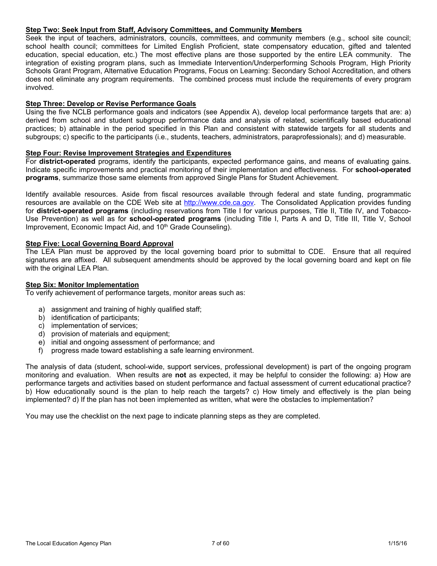### **Step Two: Seek Input from Staff, Advisory Committees, and Community Members**

Seek the input of teachers, administrators, councils, committees, and community members (e.g., school site council; school health council; committees for Limited English Proficient, state compensatory education, gifted and talented education, special education, etc.) The most effective plans are those supported by the entire LEA community. The integration of existing program plans, such as Immediate Intervention/Underperforming Schools Program, High Priority Schools Grant Program, Alternative Education Programs, Focus on Learning: Secondary School Accreditation, and others does not eliminate any program requirements. The combined process must include the requirements of every program involved.

### **Step Three: Develop or Revise Performance Goals**

Using the five NCLB performance goals and indicators (see Appendix A), develop local performance targets that are: a) derived from school and student subgroup performance data and analysis of related, scientifically based educational practices; b) attainable in the period specified in this Plan and consistent with statewide targets for all students and subgroups; c) specific to the participants (i.e., students, teachers, administrators, paraprofessionals); and d) measurable.

### **Step Four: Revise Improvement Strategies and Expenditures**

For **district-operated** programs, identify the participants, expected performance gains, and means of evaluating gains. Indicate specific improvements and practical monitoring of their implementation and effectiveness. For **school-operated programs**, summarize those same elements from approved Single Plans for Student Achievement.

Identify available resources. Aside from fiscal resources available through federal and state funding, programmatic resources are available on the CDE Web site at [http://www.cde.ca.gov.](http://www.cde.ca.gov/) The Consolidated Application provides funding for **district-operated programs** (including reservations from Title I for various purposes, Title II, Title IV, and Tobacco-Use Prevention) as well as for **school-operated programs** (including Title I, Parts A and D, Title III, Title V, School Improvement, Economic Impact Aid, and 10<sup>th</sup> Grade Counseling).

#### **Step Five: Local Governing Board Approval**

The LEA Plan must be approved by the local governing board prior to submittal to CDE. Ensure that all required signatures are affixed. All subsequent amendments should be approved by the local governing board and kept on file with the original LEA Plan.

#### **Step Six: Monitor Implementation**

To verify achievement of performance targets, monitor areas such as:

- a) assignment and training of highly qualified staff;
- b) identification of participants;
- c) implementation of services;
- d) provision of materials and equipment;
- e) initial and ongoing assessment of performance; and
- f) progress made toward establishing a safe learning environment.

The analysis of data (student, school-wide, support services, professional development) is part of the ongoing program monitoring and evaluation. When results are **not** as expected, it may be helpful to consider the following: a) How are performance targets and activities based on student performance and factual assessment of current educational practice? b) How educationally sound is the plan to help reach the targets? c) How timely and effectively is the plan being implemented? d) If the plan has not been implemented as written, what were the obstacles to implementation?

You may use the checklist on the next page to indicate planning steps as they are completed.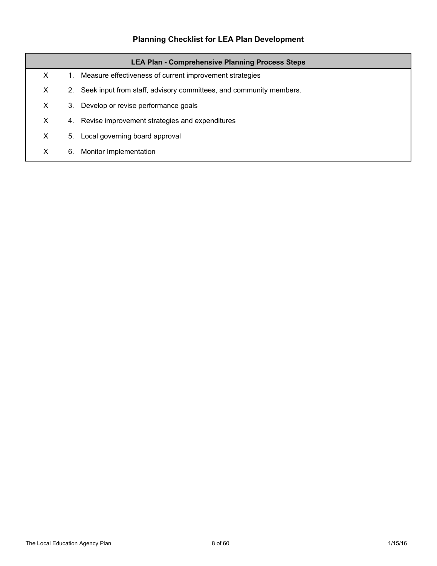# **Planning Checklist for LEA Plan Development**

| <b>LEA Plan - Comprehensive Planning Process Steps</b> |    |                                                                    |  |  |  |
|--------------------------------------------------------|----|--------------------------------------------------------------------|--|--|--|
| X                                                      | 1. | Measure effectiveness of current improvement strategies            |  |  |  |
| X.                                                     | 2. | Seek input from staff, advisory committees, and community members. |  |  |  |
| X.                                                     | 3. | Develop or revise performance goals                                |  |  |  |
| X.                                                     | 4. | Revise improvement strategies and expenditures                     |  |  |  |
| X                                                      | 5. | Local governing board approval                                     |  |  |  |
| X                                                      | 6. | Monitor Implementation                                             |  |  |  |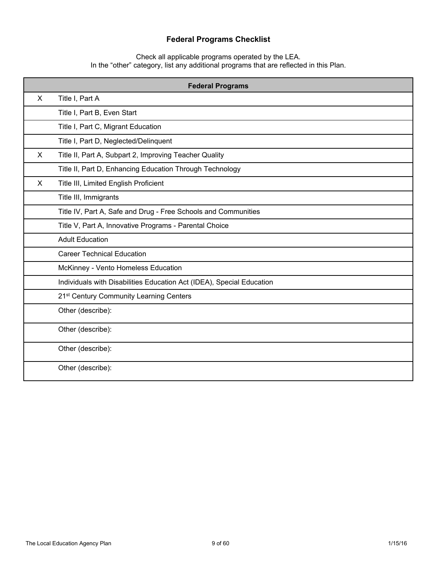## **Federal Programs Checklist**

Check all applicable programs operated by the LEA. In the "other" category, list any additional programs that are reflected in this Plan.

|                                     | <b>Federal Programs</b>                                               |  |  |  |
|-------------------------------------|-----------------------------------------------------------------------|--|--|--|
| X                                   | Title I, Part A                                                       |  |  |  |
|                                     | Title I, Part B, Even Start                                           |  |  |  |
|                                     | Title I, Part C, Migrant Education                                    |  |  |  |
|                                     | Title I, Part D, Neglected/Delinquent                                 |  |  |  |
| X                                   | Title II, Part A, Subpart 2, Improving Teacher Quality                |  |  |  |
|                                     | Title II, Part D, Enhancing Education Through Technology              |  |  |  |
| X                                   | Title III, Limited English Proficient                                 |  |  |  |
|                                     | Title III, Immigrants                                                 |  |  |  |
|                                     | Title IV, Part A, Safe and Drug - Free Schools and Communities        |  |  |  |
|                                     | Title V, Part A, Innovative Programs - Parental Choice                |  |  |  |
|                                     | <b>Adult Education</b>                                                |  |  |  |
|                                     | <b>Career Technical Education</b>                                     |  |  |  |
| McKinney - Vento Homeless Education |                                                                       |  |  |  |
|                                     | Individuals with Disabilities Education Act (IDEA), Special Education |  |  |  |
|                                     | 21 <sup>st</sup> Century Community Learning Centers                   |  |  |  |
|                                     | Other (describe):                                                     |  |  |  |
|                                     | Other (describe):                                                     |  |  |  |
|                                     | Other (describe):                                                     |  |  |  |
|                                     | Other (describe):                                                     |  |  |  |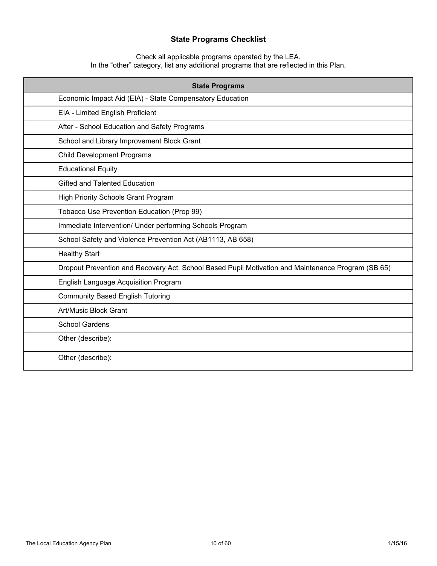## **State Programs Checklist**

Check all applicable programs operated by the LEA. In the "other" category, list any additional programs that are reflected in this Plan.

| <b>State Programs</b>                                                                              |  |  |  |  |
|----------------------------------------------------------------------------------------------------|--|--|--|--|
| Economic Impact Aid (EIA) - State Compensatory Education                                           |  |  |  |  |
| EIA - Limited English Proficient                                                                   |  |  |  |  |
| After - School Education and Safety Programs                                                       |  |  |  |  |
| School and Library Improvement Block Grant                                                         |  |  |  |  |
| <b>Child Development Programs</b>                                                                  |  |  |  |  |
| <b>Educational Equity</b>                                                                          |  |  |  |  |
| Gifted and Talented Education                                                                      |  |  |  |  |
| High Priority Schools Grant Program                                                                |  |  |  |  |
| Tobacco Use Prevention Education (Prop 99)                                                         |  |  |  |  |
| Immediate Intervention/ Under performing Schools Program                                           |  |  |  |  |
| School Safety and Violence Prevention Act (AB1113, AB 658)                                         |  |  |  |  |
| <b>Healthy Start</b>                                                                               |  |  |  |  |
| Dropout Prevention and Recovery Act: School Based Pupil Motivation and Maintenance Program (SB 65) |  |  |  |  |
| English Language Acquisition Program                                                               |  |  |  |  |
| <b>Community Based English Tutoring</b>                                                            |  |  |  |  |
| Art/Music Block Grant                                                                              |  |  |  |  |
| <b>School Gardens</b>                                                                              |  |  |  |  |
| Other (describe):                                                                                  |  |  |  |  |
| Other (describe):                                                                                  |  |  |  |  |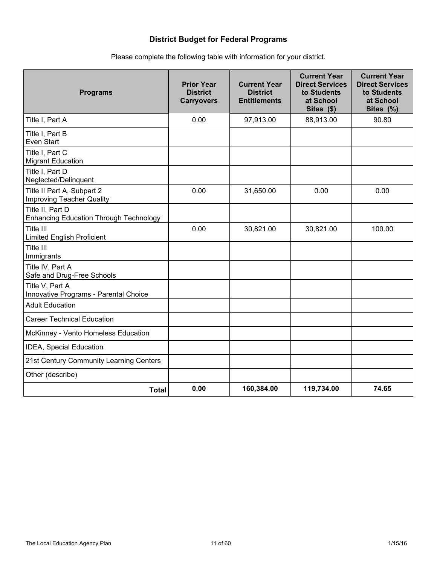## **District Budget for Federal Programs**

| <b>Programs</b>                                                   | <b>Prior Year</b><br><b>District</b><br><b>Carryovers</b> | <b>Current Year</b><br><b>District</b><br><b>Entitlements</b> | <b>Current Year</b><br><b>Direct Services</b><br>to Students<br>at School<br>Sites (\$) | <b>Current Year</b><br><b>Direct Services</b><br>to Students<br>at School<br>Sites (%) |
|-------------------------------------------------------------------|-----------------------------------------------------------|---------------------------------------------------------------|-----------------------------------------------------------------------------------------|----------------------------------------------------------------------------------------|
| Title I, Part A                                                   | 0.00                                                      | 97,913.00                                                     | 88,913.00                                                                               | 90.80                                                                                  |
| Title I, Part B<br>Even Start                                     |                                                           |                                                               |                                                                                         |                                                                                        |
| Title I, Part C<br><b>Migrant Education</b>                       |                                                           |                                                               |                                                                                         |                                                                                        |
| Title I, Part D<br>Neglected/Delinquent                           |                                                           |                                                               |                                                                                         |                                                                                        |
| Title II Part A, Subpart 2<br><b>Improving Teacher Quality</b>    | 0.00                                                      | 31,650.00                                                     | 0.00                                                                                    | 0.00                                                                                   |
| Title II, Part D<br><b>Enhancing Education Through Technology</b> |                                                           |                                                               |                                                                                         |                                                                                        |
| Title III<br><b>Limited English Proficient</b>                    | 0.00                                                      | 30,821.00                                                     | 30,821.00                                                                               | 100.00                                                                                 |
| Title III<br>Immigrants                                           |                                                           |                                                               |                                                                                         |                                                                                        |
| Title IV, Part A<br>Safe and Drug-Free Schools                    |                                                           |                                                               |                                                                                         |                                                                                        |
| Title V, Part A<br>Innovative Programs - Parental Choice          |                                                           |                                                               |                                                                                         |                                                                                        |
| <b>Adult Education</b>                                            |                                                           |                                                               |                                                                                         |                                                                                        |
| <b>Career Technical Education</b>                                 |                                                           |                                                               |                                                                                         |                                                                                        |
| McKinney - Vento Homeless Education                               |                                                           |                                                               |                                                                                         |                                                                                        |
| <b>IDEA, Special Education</b>                                    |                                                           |                                                               |                                                                                         |                                                                                        |
| 21st Century Community Learning Centers                           |                                                           |                                                               |                                                                                         |                                                                                        |
| Other (describe)                                                  |                                                           |                                                               |                                                                                         |                                                                                        |
| <b>Total</b>                                                      | 0.00                                                      | 160,384.00                                                    | 119,734.00                                                                              | 74.65                                                                                  |

Please complete the following table with information for your district.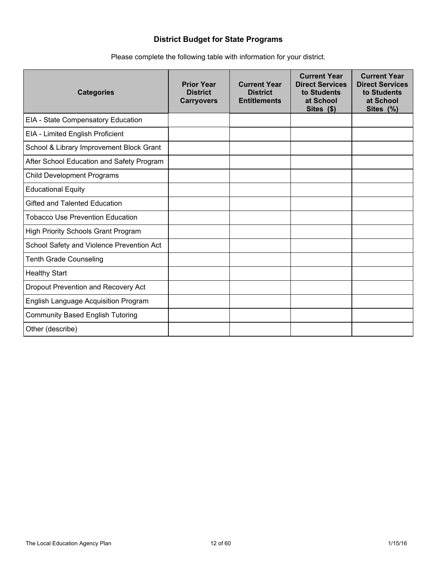## **District Budget for State Programs**

| <b>Categories</b>                          | <b>Prior Year</b><br><b>District</b><br><b>Carryovers</b> | <b>Current Year</b><br><b>District</b><br><b>Entitlements</b> | <b>Current Year</b><br><b>Direct Services</b><br>to Students<br>at School<br>Sites (\$) | <b>Current Year</b><br><b>Direct Services</b><br>to Students<br>at School<br>Sites (%) |
|--------------------------------------------|-----------------------------------------------------------|---------------------------------------------------------------|-----------------------------------------------------------------------------------------|----------------------------------------------------------------------------------------|
| EIA - State Compensatory Education         |                                                           |                                                               |                                                                                         |                                                                                        |
| EIA - Limited English Proficient           |                                                           |                                                               |                                                                                         |                                                                                        |
| School & Library Improvement Block Grant   |                                                           |                                                               |                                                                                         |                                                                                        |
| After School Education and Safety Program  |                                                           |                                                               |                                                                                         |                                                                                        |
| <b>Child Development Programs</b>          |                                                           |                                                               |                                                                                         |                                                                                        |
| <b>Educational Equity</b>                  |                                                           |                                                               |                                                                                         |                                                                                        |
| Gifted and Talented Education              |                                                           |                                                               |                                                                                         |                                                                                        |
| Tobacco Use Prevention Education           |                                                           |                                                               |                                                                                         |                                                                                        |
| <b>High Priority Schools Grant Program</b> |                                                           |                                                               |                                                                                         |                                                                                        |
| School Safety and Violence Prevention Act  |                                                           |                                                               |                                                                                         |                                                                                        |
| Tenth Grade Counseling                     |                                                           |                                                               |                                                                                         |                                                                                        |
| <b>Healthy Start</b>                       |                                                           |                                                               |                                                                                         |                                                                                        |
| Dropout Prevention and Recovery Act        |                                                           |                                                               |                                                                                         |                                                                                        |
| English Language Acquisition Program       |                                                           |                                                               |                                                                                         |                                                                                        |
| <b>Community Based English Tutoring</b>    |                                                           |                                                               |                                                                                         |                                                                                        |
| Other (describe)                           |                                                           |                                                               |                                                                                         |                                                                                        |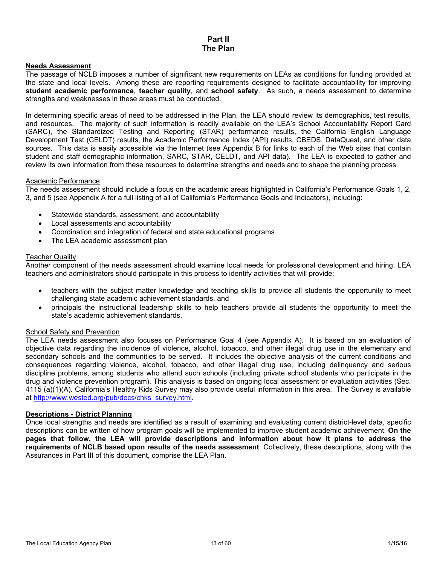### **Part II The Plan**

#### **Needs Assessment**

The passage of NCLB imposes a number of significant new requirements on LEAs as conditions for funding provided at the state and local levels. Among these are reporting requirements designed to facilitate accountability for improving **student academic performance**, **teacher quality**, and **school safety**. As such, a needs assessment to determine strengths and weaknesses in these areas must be conducted.

In determining specific areas of need to be addressed in the Plan, the LEA should review its demographics, test results, and resources. The majority of such information is readily available on the LEA's School Accountability Report Card (SARC), the Standardized Testing and Reporting (STAR) performance results, the California English Language Development Test (CELDT) results, the Academic Performance Index (API) results, CBEDS, DataQuest, and other data sources. This data is easily accessible via the Internet (see Appendix B for links to each of the Web sites that contain student and staff demographic information, SARC, STAR, CELDT, and API data). The LEA is expected to gather and review its own information from these resources to determine strengths and needs and to shape the planning process.

#### Academic Performance

The needs assessment should include a focus on the academic areas highlighted in California's Performance Goals 1, 2, 3, and 5 (see Appendix A for a full listing of all of California's Performance Goals and Indicators), including:

- Statewide standards, assessment, and accountability
- Local assessments and accountability
- Coordination and integration of federal and state educational programs
- The LEA academic assessment plan

#### Teacher Quality

Another component of the needs assessment should examine local needs for professional development and hiring. LEA teachers and administrators should participate in this process to identify activities that will provide:

- teachers with the subject matter knowledge and teaching skills to provide all students the opportunity to meet challenging state academic achievement standards, and
- principals the instructional leadership skills to help teachers provide all students the opportunity to meet the state's academic achievement standards.

#### School Safety and Prevention

The LEA needs assessment also focuses on Performance Goal 4 (see Appendix A). It is based on an evaluation of objective data regarding the incidence of violence, alcohol, tobacco, and other illegal drug use in the elementary and secondary schools and the communities to be served. It includes the objective analysis of the current conditions and consequences regarding violence, alcohol, tobacco, and other illegal drug use, including delinquency and serious discipline problems, among students who attend such schools (including private school students who participate in the drug and violence prevention program). This analysis is based on ongoing local assessment or evaluation activities (Sec. 4115 (a)(1)(A). California's Healthy Kids Survey may also provide useful information in this area. The Survey is available at http://www.wested.org/pub/docs/chks\_survey.html.

#### **Descriptions - District Planning**

Once local strengths and needs are identified as a result of examining and evaluating current district-level data, specific descriptions can be written of how program goals will be implemented to improve student academic achievement. **On the pages that follow, the LEA will provide descriptions and information about how it plans to address the requirements of NCLB based upon results of the needs assessment**. Collectively, these descriptions, along with the Assurances in Part III of this document, comprise the LEA Plan.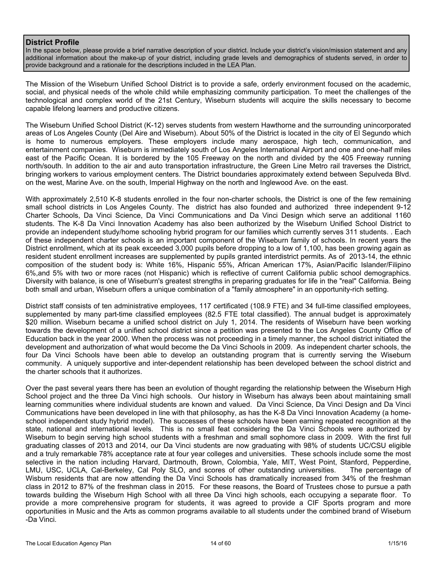### **District Profile**

In the space below, please provide a brief narrative description of your district. Include your district's vision/mission statement and any additional information about the make-up of your district, including grade levels and demographics of students served, in order to provide background and a rationale for the descriptions included in the LEA Plan.

The Mission of the Wiseburn Unified School District is to provide a safe, orderly environment focused on the academic, social, and physical needs of the whole child while emphasizing community participation. To meet the challenges of the technological and complex world of the 21st Century, Wiseburn students will acquire the skills necessary to become capable lifelong learners and productive citizens.

The Wiseburn Unified School District (K-12) serves students from western Hawthorne and the surrounding unincorporated areas of Los Angeles County (Del Aire and Wiseburn). About 50% of the District is located in the city of El Segundo which is home to numerous employers. These employers include many aerospace, high tech, communication, and entertainment companies. Wiseburn is immediately south of Los Angeles International Airport and one and one-half miles east of the Pacific Ocean. It is bordered by the 105 Freeway on the north and divided by the 405 Freeway running north/south. In addition to the air and auto transportation infrastructure, the Green Line Metro rail traverses the District, bringing workers to various employment centers. The District boundaries approximately extend between Sepulveda Blvd. on the west, Marine Ave. on the south, Imperial Highway on the north and Inglewood Ave. on the east.

With approximately 2,510 K-8 students enrolled in the four non-charter schools, the District is one of the few remaining small school districts in Los Angeles County. The district has also founded and authorized three independent 9-12 Charter Schools, Da Vinci Science, Da Vinci Communications and Da Vinci Design which serve an additional 1160 students. The K-8 Da Vinci Innovation Academy has also been authorized by the Wiseburn Unified School District to provide an independent study/home schooling hybrid program for our families which currently serves 311 students. . Each of these independent charter schools is an important component of the Wiseburn family of schools. In recent years the District enrollment, which at its peak exceeded 3,000 pupils before dropping to a low of 1,100, has been growing again as resident student enrollment increases are supplemented by pupils granted interdistrict permits. As of 2013-14, the ethnic composition of the student body is: White 16%, Hispanic 55%, African American 17%, Asian/Pacific Islander/Filipino 6%,and 5% with two or more races (not Hispanic) which is reflective of current California public school demographics. Diversity with balance, is one of Wiseburn's greatest strengths in preparing graduates for life in the "real" California. Being both small and urban, Wiseburn offers a unique combination of a "family atmosphere" in an opportunity-rich setting.

District staff consists of ten administrative employees, 117 certificated (108.9 FTE) and 34 full-time classified employees, supplemented by many part-time classified employees (82.5 FTE total classified). The annual budget is approximately \$20 million. Wiseburn became a unified school district on July 1, 2014. The residents of Wiseburn have been working towards the development of a unified school district since a petition was presented to the Los Angeles County Office of Education back in the year 2000. When the process was not proceeding in a timely manner, the school district initiated the development and authorization of what would become the Da Vinci Schools in 2009. As independent charter schools, the four Da Vinci Schools have been able to develop an outstanding program that is currently serving the Wiseburn community. A uniquely supportive and inter-dependent relationship has been developed between the school district and the charter schools that it authorizes.

Over the past several years there has been an evolution of thought regarding the relationship between the Wiseburn High School project and the three Da Vinci high schools. Our history in Wiseburn has always been about maintaining small learning communities where individual students are known and valued. Da Vinci Science, Da Vinci Design and Da Vinci Communications have been developed in line with that philosophy, as has the K-8 Da Vinci Innovation Academy (a homeschool independent study hybrid model). The successes of these schools have been earning repeated recognition at the state, national and international levels. This is no small feat considering the Da Vinci Schools were authorized by Wiseburn to begin serving high school students with a freshman and small sophomore class in 2009. With the first full graduating classes of 2013 and 2014, our Da Vinci students are now graduating with 98% of students UC/CSU eligible and a truly remarkable 78% acceptance rate at four year colleges and universities. These schools include some the most selective in the nation including Harvard, Dartmouth, Brown, Colombia, Yale, MIT, West Point, Stanford, Pepperdine, LMU, USC, UCLA, Cal-Berkeley, Cal Poly SLO, and scores of other outstanding universities. The percentage of Wisburn residents that are now attending the Da Vinci Schools has dramatically increased from 34% of the freshman class in 2012 to 87% of the freshman class in 2015. For these reasons, the Board of Trustees chose to pursue a path towards building the Wiseburn High School with all three Da Vinci high schools, each occupying a separate floor. To provide a more comprehensive program for students, it was agreed to provide a CIF Sports program and more opportunities in Music and the Arts as common programs available to all students under the combined brand of Wiseburn -Da Vinci.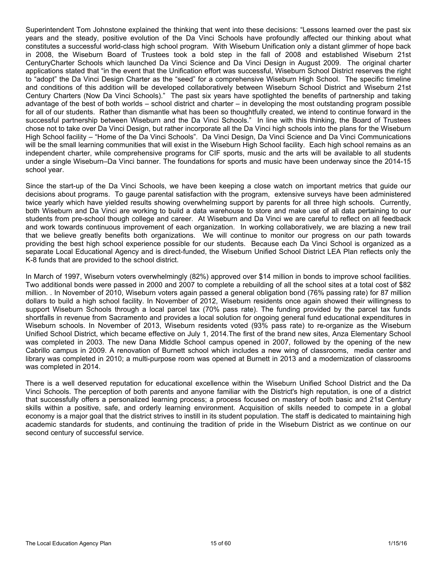Superintendent Tom Johnstone explained the thinking that went into these decisions: "Lessons learned over the past six years and the steady, positive evolution of the Da Vinci Schools have profoundly affected our thinking about what constitutes a successful world-class high school program. With Wiseburn Unification only a distant glimmer of hope back in 2008, the Wiseburn Board of Trustees took a bold step in the fall of 2008 and established Wiseburn 21st CenturyCharter Schools which launched Da Vinci Science and Da Vinci Design in August 2009. The original charter applications stated that "in the event that the Unification effort was successful, Wiseburn School District reserves the right to "adopt" the Da Vinci Design Charter as the "seed" for a comprehensive Wiseburn High School. The specific timeline and conditions of this addition will be developed collaboratively between Wiseburn School District and Wiseburn 21st Century Charters (Now Da Vinci Schools)." The past six years have spotlighted the benefits of partnership and taking advantage of the best of both worlds – school district and charter – in developing the most outstanding program possible for all of our students. Rather than dismantle what has been so thoughtfully created, we intend to continue forward in the successful partnership between Wiseburn and the Da Vinci Schools." In line with this thinking, the Board of Trustees chose not to take over Da Vinci Design, but rather incorporate all the Da Vinci high schools into the plans for the Wiseburn High School facility – "Home of the Da Vinci Schools". Da Vinci Design, Da Vinci Science and Da Vinci Communications will be the small learning communities that will exist in the Wiseburn High School facility. Each high school remains as an independent charter, while comprehensive programs for CIF sports, music and the arts will be available to all students under a single Wiseburn–Da Vinci banner. The foundations for sports and music have been underway since the 2014-15 school year.

Since the start-up of the Da Vinci Schools, we have been keeping a close watch on important metrics that guide our decisions about programs. To gauge parental satisfaction with the program, extensive surveys have been administered twice yearly which have yielded results showing overwhelming support by parents for all three high schools. Currently, both Wiseburn and Da Vinci are working to build a data warehouse to store and make use of all data pertaining to our students from pre-school though college and career. At Wiseburn and Da Vinci we are careful to reflect on all feedback and work towards continuous improvement of each organization. In working collaboratively, we are blazing a new trail that we believe greatly benefits both organizations. We will continue to monitor our progress on our path towards providing the best high school experience possible for our students. Because each Da Vinci School is organized as a separate Local Educational Agency and is direct-funded, the Wiseburn Unified School District LEA Plan reflects only the K-8 funds that are provided to the school district.

In March of 1997, Wiseburn voters overwhelmingly (82%) approved over \$14 million in bonds to improve school facilities. Two additional bonds were passed in 2000 and 2007 to complete a rebuilding of all the school sites at a total cost of \$82 million. . In November of 2010, Wiseburn voters again passed a general obligation bond (76% passing rate) for 87 million dollars to build a high school facility. In November of 2012, Wiseburn residents once again showed their willingness to support Wiseburn Schools through a local parcel tax (70% pass rate). The funding provided by the parcel tax funds shortfalls in revenue from Sacramento and provides a local solution for ongoing general fund educational expenditures in Wiseburn schools. In November of 2013, Wiseburn residents voted (93% pass rate) to re-organize as the Wiseburn Unified School District, which became effective on July 1, 2014.The first of the brand new sites, Anza Elementary School was completed in 2003. The new Dana Middle School campus opened in 2007, followed by the opening of the new Cabrillo campus in 2009. A renovation of Burnett school which includes a new wing of classrooms, media center and library was completed in 2010; a multi-purpose room was opened at Burnett in 2013 and a modernization of classrooms was completed in 2014.

There is a well deserved reputation for educational excellence within the Wiseburn Unified School District and the Da Vinci Schools. The perception of both parents and anyone familiar with the District's high reputation, is one of a district that successfully offers a personalized learning process; a process focused on mastery of both basic and 21st Century skills within a positive, safe, and orderly learning environment. Acquisition of skills needed to compete in a global economy is a major goal that the district strives to instill in its student population. The staff is dedicated to maintaining high academic standards for students, and continuing the tradition of pride in the Wiseburn District as we continue on our second century of successful service.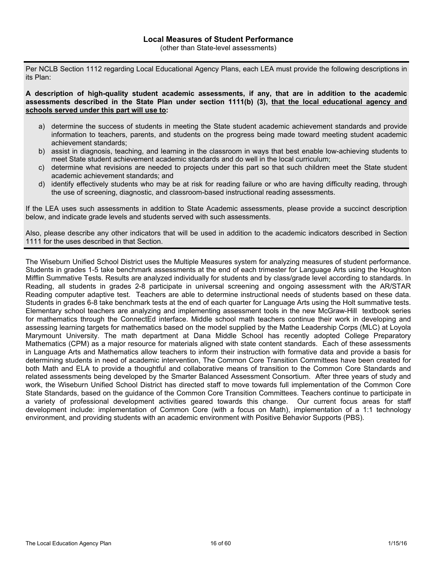Per NCLB Section 1112 regarding Local Educational Agency Plans, each LEA must provide the following descriptions in its Plan:

**A description of high-quality student academic assessments, if any, that are in addition to the academic assessments described in the State Plan under section 1111(b) (3), that the local educational agency and schools served under this part will use to:**

- a) determine the success of students in meeting the State student academic achievement standards and provide information to teachers, parents, and students on the progress being made toward meeting student academic achievement standards;
- b) assist in diagnosis, teaching, and learning in the classroom in ways that best enable low-achieving students to meet State student achievement academic standards and do well in the local curriculum;
- c) determine what revisions are needed to projects under this part so that such children meet the State student academic achievement standards; and
- d) identify effectively students who may be at risk for reading failure or who are having difficulty reading, through the use of screening, diagnostic, and classroom-based instructional reading assessments.

If the LEA uses such assessments in addition to State Academic assessments, please provide a succinct description below, and indicate grade levels and students served with such assessments.

Also, please describe any other indicators that will be used in addition to the academic indicators described in Section 1111 for the uses described in that Section.

The Wiseburn Unified School District uses the Multiple Measures system for analyzing measures of student performance. Students in grades 1-5 take benchmark assessments at the end of each trimester for Language Arts using the Houghton Mifflin Summative Tests. Results are analyzed individually for students and by class/grade level according to standards. In Reading, all students in grades 2-8 participate in universal screening and ongoing assessment with the AR/STAR Reading computer adaptive test. Teachers are able to determine instructional needs of students based on these data. Students in grades 6-8 take benchmark tests at the end of each quarter for Language Arts using the Holt summative tests. Elementary school teachers are analyzing and implementing assessment tools in the new McGraw-Hill textbook series for mathematics through the ConnectEd interface. Middle school math teachers continue their work in developing and assessing learning targets for mathematics based on the model supplied by the Mathe Leadership Corps (MLC) at Loyola Marymount University. The math department at Dana Middle School has recently adopted College Preparatory Mathematics (CPM) as a major resource for materials aligned with state content standards. Each of these assessments in Language Arts and Mathematics allow teachers to inform their instruction with formative data and provide a basis for determining students in need of academic intervention, The Common Core Transition Committees have been created for both Math and ELA to provide a thoughtful and collaborative means of transition to the Common Core Standards and related assessments being developed by the Smarter Balanced Assessment Consortium. After three years of study and work, the Wiseburn Unified School District has directed staff to move towards full implementation of the Common Core State Standards, based on the guidance of the Common Core Transition Committees. Teachers continue to participate in a variety of professional development activities geared towards this change. Our current focus areas for staff development include: implementation of Common Core (with a focus on Math), implementation of a 1:1 technology environment, and providing students with an academic environment with Positive Behavior Supports (PBS).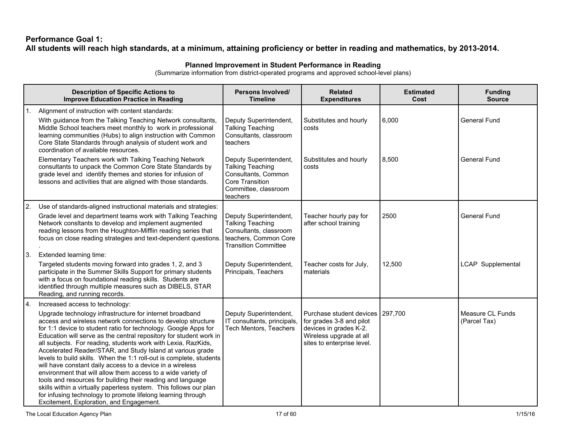### **Performance Goal 1:** All students will reach high standards, at a minimum, attaining proficiency or better in reading and mathematics, by 2013-2014.

### **Planned Improvement in Student Performance in Reading**

|     | <b>Description of Specific Actions to</b><br><b>Improve Education Practice in Reading</b>                                                                                                                                                                                                                                                                                                                                                                                                                                                                                                                                                                                                                                                                                                                                                                                               | Persons Involved/<br><b>Timeline</b>                                                                                                | <b>Related</b><br><b>Expenditures</b>                                                                                                           | <b>Estimated</b><br>Cost | <b>Funding</b><br><b>Source</b>  |
|-----|-----------------------------------------------------------------------------------------------------------------------------------------------------------------------------------------------------------------------------------------------------------------------------------------------------------------------------------------------------------------------------------------------------------------------------------------------------------------------------------------------------------------------------------------------------------------------------------------------------------------------------------------------------------------------------------------------------------------------------------------------------------------------------------------------------------------------------------------------------------------------------------------|-------------------------------------------------------------------------------------------------------------------------------------|-------------------------------------------------------------------------------------------------------------------------------------------------|--------------------------|----------------------------------|
|     | Alignment of instruction with content standards:<br>With guidance from the Talking Teaching Network consultants,<br>Middle School teachers meet monthly to work in professional<br>learning communities (Hubs) to align instruction with Common<br>Core State Standards through analysis of student work and<br>coordination of available resources.                                                                                                                                                                                                                                                                                                                                                                                                                                                                                                                                    | Deputy Superintendent,<br><b>Talking Teaching</b><br>Consultants, classroom<br>teachers                                             | Substitutes and hourly<br>costs                                                                                                                 | 6,000                    | <b>General Fund</b>              |
|     | Elementary Teachers work with Talking Teaching Network<br>consultants to unpack the Common Core State Standards by<br>grade level and identify themes and stories for infusion of<br>lessons and activities that are aligned with those standards.                                                                                                                                                                                                                                                                                                                                                                                                                                                                                                                                                                                                                                      | Deputy Superintendent,<br><b>Talking Teaching</b><br>Consultants, Common<br>Core Transition<br>Committee, classroom<br>teachers     | Substitutes and hourly<br>costs                                                                                                                 | 8,500                    | <b>General Fund</b>              |
| 2.  | Use of standards-aligned instructional materials and strategies:<br>Grade level and department teams work with Talking Teaching<br>Network consitants to develop and implement augmented<br>reading lessons from the Houghton-Mifflin reading series that<br>focus on close reading strategies and text-dependent questions.                                                                                                                                                                                                                                                                                                                                                                                                                                                                                                                                                            | Deputy Superintendent,<br><b>Talking Teaching</b><br>Consultants, classroom<br>teachers, Common Core<br><b>Transition Committee</b> | Teacher hourly pay for<br>after school training                                                                                                 | 2500                     | <b>General Fund</b>              |
| 3.  | Extended learning time:<br>Targeted students moving forward into grades 1, 2, and 3<br>participate in the Summer Skills Support for primary students<br>with a focus on foundational reading skills. Students are<br>identified through multiple measures such as DIBELS, STAR<br>Reading, and running records.                                                                                                                                                                                                                                                                                                                                                                                                                                                                                                                                                                         | Deputy Superintendent,<br>Principals, Teachers                                                                                      | Teacher costs for July,<br>materials                                                                                                            | 12,500                   | <b>LCAP</b> Supplemental         |
| 14. | Increased access to technology:<br>Upgrade technology infrastructure for internet broadband<br>access and wireless network connections to develop structure<br>for 1:1 device to student ratio for technology. Google Apps for<br>Education will serve as the central repository for student work in<br>all subjects. For reading, students work with Lexia, RazKids,<br>Accelerated Reader/STAR, and Study Island at various grade<br>levels to build skills. When the 1:1 roll-out is complete, students<br>will have constant daily access to a device in a wireless<br>environment that will allow them access to a wide variety of<br>tools and resources for building their reading and language<br>skills within a virtually paperless system. This follows our plan<br>for infusing technology to promote lifelong learning through<br>Excitement, Exploration, and Engagement. | Deputy Superintendent,<br>IT consultants, principals,<br>Tech Mentors, Teachers                                                     | Purchase student devices 297,700<br>for grades 3-8 and pilot<br>devices in grades K-2.<br>Wireless upgrade at all<br>sites to enterprise level. |                          | Measure CL Funds<br>(Parcel Tax) |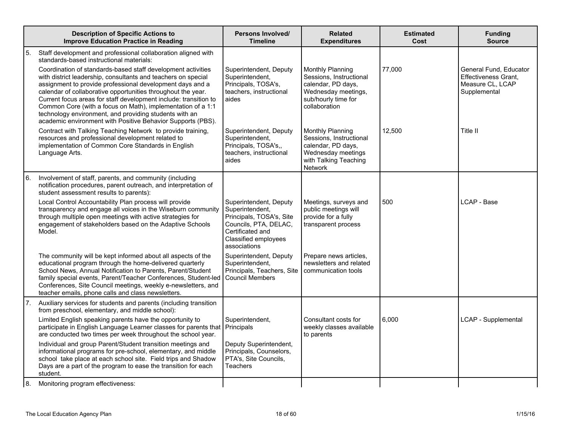|    | <b>Description of Specific Actions to</b><br><b>Improve Education Practice in Reading</b>                                                                                                                                                                                                                                                                                                                                                                                                                              | Persons Involved/<br><b>Timeline</b>                                                                                                                       | <b>Related</b><br><b>Expenditures</b>                                                                                            | <b>Estimated</b><br>Cost | <b>Funding</b><br><b>Source</b>                                                           |
|----|------------------------------------------------------------------------------------------------------------------------------------------------------------------------------------------------------------------------------------------------------------------------------------------------------------------------------------------------------------------------------------------------------------------------------------------------------------------------------------------------------------------------|------------------------------------------------------------------------------------------------------------------------------------------------------------|----------------------------------------------------------------------------------------------------------------------------------|--------------------------|-------------------------------------------------------------------------------------------|
| 5. | Staff development and professional collaboration aligned with<br>standards-based instructional materials:                                                                                                                                                                                                                                                                                                                                                                                                              |                                                                                                                                                            |                                                                                                                                  |                          |                                                                                           |
|    | Coordination of standards-based staff development activities<br>with district leadership, consultants and teachers on special<br>assignment to provide professional development days and a<br>calendar of collaborative opportunities throughout the year.<br>Current focus areas for staff development include: transition to<br>Common Core (with a focus on Math), implementation of a 1:1<br>technology environment, and providing students with an<br>academic environment with Positive Behavior Supports (PBS). | Superintendent, Deputy<br>Superintendent,<br>Principals, TOSA's,<br>teachers, instructional<br>aides                                                       | Monthly Planning<br>Sessions, Instructional<br>calendar, PD days,<br>Wednesday meetings,<br>sub/hourly time for<br>collaboration | 77,000                   | General Fund, Educator<br><b>Effectiveness Grant,</b><br>Measure CL, LCAP<br>Supplemental |
|    | Contract with Talking Teaching Network to provide training,<br>resources and professional development related to<br>implementation of Common Core Standards in English<br>Language Arts.                                                                                                                                                                                                                                                                                                                               | Superintendent, Deputy<br>Superintendent,<br>Principals, TOSA's,,<br>teachers, instructional<br>aides                                                      | Monthly Planning<br>Sessions, Instructional<br>calendar, PD days,<br>Wednesday meetings<br>with Talking Teaching<br>Network      | 12,500                   | Title II                                                                                  |
| 6. | Involvement of staff, parents, and community (including<br>notification procedures, parent outreach, and interpretation of<br>student assessment results to parents):                                                                                                                                                                                                                                                                                                                                                  |                                                                                                                                                            |                                                                                                                                  |                          |                                                                                           |
|    | Local Control Accountability Plan process will provide<br>transparency and engage all voices in the Wiseburn community<br>through multiple open meetings with active strategies for<br>engagement of stakeholders based on the Adaptive Schools<br>Model.                                                                                                                                                                                                                                                              | Superintendent, Deputy<br>Superintendent,<br>Principals, TOSA's, Site<br>Councils, PTA, DELAC,<br>Certificated and<br>Classified employees<br>associations | Meetings, surveys and<br>public meetings will<br>provide for a fully<br>transparent process                                      | 500                      | LCAP - Base                                                                               |
|    | The community will be kept informed about all aspects of the<br>educational program through the home-delivered quarterly<br>School News, Annual Notification to Parents, Parent/Student<br>family special events, Parent/Teacher Conferences, Student-led<br>Conferences, Site Council meetings, weekly e-newsletters, and<br>teacher emails, phone calls and class newsletters.                                                                                                                                       | Superintendent, Deputy<br>Superintendent,<br>Principals, Teachers, Site<br>Council Members                                                                 | Prepare news articles,<br>newsletters and related<br>communication tools                                                         |                          |                                                                                           |
|    | 7. Auxiliary services for students and parents (including transition<br>from preschool, elementary, and middle school):                                                                                                                                                                                                                                                                                                                                                                                                |                                                                                                                                                            |                                                                                                                                  |                          |                                                                                           |
|    | Limited English speaking parents have the opportunity to<br>participate in English Language Learner classes for parents that Principals<br>are conducted two times per week throughout the school year.                                                                                                                                                                                                                                                                                                                | Superintendent,                                                                                                                                            | Consultant costs for<br>weekly classes available<br>to parents                                                                   | 6,000                    | LCAP - Supplemental                                                                       |
|    | Individual and group Parent/Student transition meetings and<br>informational programs for pre-school, elementary, and middle<br>school take place at each school site. Field trips and Shadow<br>Days are a part of the program to ease the transition for each<br>student.                                                                                                                                                                                                                                            | Deputy Superintendent,<br>Principals, Counselors,<br>PTA's, Site Councils,<br><b>Teachers</b>                                                              |                                                                                                                                  |                          |                                                                                           |
| 8. | Monitoring program effectiveness:                                                                                                                                                                                                                                                                                                                                                                                                                                                                                      |                                                                                                                                                            |                                                                                                                                  |                          |                                                                                           |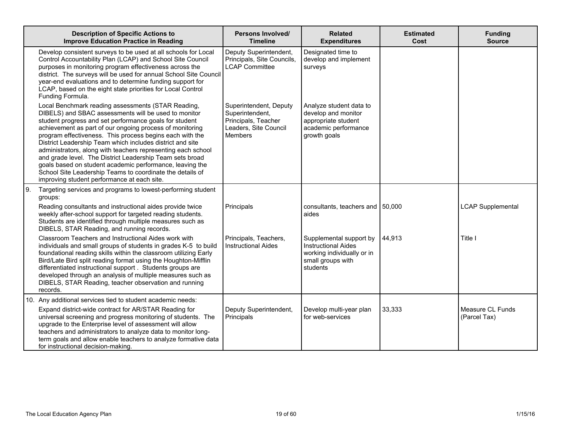|    | <b>Description of Specific Actions to</b><br><b>Improve Education Practice in Reading</b>                                                                                                                                                                                                                                                                                                                                                                                                                                                                                                                                                                     | <b>Persons Involved/</b><br><b>Timeline</b>                                                                 | <b>Related</b><br><b>Expenditures</b>                                                                                | <b>Estimated</b><br>Cost | <b>Funding</b><br><b>Source</b>  |
|----|---------------------------------------------------------------------------------------------------------------------------------------------------------------------------------------------------------------------------------------------------------------------------------------------------------------------------------------------------------------------------------------------------------------------------------------------------------------------------------------------------------------------------------------------------------------------------------------------------------------------------------------------------------------|-------------------------------------------------------------------------------------------------------------|----------------------------------------------------------------------------------------------------------------------|--------------------------|----------------------------------|
|    | Develop consistent surveys to be used at all schools for Local<br>Control Accountability Plan (LCAP) and School Site Council<br>purposes in monitoring program effectiveness across the<br>district. The surveys will be used for annual School Site Council<br>year-end evaluations and to determine funding support for<br>LCAP, based on the eight state priorities for Local Control<br>Funding Formula.                                                                                                                                                                                                                                                  | Deputy Superintendent,<br>Principals, Site Councils,<br><b>LCAP</b> Committee                               | Designated time to<br>develop and implement<br>surveys                                                               |                          |                                  |
|    | Local Benchmark reading assessments (STAR Reading,<br>DIBELS) and SBAC assessments will be used to monitor<br>student progress and set performance goals for student<br>achievement as part of our ongoing process of monitoring<br>program effectiveness. This process begins each with the<br>District Leadership Team which includes district and site<br>administrators, along with teachers representing each school<br>and grade level. The District Leadership Team sets broad<br>goals based on student academic performance, leaving the<br>School Site Leadership Teams to coordinate the details of<br>improving student performance at each site. | Superintendent, Deputy<br>Superintendent,<br>Principals, Teacher<br>Leaders, Site Council<br><b>Members</b> | Analyze student data to<br>develop and monitor<br>appropriate student<br>academic performance<br>growth goals        |                          |                                  |
| 9. | Targeting services and programs to lowest-performing student<br>groups:                                                                                                                                                                                                                                                                                                                                                                                                                                                                                                                                                                                       |                                                                                                             |                                                                                                                      |                          |                                  |
|    | Reading consultants and instructional aides provide twice<br>weekly after-school support for targeted reading students.<br>Students are identified through multiple measures such as<br>DIBELS, STAR Reading, and running records.                                                                                                                                                                                                                                                                                                                                                                                                                            | Principals                                                                                                  | consultants, teachers and 150,000<br>aides                                                                           |                          | <b>LCAP Supplemental</b>         |
|    | Classroom Teachers and Instructional Aides work with<br>individuals and small groups of students in grades K-5 to build<br>foundational reading skills within the classroom utilizing Early<br>Bird/Late Bird split reading format using the Houghton-Mifflin<br>differentiated instructional support. Students groups are<br>developed through an analysis of multiple measures such as<br>DIBELS, STAR Reading, teacher observation and running<br>records.                                                                                                                                                                                                 | Principals, Teachers,<br><b>Instructional Aides</b>                                                         | Supplemental support by<br><b>Instructional Aides</b><br>working individually or in<br>small groups with<br>students | 44,913                   | Title I                          |
|    | 10. Any additional services tied to student academic needs:                                                                                                                                                                                                                                                                                                                                                                                                                                                                                                                                                                                                   |                                                                                                             |                                                                                                                      |                          |                                  |
|    | Expand district-wide contract for AR/STAR Reading for<br>universal screening and progress monitoring of students. The<br>upgrade to the Enterprise level of assessment will allow<br>teachers and administrators to analyze data to monitor long-<br>term goals and allow enable teachers to analyze formative data<br>for instructional decision-making.                                                                                                                                                                                                                                                                                                     | Deputy Superintendent,<br>Principals                                                                        | Develop multi-year plan<br>for web-services                                                                          | 33,333                   | Measure CL Funds<br>(Parcel Tax) |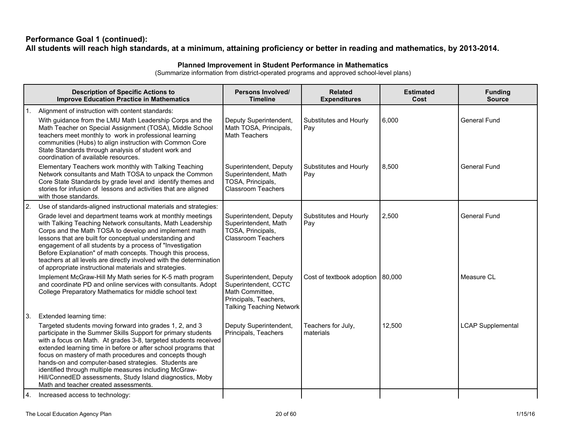### **Performance Goal 1 (continued):** All students will reach high standards, at a minimum, attaining proficiency or better in reading and mathematics, by 2013-2014.

### **Planned Improvement in Student Performance in Mathematics**

|     | <b>Description of Specific Actions to</b><br><b>Improve Education Practice in Mathematics</b>                                                                                                                                                                                                                                                                                                                                                                                                                                                     | Persons Involved/<br><b>Timeline</b>                                                                                          | <b>Related</b><br><b>Expenditures</b> | <b>Estimated</b><br>Cost | <b>Funding</b><br><b>Source</b> |
|-----|---------------------------------------------------------------------------------------------------------------------------------------------------------------------------------------------------------------------------------------------------------------------------------------------------------------------------------------------------------------------------------------------------------------------------------------------------------------------------------------------------------------------------------------------------|-------------------------------------------------------------------------------------------------------------------------------|---------------------------------------|--------------------------|---------------------------------|
|     | Alignment of instruction with content standards:<br>With guidance from the LMU Math Leadership Corps and the<br>Math Teacher on Special Assignment (TOSA), Middle School<br>teachers meet monthly to work in professional learning<br>communities (Hubs) to align instruction with Common Core<br>State Standards through analysis of student work and<br>coordination of available resources.                                                                                                                                                    | Deputy Superintendent,<br>Math TOSA, Principals,<br><b>Math Teachers</b>                                                      | Substitutes and Hourly<br>Pay         | 6,000                    | General Fund                    |
|     | Elementary Teachers work monthly with Talking Teaching<br>Network consultants and Math TOSA to unpack the Common<br>Core State Standards by grade level and identify themes and<br>stories for infusion of lessons and activities that are aligned<br>with those standards.                                                                                                                                                                                                                                                                       | Superintendent, Deputy<br>Superintendent, Math<br>TOSA, Principals,<br><b>Classroom Teachers</b>                              | Substitutes and Hourly<br>Pay         | 8,500                    | <b>General Fund</b>             |
| 2.  | Use of standards-aligned instructional materials and strategies:                                                                                                                                                                                                                                                                                                                                                                                                                                                                                  |                                                                                                                               |                                       |                          |                                 |
|     | Grade level and department teams work at monthly meetings<br>with Talking Teaching Network consultants, Math Leadership<br>Corps and the Math TOSA to develop and implement math<br>lessons that are built for conceptual understanding and<br>engagement of all students by a process of "Investigation<br>Before Explanation" of math concepts. Though this process,<br>teachers at all levels are directly involved with the determination<br>of appropriate instructional materials and strategies.                                           | Superintendent, Deputy<br>Superintendent, Math<br>TOSA, Principals,<br><b>Classroom Teachers</b>                              | Substitutes and Hourly<br>Pay         | 2,500                    | <b>General Fund</b>             |
|     | Implement McGraw-Hill My Math series for K-5 math program<br>and coordinate PD and online services with consultants. Adopt<br>College Preparatory Mathematics for middle school text                                                                                                                                                                                                                                                                                                                                                              | Superintendent, Deputy<br>Superintendent, CCTC<br>Math Committee,<br>Principals, Teachers,<br><b>Talking Teaching Network</b> | Cost of textbook adoption 80,000      |                          | Measure CL                      |
| 13. | Extended learning time:                                                                                                                                                                                                                                                                                                                                                                                                                                                                                                                           |                                                                                                                               |                                       |                          |                                 |
|     | Targeted students moving forward into grades 1, 2, and 3<br>participate in the Summer Skills Support for primary students<br>with a focus on Math. At grades 3-8, targeted students received<br>extended learning time in before or after school programs that<br>focus on mastery of math procedures and concepts though<br>hands-on and computer-based strategies. Students are<br>identified through multiple measures including McGraw-<br>Hill/ConnedED assessments, Study Island diagnostics, Moby<br>Math and teacher created assessments. | Deputy Superintendent,<br>Principals, Teachers                                                                                | Teachers for July,<br>materials       | 12,500                   | <b>LCAP Supplemental</b>        |
|     | 4. Increased access to technology:                                                                                                                                                                                                                                                                                                                                                                                                                                                                                                                |                                                                                                                               |                                       |                          |                                 |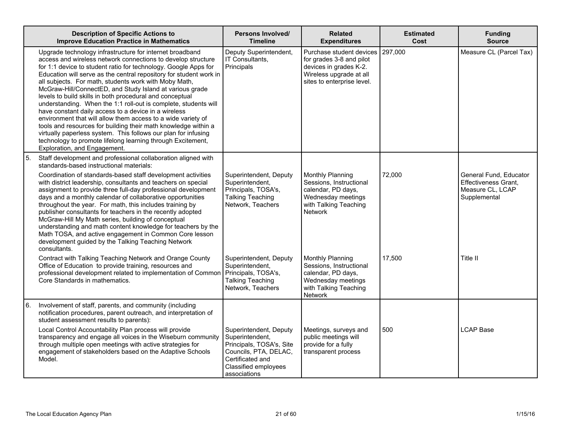|    | <b>Description of Specific Actions to</b><br><b>Improve Education Practice in Mathematics</b>                                                                                                                                                                                                                                                                                                                                                                                                                                                                                                                                                                                                                                                                                                                                                                                    | Persons Involved/<br><b>Timeline</b>                                                                                                                              | <b>Related</b><br><b>Expenditures</b>                                                                                                   | <b>Estimated</b><br>Cost | <b>Funding</b><br><b>Source</b>                                                           |
|----|----------------------------------------------------------------------------------------------------------------------------------------------------------------------------------------------------------------------------------------------------------------------------------------------------------------------------------------------------------------------------------------------------------------------------------------------------------------------------------------------------------------------------------------------------------------------------------------------------------------------------------------------------------------------------------------------------------------------------------------------------------------------------------------------------------------------------------------------------------------------------------|-------------------------------------------------------------------------------------------------------------------------------------------------------------------|-----------------------------------------------------------------------------------------------------------------------------------------|--------------------------|-------------------------------------------------------------------------------------------|
|    | Upgrade technology infrastructure for internet broadband<br>access and wireless network connections to develop structure<br>for 1:1 device to student ratio for technology. Google Apps for<br>Education will serve as the central repository for student work in<br>all subjects. For math, students work with Moby Math,<br>McGraw-Hill/ConnectED, and Study Island at various grade<br>levels to build skills in both procedural and conceptual<br>understanding. When the 1:1 roll-out is complete, students will<br>have constant daily access to a device in a wireless<br>environment that will allow them access to a wide variety of<br>tools and resources for building their math knowledge within a<br>virtually paperless system. This follows our plan for infusing<br>technology to promote lifelong learning through Excitement,<br>Exploration, and Engagement. | Deputy Superintendent,<br>IT Consultants,<br>Principals                                                                                                           | Purchase student devices<br>for grades 3-8 and pilot<br>devices in grades K-2.<br>Wireless upgrade at all<br>sites to enterprise level. | 297,000                  | Measure CL (Parcel Tax)                                                                   |
| 5. | Staff development and professional collaboration aligned with<br>standards-based instructional materials:<br>Coordination of standards-based staff development activities<br>with district leadership, consultants and teachers on special<br>assignment to provide three full-day professional development<br>days and a monthly calendar of collaborative opportunities<br>throughout the year. For math, this includes training by<br>publisher consultants for teachers in the recently adopted<br>McGraw-Hill My Math series, building of conceptual<br>understanding and math content knowledge for teachers by the<br>Math TOSA, and active engagement in Common Core lesson<br>development guided by the Talking Teaching Network<br>consultants.                                                                                                                        | Superintendent, Deputy<br>Superintendent,<br>Principals, TOSA's,<br><b>Talking Teaching</b><br>Network, Teachers                                                  | Monthly Planning<br>Sessions, Instructional<br>calendar, PD days,<br>Wednesday meetings<br>with Talking Teaching<br><b>Network</b>      | 72,000                   | General Fund, Educator<br><b>Effectiveness Grant.</b><br>Measure CL, LCAP<br>Supplemental |
|    | Contract with Talking Teaching Network and Orange County<br>Office of Education to provide training, resources and<br>professional development related to implementation of Common<br>Core Standards in mathematics.                                                                                                                                                                                                                                                                                                                                                                                                                                                                                                                                                                                                                                                             | Superintendent, Deputy<br>Superintendent,<br>Principals, TOSA's,<br><b>Talking Teaching</b><br>Network, Teachers                                                  | Monthly Planning<br>Sessions, Instructional<br>calendar, PD days,<br>Wednesday meetings<br>with Talking Teaching<br>Network             | 17,500                   | Title II                                                                                  |
| 6. | Involvement of staff, parents, and community (including<br>notification procedures, parent outreach, and interpretation of<br>student assessment results to parents):                                                                                                                                                                                                                                                                                                                                                                                                                                                                                                                                                                                                                                                                                                            |                                                                                                                                                                   |                                                                                                                                         |                          |                                                                                           |
|    | Local Control Accountability Plan process will provide<br>transparency and engage all voices in the Wiseburn community<br>through multiple open meetings with active strategies for<br>engagement of stakeholders based on the Adaptive Schools<br>Model.                                                                                                                                                                                                                                                                                                                                                                                                                                                                                                                                                                                                                        | Superintendent, Deputy<br>Superintendent,<br>Principals, TOSA's, Site<br>Councils, PTA, DELAC,<br>Certificated and<br><b>Classified employees</b><br>associations | Meetings, surveys and<br>public meetings will<br>provide for a fully<br>transparent process                                             | 500                      | <b>LCAP Base</b>                                                                          |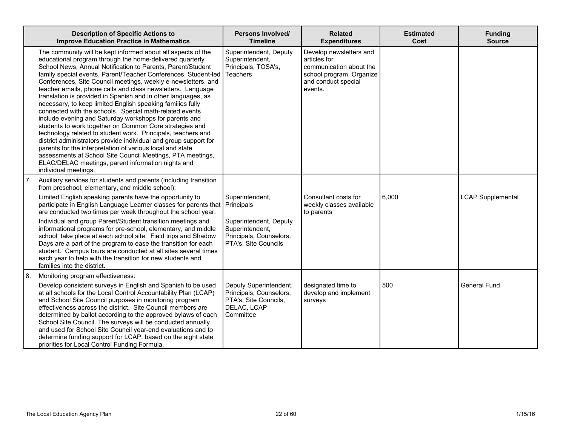|    | <b>Description of Specific Actions to</b><br><b>Improve Education Practice in Mathematics</b>                                                                                                                                                                                                                                                                                                                                                                                                                                                                                                                                                                                                                                                                                                                                                                                                                                                                                                                                                         | Persons Involved/<br><b>Timeline</b>                                                         | <b>Related</b><br><b>Expenditures</b>                                                                                            | <b>Estimated</b><br>Cost | <b>Funding</b><br><b>Source</b> |
|----|-------------------------------------------------------------------------------------------------------------------------------------------------------------------------------------------------------------------------------------------------------------------------------------------------------------------------------------------------------------------------------------------------------------------------------------------------------------------------------------------------------------------------------------------------------------------------------------------------------------------------------------------------------------------------------------------------------------------------------------------------------------------------------------------------------------------------------------------------------------------------------------------------------------------------------------------------------------------------------------------------------------------------------------------------------|----------------------------------------------------------------------------------------------|----------------------------------------------------------------------------------------------------------------------------------|--------------------------|---------------------------------|
|    | The community will be kept informed about all aspects of the<br>educational program through the home-delivered quarterly<br>School News, Annual Notification to Parents, Parent/Student<br>family special events, Parent/Teacher Conferences, Student-led<br>Conferences, Site Council meetings, weekly e-newsletters, and<br>teacher emails, phone calls and class newsletters. Language<br>translation is provided in Spanish and in other languages, as<br>necessary, to keep limited English speaking families fully<br>connected with the schools. Special math-related events<br>include evening and Saturday workshops for parents and<br>students to work together on Common Core strategies and<br>technology related to student work. Principals, teachers and<br>district administrators provide individual and group support for<br>parents for the interpretation of various local and state<br>assessments at School Site Council Meetings, PTA meetings,<br>ELAC/DELAC meetings, parent information nights and<br>individual meetings. | Superintendent, Deputy<br>Superintendent,<br>Principals, TOSA's,<br>Teachers                 | Develop newsletters and<br>articles for<br>communication about the<br>school program. Organize<br>and conduct special<br>events. |                          |                                 |
| 7. | Auxiliary services for students and parents (including transition<br>from preschool, elementary, and middle school):                                                                                                                                                                                                                                                                                                                                                                                                                                                                                                                                                                                                                                                                                                                                                                                                                                                                                                                                  |                                                                                              |                                                                                                                                  |                          |                                 |
|    | Limited English speaking parents have the opportunity to<br>participate in English Language Learner classes for parents that<br>are conducted two times per week throughout the school year.                                                                                                                                                                                                                                                                                                                                                                                                                                                                                                                                                                                                                                                                                                                                                                                                                                                          | Superintendent,<br><b>Principals</b>                                                         | Consultant costs for<br>weekly classes available<br>to parents                                                                   | 6,000                    | <b>LCAP Supplemental</b>        |
|    | Individual and group Parent/Student transition meetings and<br>informational programs for pre-school, elementary, and middle<br>school take place at each school site. Field trips and Shadow<br>Days are a part of the program to ease the transition for each<br>student. Campus tours are conducted at all sites several times<br>each year to help with the transition for new students and<br>families into the district.                                                                                                                                                                                                                                                                                                                                                                                                                                                                                                                                                                                                                        | Superintendent, Deputy<br>Superintendent,<br>Principals, Counselors,<br>PTA's, Site Councils |                                                                                                                                  |                          |                                 |
| 8. | Monitoring program effectiveness:<br>Develop consistent surveys in English and Spanish to be used                                                                                                                                                                                                                                                                                                                                                                                                                                                                                                                                                                                                                                                                                                                                                                                                                                                                                                                                                     | Deputy Superintendent,                                                                       | designated time to                                                                                                               | 500                      | <b>General Fund</b>             |
|    | at all schools for the Local Control Accountability Plan (LCAP)<br>and School Site Council purposes in monitoring program<br>effectiveness across the district. Site Council members are<br>determined by ballot according to the approved bylaws of each<br>School Site Council. The surveys will be conducted annually<br>and used for School Site Council year-end evaluations and to<br>determine funding support for LCAP, based on the eight state<br>priorities for Local Control Funding Formula.                                                                                                                                                                                                                                                                                                                                                                                                                                                                                                                                             | Principals, Counselors,<br>PTA's, Site Councils,<br>DELAC, LCAP<br>Committee                 | develop and implement<br>surveys                                                                                                 |                          |                                 |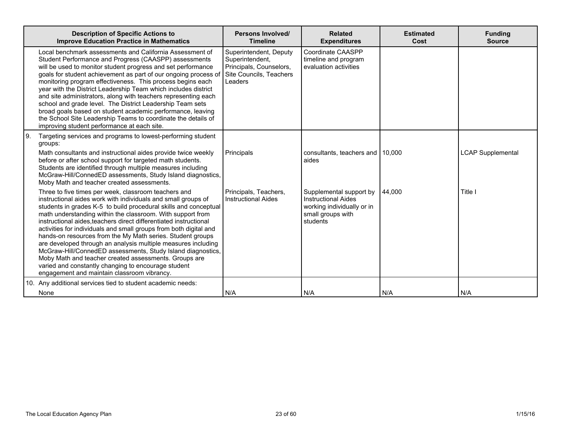|    | <b>Description of Specific Actions to</b><br><b>Improve Education Practice in Mathematics</b>                                                                                                                                                                                                                                                                                                                                                                                                                                                                                                                                                                                                                                                                  | Persons Involved/<br><b>Timeline</b>                                                                       | <b>Related</b><br><b>Expenditures</b>                                                                                | <b>Estimated</b><br>Cost | <b>Funding</b><br><b>Source</b> |
|----|----------------------------------------------------------------------------------------------------------------------------------------------------------------------------------------------------------------------------------------------------------------------------------------------------------------------------------------------------------------------------------------------------------------------------------------------------------------------------------------------------------------------------------------------------------------------------------------------------------------------------------------------------------------------------------------------------------------------------------------------------------------|------------------------------------------------------------------------------------------------------------|----------------------------------------------------------------------------------------------------------------------|--------------------------|---------------------------------|
|    | Local benchmark assessments and California Assessment of<br>Student Performance and Progress (CAASPP) assessments<br>will be used to monitor student progress and set performance<br>goals for student achievement as part of our ongoing process of<br>monitoring program effectiveness. This process begins each<br>year with the District Leadership Team which includes district<br>and site administrators, along with teachers representing each<br>school and grade level. The District Leadership Team sets<br>broad goals based on student academic performance, leaving<br>the School Site Leadership Teams to coordinate the details of<br>improving student performance at each site.                                                              | Superintendent, Deputy<br>Superintendent,<br>Principals, Counselors,<br>Site Councils, Teachers<br>Leaders | Coordinate CAASPP<br>timeline and program<br>evaluation activities                                                   |                          |                                 |
| 9. | Targeting services and programs to lowest-performing student<br>groups:<br>Math consultants and instructional aides provide twice weekly                                                                                                                                                                                                                                                                                                                                                                                                                                                                                                                                                                                                                       | Principals                                                                                                 | consultants, teachers and   10,000                                                                                   |                          | <b>LCAP Supplemental</b>        |
|    | before or after school support for targeted math students.<br>Students are identified through multiple measures including<br>McGraw-Hill/ConnedED assessments, Study Island diagnostics,<br>Moby Math and teacher created assessments.                                                                                                                                                                                                                                                                                                                                                                                                                                                                                                                         |                                                                                                            | aides                                                                                                                |                          |                                 |
|    | Three to five times per week, classroom teachers and<br>instructional aides work with individuals and small groups of<br>students in grades K-5 to build procedural skills and conceptual<br>math understanding within the classroom. With support from<br>instructional aides, teachers direct differentiated instructional<br>activities for individuals and small groups from both digital and<br>hands-on resources from the My Math series. Student groups<br>are developed through an analysis multiple measures including<br>McGraw-Hill/ConnedED assessments, Study Island diagnostics,<br>Moby Math and teacher created assessments. Groups are<br>varied and constantly changing to encourage student<br>engagement and maintain classroom vibrancy. | Principals, Teachers,<br><b>Instructional Aides</b>                                                        | Supplemental support by<br><b>Instructional Aides</b><br>working individually or in<br>small groups with<br>students | 44.000                   | Title I                         |
|    | 10. Any additional services tied to student academic needs:                                                                                                                                                                                                                                                                                                                                                                                                                                                                                                                                                                                                                                                                                                    |                                                                                                            |                                                                                                                      |                          |                                 |
|    | None                                                                                                                                                                                                                                                                                                                                                                                                                                                                                                                                                                                                                                                                                                                                                           | N/A                                                                                                        | N/A                                                                                                                  | N/A                      | N/A                             |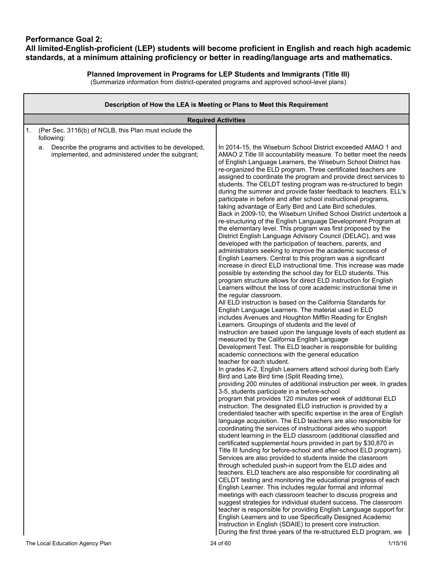### **Performance Goal 2: All limited-English-proficient (LEP) students will become proficient in English and reach high academic standards, at a minimum attaining proficiency or better in reading/language arts and mathematics.**

### **Planned Improvement in Programs for LEP Students and Immigrants (Title III)**

| Description of How the LEA is Meeting or Plans to Meet this Requirement                                          |                                                                                                                                                                                                                                                                                                                                                                                                                                                                                                                                                                                                                                                                                                                                                                                                                                                                                                                                                                                                                                                                                                                                                                                                                                                                                                                                                                                                                                                                                                                                                                                                                                                                                                                                                                                                                                                                                                                                                                                                                                                                                                                                                                                                                                                                                                                                                                                                                                                                                                                                                                                                                           |  |  |  |  |  |  |  |  |  |  |
|------------------------------------------------------------------------------------------------------------------|---------------------------------------------------------------------------------------------------------------------------------------------------------------------------------------------------------------------------------------------------------------------------------------------------------------------------------------------------------------------------------------------------------------------------------------------------------------------------------------------------------------------------------------------------------------------------------------------------------------------------------------------------------------------------------------------------------------------------------------------------------------------------------------------------------------------------------------------------------------------------------------------------------------------------------------------------------------------------------------------------------------------------------------------------------------------------------------------------------------------------------------------------------------------------------------------------------------------------------------------------------------------------------------------------------------------------------------------------------------------------------------------------------------------------------------------------------------------------------------------------------------------------------------------------------------------------------------------------------------------------------------------------------------------------------------------------------------------------------------------------------------------------------------------------------------------------------------------------------------------------------------------------------------------------------------------------------------------------------------------------------------------------------------------------------------------------------------------------------------------------------------------------------------------------------------------------------------------------------------------------------------------------------------------------------------------------------------------------------------------------------------------------------------------------------------------------------------------------------------------------------------------------------------------------------------------------------------------------------------------------|--|--|--|--|--|--|--|--|--|--|
| <b>Required Activities</b>                                                                                       |                                                                                                                                                                                                                                                                                                                                                                                                                                                                                                                                                                                                                                                                                                                                                                                                                                                                                                                                                                                                                                                                                                                                                                                                                                                                                                                                                                                                                                                                                                                                                                                                                                                                                                                                                                                                                                                                                                                                                                                                                                                                                                                                                                                                                                                                                                                                                                                                                                                                                                                                                                                                                           |  |  |  |  |  |  |  |  |  |  |
| (Per Sec. 3116(b) of NCLB, this Plan must include the<br>1.<br>following:                                        |                                                                                                                                                                                                                                                                                                                                                                                                                                                                                                                                                                                                                                                                                                                                                                                                                                                                                                                                                                                                                                                                                                                                                                                                                                                                                                                                                                                                                                                                                                                                                                                                                                                                                                                                                                                                                                                                                                                                                                                                                                                                                                                                                                                                                                                                                                                                                                                                                                                                                                                                                                                                                           |  |  |  |  |  |  |  |  |  |  |
| Describe the programs and activities to be developed,<br>а.<br>implemented, and administered under the subgrant; | In 2014-15, the Wiseburn School District exceeded AMAO 1 and<br>AMAO 2 Title III accountability measure. To better meet the needs<br>of English Language Learners, the Wiseburn School District has<br>re-organized the ELD program. Three certificated teachers are<br>assigned to coordinate the program and provide direct services to<br>students. The CELDT testing program was re-structured to begin<br>during the summer and provide faster feedback to teachers. ELL's<br>participate in before and after school instructional programs,<br>taking advantage of Early Bird and Late Bird schedules.<br>Back in 2009-10, the Wiseburn Unified School District undertook a<br>re-structuring of the English Language Development Program at<br>the elementary level. This program was first proposed by the<br>District English Language Advisory Council (DELAC), and was<br>developed with the participation of teachers, parents, and<br>administrators seeking to improve the academic success of<br>English Learners. Central to this program was a significant<br>increase in direct ELD instructional time. This increase was made<br>possible by extending the school day for ELD students. This<br>program structure allows for direct ELD instruction for English<br>Learners without the loss of core academic instructional time in<br>the regular classroom.<br>All ELD instruction is based on the California Standards for<br>English Language Learners. The material used in ELD<br>includes Avenues and Houghton Mifflin Reading for English<br>Learners. Groupings of students and the level of<br>instruction are based upon the language levels of each student as<br>measured by the California English Language<br>Development Test. The ELD teacher is responsible for building<br>academic connections with the general education<br>teacher for each student.<br>In grades K-2, English Learners attend school during both Early<br>Bird and Late Bird time (Split Reading time),<br>providing 200 minutes of additional instruction per week. In grades<br>3-5, students participate in a before-school<br>program that provides 120 minutes per week of additional ELD<br>instruction. The designated ELD instruction is provided by a<br>credentialed teacher with specific expertise in the area of English<br>language acquisition. The ELD teachers are also responsible for<br>coordinating the services of instructional aides who support<br>student learning in the ELD classroom (additional classified and<br>certificated supplemental hours provided in part by \$30,870 in |  |  |  |  |  |  |  |  |  |  |
|                                                                                                                  | Title III funding for before-school and after-school ELD program).<br>Services are also provided to students inside the classroom<br>through scheduled push-in support from the ELD aides and                                                                                                                                                                                                                                                                                                                                                                                                                                                                                                                                                                                                                                                                                                                                                                                                                                                                                                                                                                                                                                                                                                                                                                                                                                                                                                                                                                                                                                                                                                                                                                                                                                                                                                                                                                                                                                                                                                                                                                                                                                                                                                                                                                                                                                                                                                                                                                                                                             |  |  |  |  |  |  |  |  |  |  |
|                                                                                                                  | teachers. ELD teachers are also responsible for coordinating all<br>CELDT testing and monitoring the educational progress of each<br>English Learner. This includes regular formal and informal                                                                                                                                                                                                                                                                                                                                                                                                                                                                                                                                                                                                                                                                                                                                                                                                                                                                                                                                                                                                                                                                                                                                                                                                                                                                                                                                                                                                                                                                                                                                                                                                                                                                                                                                                                                                                                                                                                                                                                                                                                                                                                                                                                                                                                                                                                                                                                                                                           |  |  |  |  |  |  |  |  |  |  |
|                                                                                                                  | meetings with each classroom teacher to discuss progress and<br>suggest strategies for individual student success. The classroom<br>teacher is responsible for providing English Language support for<br>English Learners and to use Specifically Designed Academic                                                                                                                                                                                                                                                                                                                                                                                                                                                                                                                                                                                                                                                                                                                                                                                                                                                                                                                                                                                                                                                                                                                                                                                                                                                                                                                                                                                                                                                                                                                                                                                                                                                                                                                                                                                                                                                                                                                                                                                                                                                                                                                                                                                                                                                                                                                                                       |  |  |  |  |  |  |  |  |  |  |
|                                                                                                                  | Instruction in English (SDAIE) to present core instruction.<br>During the first three years of the re-structured ELD program, we                                                                                                                                                                                                                                                                                                                                                                                                                                                                                                                                                                                                                                                                                                                                                                                                                                                                                                                                                                                                                                                                                                                                                                                                                                                                                                                                                                                                                                                                                                                                                                                                                                                                                                                                                                                                                                                                                                                                                                                                                                                                                                                                                                                                                                                                                                                                                                                                                                                                                          |  |  |  |  |  |  |  |  |  |  |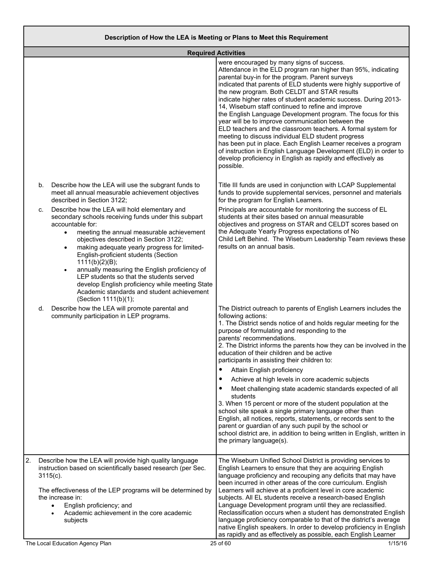|    |    | <b>Required Activities</b>                                                                                                                                                                                                                                                                                                                                                                                                                                                                                                                                                             |                                                                                                                                                                                                                                                                                                                                                                                                                                                                                                                                                                                                                                                                                                                                                                                                                                                                          |
|----|----|----------------------------------------------------------------------------------------------------------------------------------------------------------------------------------------------------------------------------------------------------------------------------------------------------------------------------------------------------------------------------------------------------------------------------------------------------------------------------------------------------------------------------------------------------------------------------------------|--------------------------------------------------------------------------------------------------------------------------------------------------------------------------------------------------------------------------------------------------------------------------------------------------------------------------------------------------------------------------------------------------------------------------------------------------------------------------------------------------------------------------------------------------------------------------------------------------------------------------------------------------------------------------------------------------------------------------------------------------------------------------------------------------------------------------------------------------------------------------|
|    |    |                                                                                                                                                                                                                                                                                                                                                                                                                                                                                                                                                                                        | were encouraged by many signs of success.<br>Attendance in the ELD program ran higher than 95%, indicating<br>parental buy-in for the program. Parent surveys<br>indicated that parents of ELD students were highly supportive of<br>the new program. Both CELDT and STAR results<br>indicate higher rates of student academic success. During 2013-<br>14, Wiseburn staff continued to refine and improve<br>the English Language Development program. The focus for this<br>year will be to improve communication between the<br>ELD teachers and the classroom teachers. A formal system for<br>meeting to discuss individual ELD student progress<br>has been put in place. Each English Learner receives a program<br>of instruction in English Language Development (ELD) in order to<br>develop proficiency in English as rapidly and effectively as<br>possible. |
|    | b. | Describe how the LEA will use the subgrant funds to<br>meet all annual measurable achievement objectives<br>described in Section 3122;                                                                                                                                                                                                                                                                                                                                                                                                                                                 | Title III funds are used in conjunction with LCAP Supplemental<br>funds to provide supplemental services, personnel and materials<br>for the program for English Learners.                                                                                                                                                                                                                                                                                                                                                                                                                                                                                                                                                                                                                                                                                               |
|    | c. | Describe how the LEA will hold elementary and<br>secondary schools receiving funds under this subpart<br>accountable for:<br>meeting the annual measurable achievement<br>$\bullet$<br>objectives described in Section 3122;<br>making adequate yearly progress for limited-<br>$\bullet$<br>English-proficient students (Section<br>1111(b)(2)(B);<br>annually measuring the English proficiency of<br>$\bullet$<br>LEP students so that the students served<br>develop English proficiency while meeting State<br>Academic standards and student achievement<br>(Section 1111(b)(1); | Principals are accountable for monitoring the success of EL<br>students at their sites based on annual measurable<br>objectives and progress on STAR and CELDT scores based on<br>the Adequate Yearly Progress expectations of No<br>Child Left Behind. The Wiseburn Leadership Team reviews these<br>results on an annual basis.                                                                                                                                                                                                                                                                                                                                                                                                                                                                                                                                        |
|    | d. | Describe how the LEA will promote parental and<br>community participation in LEP programs.                                                                                                                                                                                                                                                                                                                                                                                                                                                                                             | The District outreach to parents of English Learners includes the<br>following actions:<br>1. The District sends notice of and holds regular meeting for the<br>purpose of formulating and responding to the<br>parents' recommendations.<br>2. The District informs the parents how they can be involved in the<br>education of their children and be active<br>participants in assisting their children to:<br>$\bullet$<br>Attain English proficiency<br>Achieve at high levels in core academic subjects<br>$\bullet$<br>Meet challenging state academic standards expected of all<br>students<br>3. When 15 percent or more of the student population at the<br>school site speak a single primary language other than<br>English, all notices, reports, statements, or records sent to the<br>parent or guardian of any such pupil by the school or                |
|    |    |                                                                                                                                                                                                                                                                                                                                                                                                                                                                                                                                                                                        | school district are, in addition to being written in English, written in<br>the primary language(s).                                                                                                                                                                                                                                                                                                                                                                                                                                                                                                                                                                                                                                                                                                                                                                     |
| 2. |    | Describe how the LEA will provide high quality language<br>instruction based on scientifically based research (per Sec.<br>$3115(c)$ .<br>The effectiveness of the LEP programs will be determined by<br>the increase in:<br>English proficiency; and<br>$\bullet$<br>Academic achievement in the core academic<br>subjects                                                                                                                                                                                                                                                            | The Wiseburn Unified School District is providing services to<br>English Learners to ensure that they are acquiring English<br>language proficiency and recouping any deficits that may have<br>been incurred in other areas of the core curriculum. English<br>Learners will achieve at a proficient level in core academic<br>subjects. All EL students receive a research-based English<br>Language Development program until they are reclassified.<br>Reclassification occurs when a student has demonstrated English<br>language proficiency comparable to that of the district's average<br>native English speakers. In order to develop proficiency in English<br>as rapidly and as effectively as possible, each English Learner                                                                                                                                |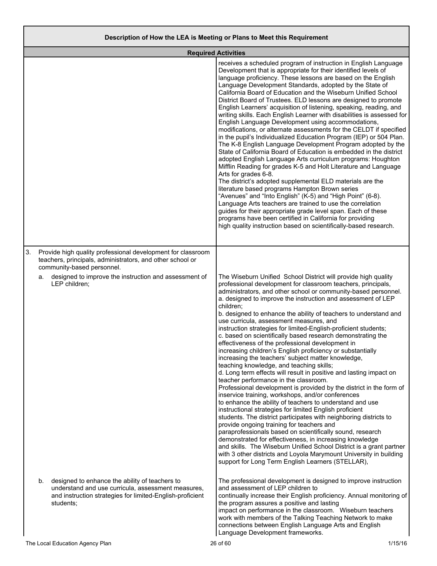### **Description of How the LEA is Meeting or Plans to Meet this Requirement**

|    |                                                                                                                                                                                      | <b>Required Activities</b>                                                                                                                                                                                                                                                                                                                                                                                                                                                                                                                                                                                                                                                                                                                                                                                                                                                                                                                                                                                                                                                                                                                                                                                                                                                                                                                                                                                                                                                                                                                                       |
|----|--------------------------------------------------------------------------------------------------------------------------------------------------------------------------------------|------------------------------------------------------------------------------------------------------------------------------------------------------------------------------------------------------------------------------------------------------------------------------------------------------------------------------------------------------------------------------------------------------------------------------------------------------------------------------------------------------------------------------------------------------------------------------------------------------------------------------------------------------------------------------------------------------------------------------------------------------------------------------------------------------------------------------------------------------------------------------------------------------------------------------------------------------------------------------------------------------------------------------------------------------------------------------------------------------------------------------------------------------------------------------------------------------------------------------------------------------------------------------------------------------------------------------------------------------------------------------------------------------------------------------------------------------------------------------------------------------------------------------------------------------------------|
|    |                                                                                                                                                                                      | receives a scheduled program of instruction in English Language<br>Development that is appropriate for their identified levels of<br>language proficiency. These lessons are based on the English<br>Language Development Standards, adopted by the State of<br>California Board of Education and the Wiseburn Unified School<br>District Board of Trustees. ELD lessons are designed to promote<br>English Learners' acquisition of listening, speaking, reading, and<br>writing skills. Each English Learner with disabilities is assessed for<br>English Language Development using accommodations,<br>modifications, or alternate assessments for the CELDT if specified<br>in the pupil's Individualized Education Program (IEP) or 504 Plan.<br>The K-8 English Language Development Program adopted by the<br>State of California Board of Education is embedded in the district<br>adopted English Language Arts curriculum programs: Houghton<br>Mifflin Reading for grades K-5 and Holt Literature and Language<br>Arts for grades 6-8.<br>The district's adopted supplemental ELD materials are the<br>literature based programs Hampton Brown series<br>"Avenues" and "Into English" (K-5) and "High Point" (6-8).<br>Language Arts teachers are trained to use the correlation<br>guides for their appropriate grade level span. Each of these<br>programs have been certified in California for providing<br>high quality instruction based on scientifically-based research.                                                                      |
| 3. | Provide high quality professional development for classroom<br>teachers, principals, administrators, and other school or<br>community-based personnel.                               |                                                                                                                                                                                                                                                                                                                                                                                                                                                                                                                                                                                                                                                                                                                                                                                                                                                                                                                                                                                                                                                                                                                                                                                                                                                                                                                                                                                                                                                                                                                                                                  |
|    | designed to improve the instruction and assessment of<br>а.<br>LEP children;                                                                                                         | The Wiseburn Unified School District will provide high quality<br>professional development for classroom teachers, principals,<br>administrators, and other school or community-based personnel.<br>a. designed to improve the instruction and assessment of LEP<br>children;<br>b. designed to enhance the ability of teachers to understand and<br>use curricula, assessment measures, and<br>instruction strategies for limited-English-proficient students;<br>c. based on scientifically based research demonstrating the<br>effectiveness of the professional development in<br>increasing children's English proficiency or substantially<br>increasing the teachers' subject matter knowledge,<br>teaching knowledge, and teaching skills;<br>d. Long term effects will result in positive and lasting impact on<br>teacher performance in the classroom.<br>Professional development is provided by the district in the form of<br>inservice training, workshops, and/or conferences<br>to enhance the ability of teachers to understand and use<br>instructional strategies for limited English proficient<br>students. The district participates with neighboring districts to<br>provide ongoing training for teachers and<br>paraprofessionals based on scientifically sound, research<br>demonstrated for effectiveness, in increasing knowledge<br>and skills. The Wiseburn Unified School District is a grant partner<br>with 3 other districts and Loyola Marymount University in building<br>support for Long Term English Learners (STELLAR), |
|    | designed to enhance the ability of teachers to<br>b.<br>understand and use curricula, assessment measures,<br>and instruction strategies for limited-English-proficient<br>students; | The professional development is designed to improve instruction<br>and assessment of LEP children to<br>continually increase their English proficiency. Annual monitoring of<br>the program assures a positive and lasting<br>impact on performance in the classroom. Wiseburn teachers<br>work with members of the Talking Teaching Network to make<br>connections between English Language Arts and English<br>Language Development frameworks.                                                                                                                                                                                                                                                                                                                                                                                                                                                                                                                                                                                                                                                                                                                                                                                                                                                                                                                                                                                                                                                                                                                |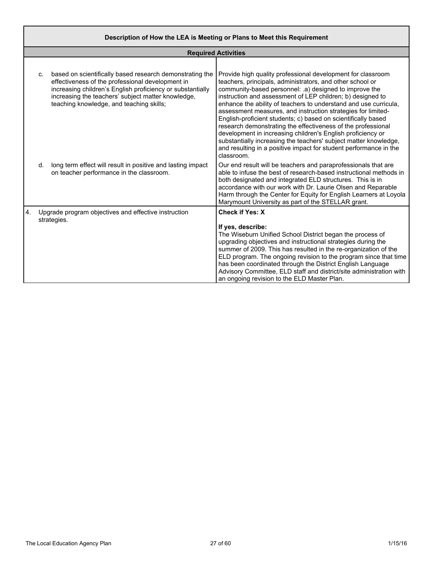|    | Description of How the LEA is Meeting or Plans to Meet this Requirement |                                                                                                                                                                                                                                                                              |                                                                                                                                                                                                                                                                                                                                                                                                                                                                                                                                                                                                                                                          |  |  |  |  |  |  |
|----|-------------------------------------------------------------------------|------------------------------------------------------------------------------------------------------------------------------------------------------------------------------------------------------------------------------------------------------------------------------|----------------------------------------------------------------------------------------------------------------------------------------------------------------------------------------------------------------------------------------------------------------------------------------------------------------------------------------------------------------------------------------------------------------------------------------------------------------------------------------------------------------------------------------------------------------------------------------------------------------------------------------------------------|--|--|--|--|--|--|
|    | <b>Required Activities</b>                                              |                                                                                                                                                                                                                                                                              |                                                                                                                                                                                                                                                                                                                                                                                                                                                                                                                                                                                                                                                          |  |  |  |  |  |  |
|    | C.                                                                      | based on scientifically based research demonstrating the<br>effectiveness of the professional development in<br>increasing children's English proficiency or substantially<br>increasing the teachers' subject matter knowledge,<br>teaching knowledge, and teaching skills; | Provide high quality professional development for classroom<br>teachers, principals, administrators, and other school or<br>community-based personnel: .a) designed to improve the<br>instruction and assessment of LEP children; b) designed to<br>enhance the ability of teachers to understand and use curricula,<br>assessment measures, and instruction strategies for limited-<br>English-proficient students; c) based on scientifically based<br>research demonstrating the effectiveness of the professional<br>development in increasing children's English proficiency or<br>substantially increasing the teachers' subject matter knowledge, |  |  |  |  |  |  |
|    | d.                                                                      | long term effect will result in positive and lasting impact<br>on teacher performance in the classroom.                                                                                                                                                                      | and resulting in a positive impact for student performance in the<br>classroom.<br>Our end result will be teachers and paraprofessionals that are<br>able to infuse the best of research-based instructional methods in<br>both designated and integrated ELD structures. This is in<br>accordance with our work with Dr. Laurie Olsen and Reparable<br>Harm through the Center for Equity for English Learners at Loyola<br>Marymount University as part of the STELLAR grant.                                                                                                                                                                          |  |  |  |  |  |  |
| 4. |                                                                         | Upgrade program objectives and effective instruction<br>strategies.                                                                                                                                                                                                          | <b>Check if Yes: X</b><br>If yes, describe:<br>The Wiseburn Unified School District began the process of<br>upgrading objectives and instructional strategies during the<br>summer of 2009. This has resulted in the re-organization of the<br>ELD program. The ongoing revision to the program since that time<br>has been coordinated through the District English Language<br>Advisory Committee, ELD staff and district/site administration with<br>an ongoing revision to the ELD Master Plan.                                                                                                                                                      |  |  |  |  |  |  |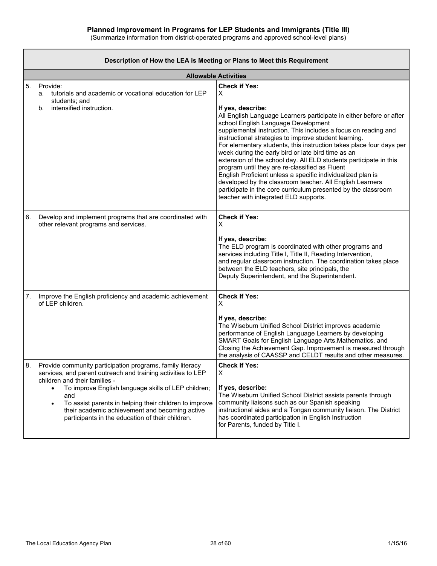|    | Description of How the LEA is Meeting or Plans to Meet this Requirement                                                                                                                                                                                                                                                                                                                                    |                                                                                                                                                                                                                                                                                                                                                                                                                                                                                                                                                                                                                                                                                                                                                                                  |  |  |  |  |  |  |  |
|----|------------------------------------------------------------------------------------------------------------------------------------------------------------------------------------------------------------------------------------------------------------------------------------------------------------------------------------------------------------------------------------------------------------|----------------------------------------------------------------------------------------------------------------------------------------------------------------------------------------------------------------------------------------------------------------------------------------------------------------------------------------------------------------------------------------------------------------------------------------------------------------------------------------------------------------------------------------------------------------------------------------------------------------------------------------------------------------------------------------------------------------------------------------------------------------------------------|--|--|--|--|--|--|--|
|    |                                                                                                                                                                                                                                                                                                                                                                                                            | <b>Allowable Activities</b>                                                                                                                                                                                                                                                                                                                                                                                                                                                                                                                                                                                                                                                                                                                                                      |  |  |  |  |  |  |  |
| 5. | Provide:<br>tutorials and academic or vocational education for LEP<br>а.<br>students; and<br>intensified instruction.<br>b.                                                                                                                                                                                                                                                                                | <b>Check if Yes:</b><br>Χ<br>If yes, describe:<br>All English Language Learners participate in either before or after<br>school English Language Development<br>supplemental instruction. This includes a focus on reading and<br>instructional strategies to improve student learning.<br>For elementary students, this instruction takes place four days per<br>week during the early bird or late bird time as an<br>extension of the school day. All ELD students participate in this<br>program until they are re-classified as Fluent<br>English Proficient unless a specific individualized plan is<br>developed by the classroom teacher. All English Learners<br>participate in the core curriculum presented by the classroom<br>teacher with integrated ELD supports. |  |  |  |  |  |  |  |
| 6. | Develop and implement programs that are coordinated with<br>other relevant programs and services.                                                                                                                                                                                                                                                                                                          | <b>Check if Yes:</b><br>X<br>If yes, describe:<br>The ELD program is coordinated with other programs and<br>services including Title I, Title II, Reading Intervention,<br>and regular classroom instruction. The coordination takes place<br>between the ELD teachers, site principals, the<br>Deputy Superintendent, and the Superintendent.                                                                                                                                                                                                                                                                                                                                                                                                                                   |  |  |  |  |  |  |  |
| 7. | Improve the English proficiency and academic achievement<br>of LEP children.                                                                                                                                                                                                                                                                                                                               | <b>Check if Yes:</b><br>X<br>If yes, describe:<br>The Wiseburn Unified School District improves academic<br>performance of English Language Learners by developing<br>SMART Goals for English Language Arts, Mathematics, and<br>Closing the Achievement Gap. Improvement is measured through<br>the analysis of CAASSP and CELDT results and other measures.                                                                                                                                                                                                                                                                                                                                                                                                                    |  |  |  |  |  |  |  |
| 8. | Provide community participation programs, family literacy<br>services, and parent outreach and training activities to LEP<br>children and their families -<br>To improve English language skills of LEP children;<br>$\bullet$<br>and<br>To assist parents in helping their children to improve<br>٠<br>their academic achievement and becoming active<br>participants in the education of their children. | <b>Check if Yes:</b><br>X<br>If yes, describe:<br>The Wiseburn Unified School District assists parents through<br>community liaisons such as our Spanish speaking<br>instructional aides and a Tongan community liaison. The District<br>has coordinated participation in English Instruction<br>for Parents, funded by Title I.                                                                                                                                                                                                                                                                                                                                                                                                                                                 |  |  |  |  |  |  |  |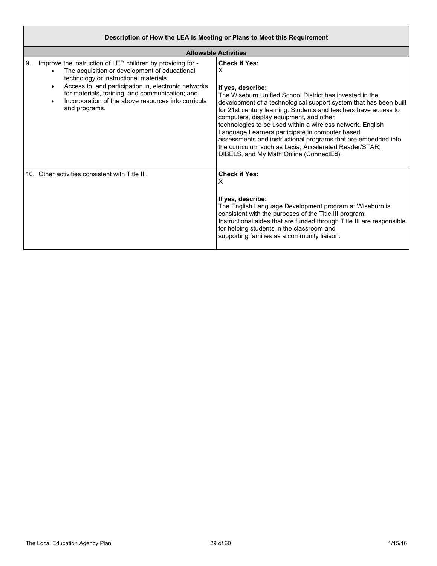| Description of How the LEA is Meeting or Plans to Meet this Requirement                                                                                                                                                                                                                                                                                    |                                                                                                                                                                                                                                                                                                                                                                                                                                                                                                                                                                                      |  |  |  |  |  |  |  |
|------------------------------------------------------------------------------------------------------------------------------------------------------------------------------------------------------------------------------------------------------------------------------------------------------------------------------------------------------------|--------------------------------------------------------------------------------------------------------------------------------------------------------------------------------------------------------------------------------------------------------------------------------------------------------------------------------------------------------------------------------------------------------------------------------------------------------------------------------------------------------------------------------------------------------------------------------------|--|--|--|--|--|--|--|
|                                                                                                                                                                                                                                                                                                                                                            | <b>Allowable Activities</b>                                                                                                                                                                                                                                                                                                                                                                                                                                                                                                                                                          |  |  |  |  |  |  |  |
| 9.<br>Improve the instruction of LEP children by providing for -<br>The acquisition or development of educational<br>technology or instructional materials<br>Access to, and participation in, electronic networks<br>$\bullet$<br>for materials, training, and communication; and<br>Incorporation of the above resources into curricula<br>and programs. | <b>Check if Yes:</b><br>X<br>If yes, describe:<br>The Wiseburn Unified School District has invested in the<br>development of a technological support system that has been built<br>for 21st century learning. Students and teachers have access to<br>computers, display equipment, and other<br>technologies to be used within a wireless network. English<br>Language Learners participate in computer based<br>assessments and instructional programs that are embedded into<br>the curriculum such as Lexia, Accelerated Reader/STAR,<br>DIBELS, and My Math Online (ConnectEd). |  |  |  |  |  |  |  |
| 10. Other activities consistent with Title III.                                                                                                                                                                                                                                                                                                            | <b>Check if Yes:</b><br>X<br>If yes, describe:<br>The English Language Development program at Wiseburn is<br>consistent with the purposes of the Title III program.<br>Instructional aides that are funded through Title III are responsible<br>for helping students in the classroom and<br>supporting families as a community liaison.                                                                                                                                                                                                                                             |  |  |  |  |  |  |  |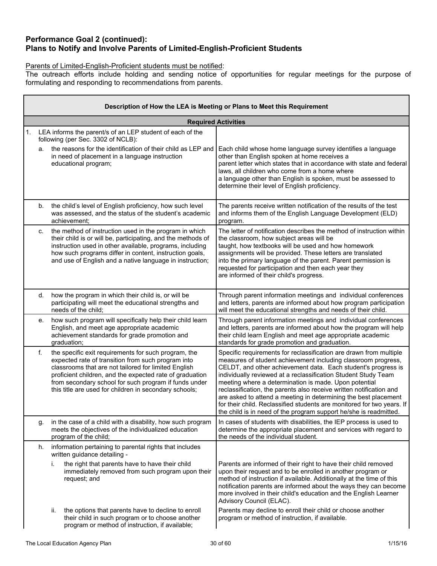### **Performance Goal 2 (continued): Plans to Notify and Involve Parents of Limited-English-Proficient Students**

### Parents of Limited-English-Proficient students must be notified:

The outreach efforts include holding and sending notice of opportunities for regular meetings for the purpose of formulating and responding to recommendations from parents.

|    | Description of How the LEA is Meeting or Plans to Meet this Requirement |                                                                                                                                                                                                                                                                                                                                                   |                                                                                                                                                                                                                                                                                                                                                                                                                                                                                                                                                                                                                          |  |  |  |  |  |  |
|----|-------------------------------------------------------------------------|---------------------------------------------------------------------------------------------------------------------------------------------------------------------------------------------------------------------------------------------------------------------------------------------------------------------------------------------------|--------------------------------------------------------------------------------------------------------------------------------------------------------------------------------------------------------------------------------------------------------------------------------------------------------------------------------------------------------------------------------------------------------------------------------------------------------------------------------------------------------------------------------------------------------------------------------------------------------------------------|--|--|--|--|--|--|
|    |                                                                         |                                                                                                                                                                                                                                                                                                                                                   | <b>Required Activities</b>                                                                                                                                                                                                                                                                                                                                                                                                                                                                                                                                                                                               |  |  |  |  |  |  |
| 1. |                                                                         | LEA informs the parent/s of an LEP student of each of the<br>following (per Sec. 3302 of NCLB):                                                                                                                                                                                                                                                   |                                                                                                                                                                                                                                                                                                                                                                                                                                                                                                                                                                                                                          |  |  |  |  |  |  |
|    | a.                                                                      | the reasons for the identification of their child as LEP and<br>in need of placement in a language instruction<br>educational program;                                                                                                                                                                                                            | Each child whose home language survey identifies a language<br>other than English spoken at home receives a<br>parent letter which states that in accordance with state and federal<br>laws, all children who come from a home where<br>a language other than English is spoken, must be assessed to<br>determine their level of English proficiency.                                                                                                                                                                                                                                                                    |  |  |  |  |  |  |
|    | b.                                                                      | the child's level of English proficiency, how such level<br>was assessed, and the status of the student's academic<br>achievement;                                                                                                                                                                                                                | The parents receive written notification of the results of the test<br>and informs them of the English Language Development (ELD)<br>program.                                                                                                                                                                                                                                                                                                                                                                                                                                                                            |  |  |  |  |  |  |
|    | C.                                                                      | the method of instruction used in the program in which<br>their child is or will be, participating, and the methods of<br>instruction used in other available, programs, including<br>how such programs differ in content, instruction goals,<br>and use of English and a native language in instruction;                                         | The letter of notification describes the method of instruction within<br>the classroom, how subject areas will be<br>taught, how textbooks will be used and how homework<br>assignments will be provided. These letters are translated<br>into the primary language of the parent. Parent permission is<br>requested for participation and then each year they<br>are informed of their child's progress.                                                                                                                                                                                                                |  |  |  |  |  |  |
|    | d.                                                                      | how the program in which their child is, or will be<br>participating will meet the educational strengths and<br>needs of the child;                                                                                                                                                                                                               | Through parent information meetings and individual conferences<br>and letters, parents are informed about how program participation<br>will meet the educational strengths and needs of their child.                                                                                                                                                                                                                                                                                                                                                                                                                     |  |  |  |  |  |  |
|    | е.                                                                      | how such program will specifically help their child learn<br>English, and meet age appropriate academic<br>achievement standards for grade promotion and<br>graduation;                                                                                                                                                                           | Through parent information meetings and individual conferences<br>and letters, parents are informed about how the program will help<br>their child learn English and meet age appropriate academic<br>standards for grade promotion and graduation.                                                                                                                                                                                                                                                                                                                                                                      |  |  |  |  |  |  |
|    | f.                                                                      | the specific exit requirements for such program, the<br>expected rate of transition from such program into<br>classrooms that are not tailored for limited English<br>proficient children, and the expected rate of graduation<br>from secondary school for such program if funds under<br>this title are used for children in secondary schools; | Specific requirements for reclassification are drawn from multiple<br>measures of student achievement including classroom progress,<br>CELDT, and other achievement data. Each student's progress is<br>individually reviewed at a reclassification Student Study Team<br>meeting where a determination is made. Upon potential<br>reclassification, the parents also receive written notification and<br>are asked to attend a meeting in determining the best placement<br>for their child. Reclassified students are monitored for two years. If<br>the child is in need of the program support he/she is readmitted. |  |  |  |  |  |  |
|    | g.                                                                      | in the case of a child with a disability, how such program<br>meets the objectives of the individualized education<br>program of the child;                                                                                                                                                                                                       | In cases of students with disabilities, the IEP process is used to<br>determine the appropriate placement and services with regard to<br>the needs of the individual student.                                                                                                                                                                                                                                                                                                                                                                                                                                            |  |  |  |  |  |  |
|    | h.                                                                      | information pertaining to parental rights that includes<br>written guidance detailing -                                                                                                                                                                                                                                                           |                                                                                                                                                                                                                                                                                                                                                                                                                                                                                                                                                                                                                          |  |  |  |  |  |  |
|    |                                                                         | the right that parents have to have their child<br>i.<br>immediately removed from such program upon their<br>request; and                                                                                                                                                                                                                         | Parents are informed of their right to have their child removed<br>upon their request and to be enrolled in another program or<br>method of instruction if available. Additionally at the time of this<br>notification parents are informed about the ways they can become<br>more involved in their child's education and the English Learner<br>Advisory Council (ELAC).                                                                                                                                                                                                                                               |  |  |  |  |  |  |
|    |                                                                         | the options that parents have to decline to enroll<br>II.<br>their child in such program or to choose another<br>program or method of instruction, if available;                                                                                                                                                                                  | Parents may decline to enroll their child or choose another<br>program or method of instruction, if available.                                                                                                                                                                                                                                                                                                                                                                                                                                                                                                           |  |  |  |  |  |  |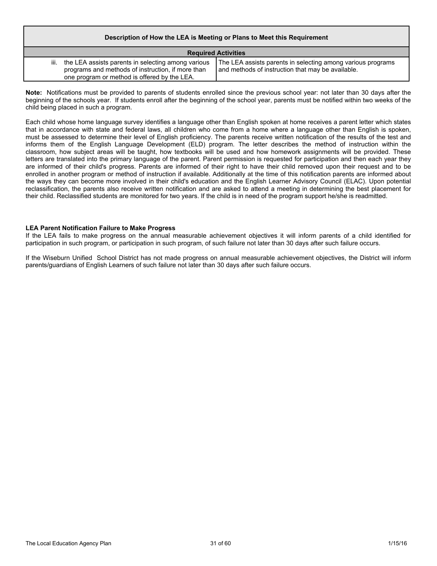#### **Description of How the LEA is Meeting or Plans to Meet this Requirement**

| <b>Required Activities</b>                                                                                                                                   |                                                                                                                  |  |  |  |  |  |  |  |
|--------------------------------------------------------------------------------------------------------------------------------------------------------------|------------------------------------------------------------------------------------------------------------------|--|--|--|--|--|--|--|
| iii. the LEA assists parents in selecting among various<br>programs and methods of instruction, if more than<br>one program or method is offered by the LEA. | The LEA assists parents in selecting among various programs<br>and methods of instruction that may be available. |  |  |  |  |  |  |  |

**Note:** Notifications must be provided to parents of students enrolled since the previous school year: not later than 30 days after the beginning of the schools year. If students enroll after the beginning of the school year, parents must be notified within two weeks of the child being placed in such a program.

Each child whose home language survey identifies a language other than English spoken at home receives a parent letter which states that in accordance with state and federal laws, all children who come from a home where a language other than English is spoken, must be assessed to determine their level of English proficiency. The parents receive written notification of the results of the test and informs them of the English Language Development (ELD) program. The letter describes the method of instruction within the classroom, how subject areas will be taught, how textbooks will be used and how homework assignments will be provided. These letters are translated into the primary language of the parent. Parent permission is requested for participation and then each year they are informed of their child's progress. Parents are informed of their right to have their child removed upon their request and to be enrolled in another program or method of instruction if available. Additionally at the time of this notification parents are informed about the ways they can become more involved in their child's education and the English Learner Advisory Council (ELAC). Upon potential reclassification, the parents also receive written notification and are asked to attend a meeting in determining the best placement for their child. Reclassified students are monitored for two years. If the child is in need of the program support he/she is readmitted.

#### **LEA Parent Notification Failure to Make Progress**

If the LEA fails to make progress on the annual measurable achievement objectives it will inform parents of a child identified for participation in such program, or participation in such program, of such failure not later than 30 days after such failure occurs.

If the Wiseburn Unified School District has not made progress on annual measurable achievement objectives, the District will inform parents/guardians of English Learners of such failure not later than 30 days after such failure occurs.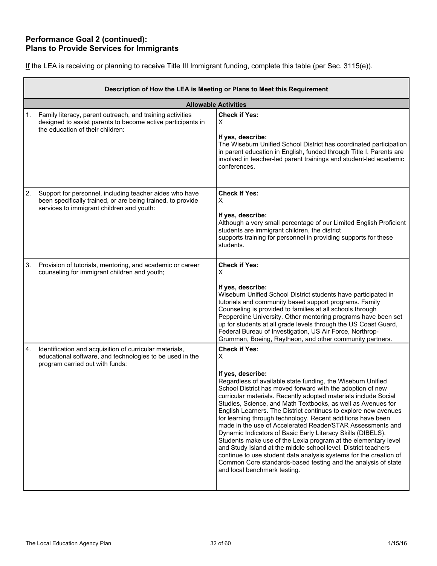### **Performance Goal 2 (continued): Plans to Provide Services for Immigrants**

| If the LEA is receiving or planning to receive Title III Immigrant funding, complete this table (per Sec. 3115(e)). |  |  |  |  |  |  |  |
|---------------------------------------------------------------------------------------------------------------------|--|--|--|--|--|--|--|
|                                                                                                                     |  |  |  |  |  |  |  |

|    | Description of How the LEA is Meeting or Plans to Meet this Requirement                                                                                             |                                                                                                                                                                                                                                                                                                                                                                                                                                                                                                                                                                                                                                                                                                                                                                                                                                                                                         |  |  |
|----|---------------------------------------------------------------------------------------------------------------------------------------------------------------------|-----------------------------------------------------------------------------------------------------------------------------------------------------------------------------------------------------------------------------------------------------------------------------------------------------------------------------------------------------------------------------------------------------------------------------------------------------------------------------------------------------------------------------------------------------------------------------------------------------------------------------------------------------------------------------------------------------------------------------------------------------------------------------------------------------------------------------------------------------------------------------------------|--|--|
|    |                                                                                                                                                                     | <b>Allowable Activities</b>                                                                                                                                                                                                                                                                                                                                                                                                                                                                                                                                                                                                                                                                                                                                                                                                                                                             |  |  |
| 1. | Family literacy, parent outreach, and training activities<br>designed to assist parents to become active participants in<br>the education of their children:        | <b>Check if Yes:</b><br>X<br>If yes, describe:<br>The Wiseburn Unified School District has coordinated participation<br>in parent education in English, funded through Title I. Parents are<br>involved in teacher-led parent trainings and student-led academic<br>conferences.                                                                                                                                                                                                                                                                                                                                                                                                                                                                                                                                                                                                        |  |  |
| 2. | Support for personnel, including teacher aides who have<br>been specifically trained, or are being trained, to provide<br>services to immigrant children and youth: | <b>Check if Yes:</b><br>X<br>If yes, describe:<br>Although a very small percentage of our Limited English Proficient<br>students are immigrant children, the district<br>supports training for personnel in providing supports for these<br>students.                                                                                                                                                                                                                                                                                                                                                                                                                                                                                                                                                                                                                                   |  |  |
| 3. | Provision of tutorials, mentoring, and academic or career<br>counseling for immigrant children and youth;                                                           | <b>Check if Yes:</b><br>x<br>If yes, describe:<br>Wiseburn Unified School District students have participated in<br>tutorials and community based support programs. Family<br>Counseling is provided to families at all schools through<br>Pepperdine University. Other mentoring programs have been set<br>up for students at all grade levels through the US Coast Guard,<br>Federal Bureau of Investigation, US Air Force, Northrop-<br>Grumman, Boeing, Raytheon, and other community partners.                                                                                                                                                                                                                                                                                                                                                                                     |  |  |
| 4. | Identification and acquisition of curricular materials,<br>educational software, and technologies to be used in the<br>program carried out with funds:              | <b>Check if Yes:</b><br>X<br>If yes, describe:<br>Regardless of available state funding, the Wiseburn Unified<br>School District has moved forward with the adoption of new<br>curricular materials. Recently adopted materials include Social<br>Studies, Science, and Math Textbooks, as well as Avenues for<br>English Learners. The District continues to explore new avenues<br>for learning through technology. Recent additions have been<br>made in the use of Accelerated Reader/STAR Assessments and<br>Dynamic Indicators of Basic Early Literacy Skills (DIBELS).<br>Students make use of the Lexia program at the elementary level<br>and Study Island at the middle school level. District teachers<br>continue to use student data analysis systems for the creation of<br>Common Core standards-based testing and the analysis of state<br>and local benchmark testing. |  |  |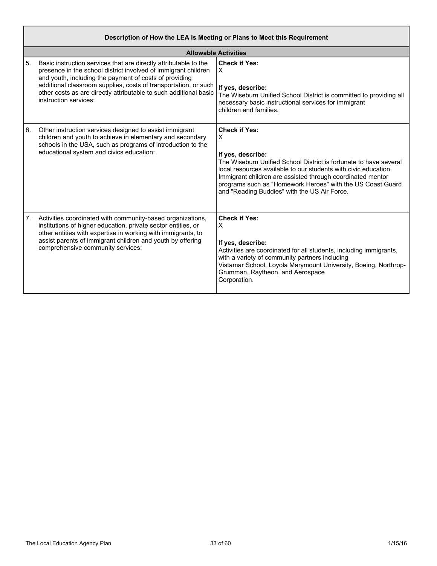|    | Description of How the LEA is Meeting or Plans to Meet this Requirement                                                                                                                                                                                                                                                                                       |                                                                                                                                                                                                                                                                                                                                                                    |  |  |
|----|---------------------------------------------------------------------------------------------------------------------------------------------------------------------------------------------------------------------------------------------------------------------------------------------------------------------------------------------------------------|--------------------------------------------------------------------------------------------------------------------------------------------------------------------------------------------------------------------------------------------------------------------------------------------------------------------------------------------------------------------|--|--|
|    |                                                                                                                                                                                                                                                                                                                                                               | <b>Allowable Activities</b>                                                                                                                                                                                                                                                                                                                                        |  |  |
| 5. | Basic instruction services that are directly attributable to the<br>presence in the school district involved of immigrant children<br>and youth, including the payment of costs of providing<br>additional classroom supplies, costs of transportation, or such<br>other costs as are directly attributable to such additional basic<br>instruction services: | <b>Check if Yes:</b><br>$\times$<br>If yes, describe:<br>The Wiseburn Unified School District is committed to providing all<br>necessary basic instructional services for immigrant<br>children and families.                                                                                                                                                      |  |  |
| 6. | Other instruction services designed to assist immigrant<br>children and youth to achieve in elementary and secondary<br>schools in the USA, such as programs of introduction to the<br>educational system and civics education:                                                                                                                               | <b>Check if Yes:</b><br>X<br>If yes, describe:<br>The Wiseburn Unified School District is fortunate to have several<br>local resources available to our students with civic education.<br>Immigrant children are assisted through coordinated mentor<br>programs such as "Homework Heroes" with the US Coast Guard<br>and "Reading Buddies" with the US Air Force. |  |  |
| 7. | Activities coordinated with community-based organizations,<br>institutions of higher education, private sector entities, or<br>other entities with expertise in working with immigrants, to<br>assist parents of immigrant children and youth by offering<br>comprehensive community services:                                                                | <b>Check if Yes:</b><br>X<br>If yes, describe:<br>Activities are coordinated for all students, including immigrants,<br>with a variety of community partners including<br>Vistamar School, Loyola Marymount University, Boeing, Northrop-<br>Grumman, Raytheon, and Aerospace<br>Corporation.                                                                      |  |  |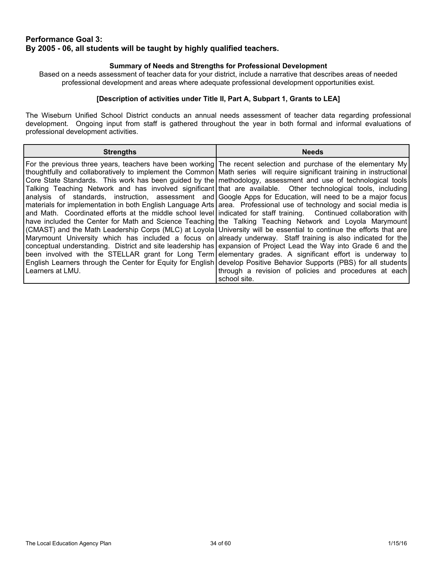### **Performance Goal 3: By 2005 - 06, all students will be taught by highly qualified teachers.**

### **Summary of Needs and Strengths for Professional Development**

Based on a needs assessment of teacher data for your district, include a narrative that describes areas of needed professional development and areas where adequate professional development opportunities exist.

### **[Description of activities under Title II, Part A, Subpart 1, Grants to LEA]**

The Wiseburn Unified School District conducts an annual needs assessment of teacher data regarding professional development. Ongoing input from staff is gathered throughout the year in both formal and informal evaluations of professional development activities.

| <b>Strengths</b>   | <b>Needs</b>                                                                                                                                                                                                                                                                                                                                                                                                                                                                                                                                                                                                                                                                                                                                                                                                                                                                                                                                                                                                                                                                                                                                                                                                                                                                                                                                                                                                                                                                                                                                             |
|--------------------|----------------------------------------------------------------------------------------------------------------------------------------------------------------------------------------------------------------------------------------------------------------------------------------------------------------------------------------------------------------------------------------------------------------------------------------------------------------------------------------------------------------------------------------------------------------------------------------------------------------------------------------------------------------------------------------------------------------------------------------------------------------------------------------------------------------------------------------------------------------------------------------------------------------------------------------------------------------------------------------------------------------------------------------------------------------------------------------------------------------------------------------------------------------------------------------------------------------------------------------------------------------------------------------------------------------------------------------------------------------------------------------------------------------------------------------------------------------------------------------------------------------------------------------------------------|
|                    | For the previous three years, teachers have been working The recent selection and purchase of the elementary My<br>thoughtfully and collaboratively to implement the Common Math series will require significant training in instructional<br>Core State Standards. This work has been guided by the methodology, assessment and use of technological tools<br>Talking Teaching Network and has involved significant that are available. Other technological tools, including<br>analysis of standards, instruction, assessment and Google Apps for Education, will need to be a major focus<br>materials for implementation in both English Language Arts area. Professional use of technology and social media is<br>and Math. Coordinated efforts at the middle school level indicated for staff training. Continued collaboration with<br>have included the Center for Math and Science Teaching the Talking Teaching Network and Loyola Marymount<br>(CMAST) and the Math Leadership Corps (MLC) at Loyola University will be essential to continue the efforts that are<br>Marymount University which has included a focus on already underway. Staff training is also indicated for the<br>conceptual understanding. District and site leadership has expansion of Project Lead the Way into Grade 6 and the<br>been involved with the STELLAR grant for Long Term elementary grades. A significant effort is underway to<br>English Learners through the Center for Equity for English develop Positive Behavior Supports (PBS) for all students |
| l Learners at LMU. | through a revision of policies and procedures at each<br>school site.                                                                                                                                                                                                                                                                                                                                                                                                                                                                                                                                                                                                                                                                                                                                                                                                                                                                                                                                                                                                                                                                                                                                                                                                                                                                                                                                                                                                                                                                                    |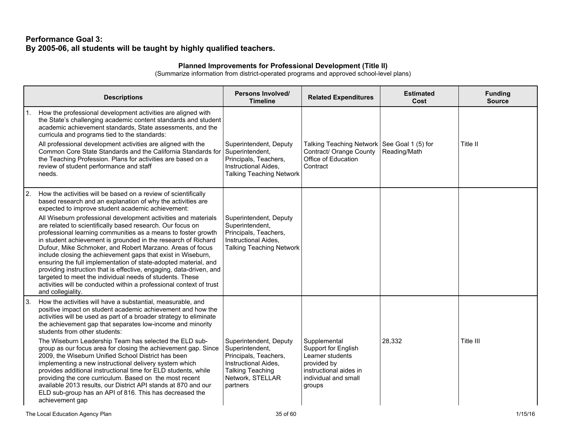### **Performance Goal 3: By 2005-06, all students will be taught by highly qualified teachers.**

### **Planned Improvements for Professional Development (Title II)**

|     | <b>Descriptions</b>                                                                                                                                                                                                                                                                                                                                                                                                                                                                                                                                                                                                                                                                           | <b>Persons Involved/</b><br><b>Timeline</b>                                                                                                           | <b>Related Expenditures</b>                                                                                                        | <b>Estimated</b><br>Cost | <b>Funding</b><br><b>Source</b> |
|-----|-----------------------------------------------------------------------------------------------------------------------------------------------------------------------------------------------------------------------------------------------------------------------------------------------------------------------------------------------------------------------------------------------------------------------------------------------------------------------------------------------------------------------------------------------------------------------------------------------------------------------------------------------------------------------------------------------|-------------------------------------------------------------------------------------------------------------------------------------------------------|------------------------------------------------------------------------------------------------------------------------------------|--------------------------|---------------------------------|
|     | How the professional development activities are aligned with<br>the State's challenging academic content standards and student<br>academic achievement standards, State assessments, and the<br>curricula and programs tied to the standards:<br>All professional development activities are aligned with the<br>Common Core State Standards and the California Standards for                                                                                                                                                                                                                                                                                                                 | Superintendent, Deputy<br>Superintendent,                                                                                                             | Talking Teaching Network   See Goal 1 (5) for<br>Contract/ Orange County                                                           | Reading/Math             | Title II                        |
|     | the Teaching Profession. Plans for activities are based on a<br>review of student performance and staff<br>needs.                                                                                                                                                                                                                                                                                                                                                                                                                                                                                                                                                                             | Principals, Teachers,<br>Instructional Aides,<br><b>Talking Teaching Network</b>                                                                      | Office of Education<br>Contract                                                                                                    |                          |                                 |
| 12. | How the activities will be based on a review of scientifically<br>based research and an explanation of why the activities are<br>expected to improve student academic achievement:                                                                                                                                                                                                                                                                                                                                                                                                                                                                                                            |                                                                                                                                                       |                                                                                                                                    |                          |                                 |
|     | All Wiseburn professional development activities and materials<br>are related to scientifically based research. Our focus on<br>professional learning communities as a means to foster growth<br>in student achievement is grounded in the research of Richard<br>Dufour, Mike Schmoker, and Robert Marzano. Areas of focus<br>include closing the achievement gaps that exist in Wiseburn,<br>ensuring the full implementation of state-adopted material, and<br>providing instruction that is effective, engaging, data-driven, and<br>targeted to meet the individual needs of students. These<br>activities will be conducted within a professional context of trust<br>and collegiality. | Superintendent, Deputy<br>Superintendent,<br>Principals, Teachers,<br>Instructional Aides,<br><b>Talking Teaching Network</b>                         |                                                                                                                                    |                          |                                 |
| 3.  | How the activities will have a substantial, measurable, and<br>positive impact on student academic achievement and how the<br>activities will be used as part of a broader strategy to eliminate<br>the achievement gap that separates low-income and minority<br>students from other students:                                                                                                                                                                                                                                                                                                                                                                                               |                                                                                                                                                       |                                                                                                                                    |                          |                                 |
|     | The Wiseburn Leadership Team has selected the ELD sub-<br>group as our focus area for closing the achievement gap. Since<br>2009, the Wiseburn Unified School District has been<br>implementing a new instructional delivery system which<br>provides additional instructional time for ELD students, while<br>providing the core curriculum. Based on the most recent<br>available 2013 results, our District API stands at 870 and our<br>ELD sub-group has an API of 816. This has decreased the<br>achievement gap                                                                                                                                                                        | Superintendent, Deputy<br>Superintendent,<br>Principals, Teachers,<br>Instructional Aides,<br><b>Talking Teaching</b><br>Network, STELLAR<br>partners | Supplemental<br>Support for English<br>Learner students<br>provided by<br>instructional aides in<br>individual and small<br>groups | 28,332                   | Title III                       |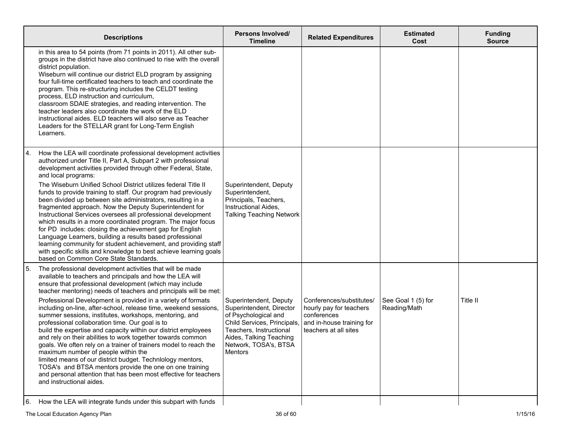| in this area to 54 points (from 71 points in 2011). All other sub-<br>groups in the district have also continued to rise with the overall<br>district population.<br>Wiseburn will continue our district ELD program by assigning<br>four full-time certificated teachers to teach and coordinate the<br>program. This re-structuring includes the CELDT testing<br>process, ELD instruction and curriculum,<br>classroom SDAIE strategies, and reading intervention. The<br>teacher leaders also coordinate the work of the ELD<br>instructional aides. ELD teachers will also serve as Teacher<br>Leaders for the STELLAR grant for Long-Term English<br>Learners.<br>How the LEA will coordinate professional development activities<br>14.<br>authorized under Title II, Part A, Subpart 2 with professional<br>development activities provided through other Federal, State,<br>and local programs:<br>The Wiseburn Unified School District utilizes federal Title II<br>Superintendent, Deputy<br>Superintendent,<br>funds to provide training to staff. Our program had previously<br>been divided up between site administrators, resulting in a<br>Principals, Teachers,<br>fragmented approach. Now the Deputy Superintendent for<br>Instructional Aides,<br>Instructional Services oversees all professional development<br><b>Talking Teaching Network</b><br>which results in a more coordinated program. The major focus<br>for PD includes: closing the achievement gap for English | <b>Funding</b><br><b>Source</b> |
|----------------------------------------------------------------------------------------------------------------------------------------------------------------------------------------------------------------------------------------------------------------------------------------------------------------------------------------------------------------------------------------------------------------------------------------------------------------------------------------------------------------------------------------------------------------------------------------------------------------------------------------------------------------------------------------------------------------------------------------------------------------------------------------------------------------------------------------------------------------------------------------------------------------------------------------------------------------------------------------------------------------------------------------------------------------------------------------------------------------------------------------------------------------------------------------------------------------------------------------------------------------------------------------------------------------------------------------------------------------------------------------------------------------------------------------------------------------------------------------------------|---------------------------------|
|                                                                                                                                                                                                                                                                                                                                                                                                                                                                                                                                                                                                                                                                                                                                                                                                                                                                                                                                                                                                                                                                                                                                                                                                                                                                                                                                                                                                                                                                                                    |                                 |
| Language Learners, building a results based professional<br>learning community for student achievement, and providing staff<br>with specific skills and knowledge to best achieve learning goals<br>based on Common Core State Standards.                                                                                                                                                                                                                                                                                                                                                                                                                                                                                                                                                                                                                                                                                                                                                                                                                                                                                                                                                                                                                                                                                                                                                                                                                                                          |                                 |
| 5.<br>The professional development activities that will be made<br>available to teachers and principals and how the LEA will<br>ensure that professional development (which may include<br>teacher mentoring) needs of teachers and principals will be met:<br>Conferences/substitutes/<br>See Goal 1 (5) for<br>Title II<br>Professional Development is provided in a variety of formats<br>Superintendent, Deputy<br>including on-line, after-school, release time, weekend sessions,<br>Superintendent, Director<br>Reading/Math<br>hourly pay for teachers<br>summer sessions, institutes, workshops, mentoring, and<br>of Psychological and<br>conferences<br>professional collaboration time. Our goal is to<br>Child Services, Principals,<br>and in-house training for<br>build the expertise and capacity within our district employees<br>Teachers, Instructional<br>teachers at all sites<br>and rely on their abilities to work together towards common<br>Aides, Talking Teaching<br>Network, TOSA's, BTSA<br>goals. We often rely on a trainer of trainers model to reach the<br>maximum number of people within the<br>Mentors<br>limited means of our district budget. Technlology mentors,<br>TOSA's and BTSA mentors provide the one on one training<br>and personal attention that has been most effective for teachers<br>and instructional aides.<br>How the LEA will integrate funds under this subpart with funds<br>16.                                                    |                                 |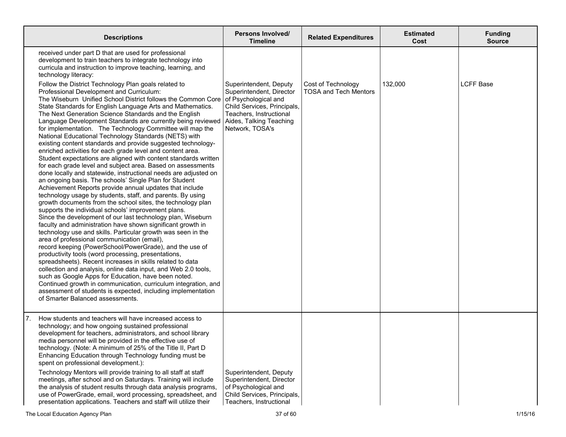| <b>Descriptions</b>                                                                                                                                                                                                                                                                                                                                                                                                                                                                                                                                                                                                                                                                                                                                                                                                                                                                                                                                                                                                                                                                                                                                                                                                                                                                                                                                                                                                                                                                                                                                                                                                                                                                                                                                                                                                                                                                                                                                                                                                                                                                    |                                                                                                                                                                                                                                                                                                                                                                                                            | <b>Persons Involved/</b><br><b>Timeline</b>                                                                                                                | <b>Related Expenditures</b>                        | <b>Estimated</b><br>Cost | <b>Funding</b><br><b>Source</b> |
|----------------------------------------------------------------------------------------------------------------------------------------------------------------------------------------------------------------------------------------------------------------------------------------------------------------------------------------------------------------------------------------------------------------------------------------------------------------------------------------------------------------------------------------------------------------------------------------------------------------------------------------------------------------------------------------------------------------------------------------------------------------------------------------------------------------------------------------------------------------------------------------------------------------------------------------------------------------------------------------------------------------------------------------------------------------------------------------------------------------------------------------------------------------------------------------------------------------------------------------------------------------------------------------------------------------------------------------------------------------------------------------------------------------------------------------------------------------------------------------------------------------------------------------------------------------------------------------------------------------------------------------------------------------------------------------------------------------------------------------------------------------------------------------------------------------------------------------------------------------------------------------------------------------------------------------------------------------------------------------------------------------------------------------------------------------------------------------|------------------------------------------------------------------------------------------------------------------------------------------------------------------------------------------------------------------------------------------------------------------------------------------------------------------------------------------------------------------------------------------------------------|------------------------------------------------------------------------------------------------------------------------------------------------------------|----------------------------------------------------|--------------------------|---------------------------------|
| received under part D that are used for professional<br>development to train teachers to integrate technology into<br>curricula and instruction to improve teaching, learning, and<br>technology literacy:<br>Follow the District Technology Plan goals related to<br>Professional Development and Curriculum:<br>The Wiseburn Unified School District follows the Common Core of Psychological and<br>State Standards for English Language Arts and Mathematics.<br>The Next Generation Science Standards and the English<br>Language Development Standards are currently being reviewed<br>for implementation. The Technology Committee will map the<br>National Educational Technology Standards (NETS) with<br>existing content standards and provide suggested technology-<br>enriched activities for each grade level and content area.<br>Student expectations are aligned with content standards written<br>for each grade level and subject area. Based on assessments<br>done locally and statewide, instructional needs are adjusted on<br>an ongoing basis. The schools' Single Plan for Student<br>Achievement Reports provide annual updates that include<br>technology usage by students, staff, and parents. By using<br>growth documents from the school sites, the technology plan<br>supports the individual schools' improvement plans.<br>Since the development of our last technology plan, Wiseburn<br>faculty and administration have shown significant growth in<br>technology use and skills. Particular growth was seen in the<br>area of professional communication (email),<br>record keeping (PowerSchool/PowerGrade), and the use of<br>productivity tools (word processing, presentations,<br>spreadsheets). Recent increases in skills related to data<br>collection and analysis, online data input, and Web 2.0 tools,<br>such as Google Apps for Education, have been noted.<br>Continued growth in communication, curriculum integration, and<br>assessment of students is expected, including implementation<br>of Smarter Balanced assessments. |                                                                                                                                                                                                                                                                                                                                                                                                            | Superintendent, Deputy<br>Superintendent, Director<br>Child Services, Principals,<br>Teachers, Instructional<br>Aides, Talking Teaching<br>Network, TOSA's | Cost of Technology<br><b>TOSA and Tech Mentors</b> | 132,000                  | <b>LCFF Base</b>                |
| 7 <sub>1</sub>                                                                                                                                                                                                                                                                                                                                                                                                                                                                                                                                                                                                                                                                                                                                                                                                                                                                                                                                                                                                                                                                                                                                                                                                                                                                                                                                                                                                                                                                                                                                                                                                                                                                                                                                                                                                                                                                                                                                                                                                                                                                         | How students and teachers will have increased access to<br>technology; and how ongoing sustained professional<br>development for teachers, administrators, and school library<br>media personnel will be provided in the effective use of<br>technology. (Note: A minimum of 25% of the Title II, Part D<br>Enhancing Education through Technology funding must be<br>spent on professional development.): |                                                                                                                                                            |                                                    |                          |                                 |
|                                                                                                                                                                                                                                                                                                                                                                                                                                                                                                                                                                                                                                                                                                                                                                                                                                                                                                                                                                                                                                                                                                                                                                                                                                                                                                                                                                                                                                                                                                                                                                                                                                                                                                                                                                                                                                                                                                                                                                                                                                                                                        | Technology Mentors will provide training to all staff at staff<br>meetings, after school and on Saturdays. Training will include<br>the analysis of student results through data analysis programs,<br>use of PowerGrade, email, word processing, spreadsheet, and<br>presentation applications. Teachers and staff will utilize their                                                                     | Superintendent, Deputy<br>Superintendent, Director<br>of Psychological and<br>Child Services, Principals,<br>Teachers, Instructional                       |                                                    |                          |                                 |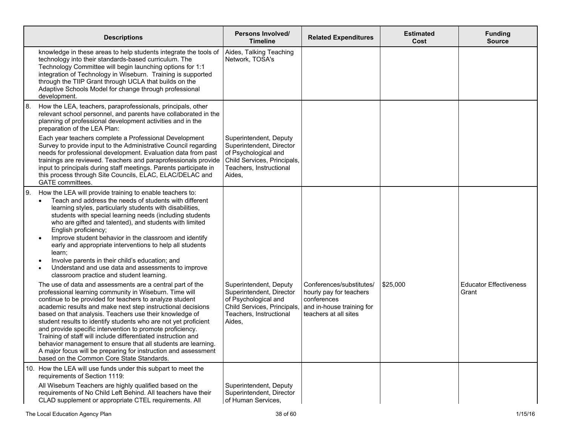| <b>Descriptions</b>                                                                                                                                                                                                                                                                                                                                                                                                                                                                                                                                                                                                                                                                       | <b>Persons Involved/</b><br><b>Timeline</b>                                                                                                    | <b>Related Expenditures</b>                                                                                              | <b>Estimated</b><br>Cost | <b>Funding</b><br><b>Source</b>        |
|-------------------------------------------------------------------------------------------------------------------------------------------------------------------------------------------------------------------------------------------------------------------------------------------------------------------------------------------------------------------------------------------------------------------------------------------------------------------------------------------------------------------------------------------------------------------------------------------------------------------------------------------------------------------------------------------|------------------------------------------------------------------------------------------------------------------------------------------------|--------------------------------------------------------------------------------------------------------------------------|--------------------------|----------------------------------------|
| knowledge in these areas to help students integrate the tools of<br>technology into their standards-based curriculum. The<br>Technology Committee will begin launching options for 1:1<br>integration of Technology in Wiseburn. Training is supported<br>through the TIIP Grant through UCLA that builds on the<br>Adaptive Schools Model for change through professional<br>development.                                                                                                                                                                                                                                                                                                | Aides, Talking Teaching<br>Network, TOSA's                                                                                                     |                                                                                                                          |                          |                                        |
| How the LEA, teachers, paraprofessionals, principals, other<br>l 8.<br>relevant school personnel, and parents have collaborated in the<br>planning of professional development activities and in the<br>preparation of the LEA Plan:                                                                                                                                                                                                                                                                                                                                                                                                                                                      |                                                                                                                                                |                                                                                                                          |                          |                                        |
| Each year teachers complete a Professional Development<br>Survey to provide input to the Administrative Council regarding<br>needs for professional development. Evaluation data from past<br>trainings are reviewed. Teachers and paraprofessionals provide<br>input to principals during staff meetings. Parents participate in<br>this process through Site Councils, ELAC, ELAC/DELAC and<br>GATE committees.                                                                                                                                                                                                                                                                         | Superintendent, Deputy<br>Superintendent, Director<br>of Psychological and<br>Child Services, Principals,<br>Teachers, Instructional<br>Aides, |                                                                                                                          |                          |                                        |
| I 9.<br>How the LEA will provide training to enable teachers to:<br>Teach and address the needs of students with different<br>learning styles, particularly students with disabilities,<br>students with special learning needs (including students<br>who are gifted and talented), and students with limited<br>English proficiency;<br>Improve student behavior in the classroom and identify<br>$\bullet$<br>early and appropriate interventions to help all students<br>learn;<br>Involve parents in their child's education; and<br>$\bullet$<br>Understand and use data and assessments to improve<br>$\bullet$<br>classroom practice and student learning.                        |                                                                                                                                                |                                                                                                                          |                          |                                        |
| The use of data and assessments are a central part of the<br>professional learning community in Wiseburn. Time will<br>continue to be provided for teachers to analyze student<br>academic results and make next step instructional decisions<br>based on that analysis. Teachers use their knowledge of<br>student results to identify students who are not yet proficient<br>and provide specific intervention to promote proficiency.<br>Training of staff will include differentiated instruction and<br>behavior management to ensure that all students are learning.<br>A major focus will be preparing for instruction and assessment<br>based on the Common Core State Standards. | Superintendent, Deputy<br>Superintendent, Director<br>of Psychological and<br>Child Services, Principals,<br>Teachers, Instructional<br>Aides, | Conferences/substitutes/<br>hourly pay for teachers<br>conferences<br>and in-house training for<br>teachers at all sites | \$25,000                 | <b>Educator Effectiveness</b><br>Grant |
| 10. How the LEA will use funds under this subpart to meet the<br>requirements of Section 1119:                                                                                                                                                                                                                                                                                                                                                                                                                                                                                                                                                                                            |                                                                                                                                                |                                                                                                                          |                          |                                        |
| All Wiseburn Teachers are highly qualified based on the<br>requirements of No Child Left Behind. All teachers have their<br>CLAD supplement or appropriate CTEL requirements. All                                                                                                                                                                                                                                                                                                                                                                                                                                                                                                         | Superintendent, Deputy<br>Superintendent, Director<br>of Human Services,                                                                       |                                                                                                                          |                          |                                        |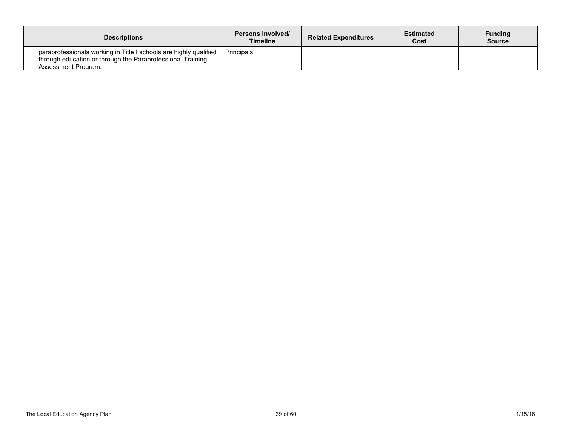| <b>Descriptions</b>                                                                                                                                    | Persons Involved/<br>Timeline | <b>Related Expenditures</b> | <b>Estimated</b><br>Cost | <b>Funding</b><br><b>Source</b> |
|--------------------------------------------------------------------------------------------------------------------------------------------------------|-------------------------------|-----------------------------|--------------------------|---------------------------------|
| paraprofessionals working in Title I schools are highly qualified<br>through education or through the Paraprofessional Training<br>Assessment Program. | <b>Principals</b>             |                             |                          |                                 |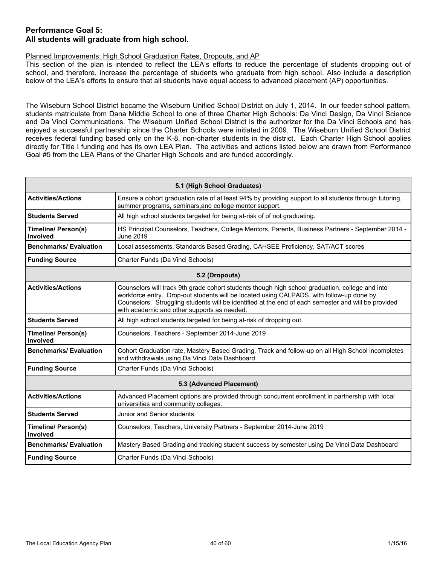### **Performance Goal 5: All students will graduate from high school.**

### Planned Improvements: High School Graduation Rates, Dropouts, and AP

This section of the plan is intended to reflect the LEA's efforts to reduce the percentage of students dropping out of school, and therefore, increase the percentage of students who graduate from high school. Also include a description below of the LEA's efforts to ensure that all students have equal access to advanced placement (AP) opportunities.

The Wiseburn School District became the Wiseburn Unified School District on July 1, 2014. In our feeder school pattern, students matriculate from Dana Middle School to one of three Charter High Schools: Da Vinci Design, Da Vinci Science and Da Vinci Communications. The Wiseburn Unified School District is the authorizer for the Da Vinci Schools and has enjoyed a successful partnership since the Charter Schools were initiated in 2009. The Wiseburn Unified School District receives federal funding based only on the K-8, non-charter students in the district. Each Charter High School applies directly for Title I funding and has its own LEA Plan. The activities and actions listed below are drawn from Performance Goal #5 from the LEA Plans of the Charter High Schools and are funded accordingly.

| 5.1 (High School Graduates)                                                                    |                                                                                                                                                                                                                                                                                                                                                   |  |  |  |  |
|------------------------------------------------------------------------------------------------|---------------------------------------------------------------------------------------------------------------------------------------------------------------------------------------------------------------------------------------------------------------------------------------------------------------------------------------------------|--|--|--|--|
| <b>Activities/Actions</b>                                                                      | Ensure a cohort graduation rate of at least 94% by providing support to all students through tutoring,<br>summer programs, seminars, and college mentor support.                                                                                                                                                                                  |  |  |  |  |
| <b>Students Served</b>                                                                         | All high school students targeted for being at-risk of of not graduating.                                                                                                                                                                                                                                                                         |  |  |  |  |
| Timeline/ Person(s)<br>Involved                                                                | HS Principal, Counselors, Teachers, College Mentors, Parents, Business Partners - September 2014 -<br>June 2019                                                                                                                                                                                                                                   |  |  |  |  |
| <b>Benchmarks/Evaluation</b>                                                                   | Local assessments, Standards Based Grading, CAHSEE Proficiency, SAT/ACT scores                                                                                                                                                                                                                                                                    |  |  |  |  |
| <b>Funding Source</b>                                                                          | Charter Funds (Da Vinci Schools)                                                                                                                                                                                                                                                                                                                  |  |  |  |  |
|                                                                                                | 5.2 (Dropouts)                                                                                                                                                                                                                                                                                                                                    |  |  |  |  |
| <b>Activities/Actions</b>                                                                      | Counselors will track 9th grade cohort students though high school graduation, college and into<br>workforce entry. Drop-out students will be located using CALPADS, with follow-up done by<br>Counselors. Struggling students will be identified at the end of each semester and will be provided<br>with academic and other supports as needed. |  |  |  |  |
| <b>Students Served</b><br>All high school students targeted for being at-risk of dropping out. |                                                                                                                                                                                                                                                                                                                                                   |  |  |  |  |
| <b>Timeline/ Person(s)</b><br>Involved                                                         | Counselors, Teachers - September 2014-June 2019                                                                                                                                                                                                                                                                                                   |  |  |  |  |
| <b>Benchmarks/Evaluation</b>                                                                   | Cohort Graduation rate, Mastery Based Grading, Track and follow-up on all High School incompletes<br>and withdrawals using Da Vinci Data Dashboard                                                                                                                                                                                                |  |  |  |  |
| <b>Funding Source</b>                                                                          | Charter Funds (Da Vinci Schools)                                                                                                                                                                                                                                                                                                                  |  |  |  |  |
|                                                                                                | 5.3 (Advanced Placement)                                                                                                                                                                                                                                                                                                                          |  |  |  |  |
| <b>Activities/Actions</b>                                                                      | Advanced Placement options are provided through concurrent enrollment in partnership with local<br>universities and community colleges.                                                                                                                                                                                                           |  |  |  |  |
| <b>Students Served</b>                                                                         | Junior and Senior students                                                                                                                                                                                                                                                                                                                        |  |  |  |  |
| <b>Timeline/ Person(s)</b><br>Involved                                                         | Counselors, Teachers, University Partners - September 2014-June 2019                                                                                                                                                                                                                                                                              |  |  |  |  |
| <b>Benchmarks/Evaluation</b>                                                                   | Mastery Based Grading and tracking student success by semester using Da Vinci Data Dashboard                                                                                                                                                                                                                                                      |  |  |  |  |
| <b>Funding Source</b>                                                                          | Charter Funds (Da Vinci Schools)                                                                                                                                                                                                                                                                                                                  |  |  |  |  |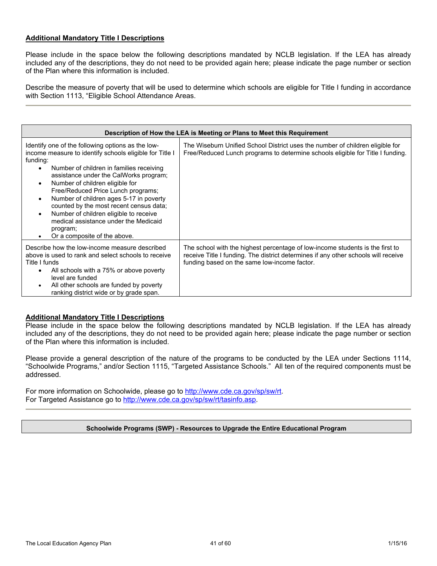### **Additional Mandatory Title I Descriptions**

Please include in the space below the following descriptions mandated by NCLB legislation. If the LEA has already included any of the descriptions, they do not need to be provided again here; please indicate the page number or section of the Plan where this information is included.

Describe the measure of poverty that will be used to determine which schools are eligible for Title I funding in accordance with Section 1113, "Eligible School Attendance Areas.

| Description of How the LEA is Meeting or Plans to Meet this Requirement                                                                                                                                                                                                                                                                                                                                                                                                                                                                                          |                                                                                                                                                                                                                     |  |  |  |
|------------------------------------------------------------------------------------------------------------------------------------------------------------------------------------------------------------------------------------------------------------------------------------------------------------------------------------------------------------------------------------------------------------------------------------------------------------------------------------------------------------------------------------------------------------------|---------------------------------------------------------------------------------------------------------------------------------------------------------------------------------------------------------------------|--|--|--|
| Identify one of the following options as the low-<br>income measure to identify schools eligible for Title I<br>funding:<br>Number of children in families receiving<br>$\bullet$<br>assistance under the CalWorks program;<br>Number of children eligible for<br>$\bullet$<br>Free/Reduced Price Lunch programs;<br>Number of children ages 5-17 in poverty<br>$\bullet$<br>counted by the most recent census data;<br>Number of children eligible to receive<br>$\bullet$<br>medical assistance under the Medicaid<br>program;<br>Or a composite of the above. | The Wiseburn Unified School District uses the number of children eligible for<br>Free/Reduced Lunch programs to determine schools eligible for Title I funding.                                                     |  |  |  |
| Describe how the low-income measure described<br>above is used to rank and select schools to receive<br>Title I funds<br>All schools with a 75% or above poverty<br>$\bullet$<br>level are funded<br>All other schools are funded by poverty<br>$\bullet$<br>ranking district wide or by grade span.                                                                                                                                                                                                                                                             | The school with the highest percentage of low-income students is the first to<br>receive Title I funding. The district determines if any other schools will receive<br>funding based on the same low-income factor. |  |  |  |

### **Additional Mandatory Title I Descriptions**

Please include in the space below the following descriptions mandated by NCLB legislation. If the LEA has already included any of the descriptions, they do not need to be provided again here; please indicate the page number or section of the Plan where this information is included.

Please provide a general description of the nature of the programs to be conducted by the LEA under Sections 1114, "Schoolwide Programs," and/or Section 1115, "Targeted Assistance Schools." All ten of the required components must be addressed.

For more information on Schoolwide, please go to http://www.cde.ca.gov/sp/sw/rt. For Targeted Assistance go to http://www.cde.ca.gov/sp/sw/rt/tasinfo.asp.

### **Schoolwide Programs (SWP) - Resources to Upgrade the Entire Educational Program**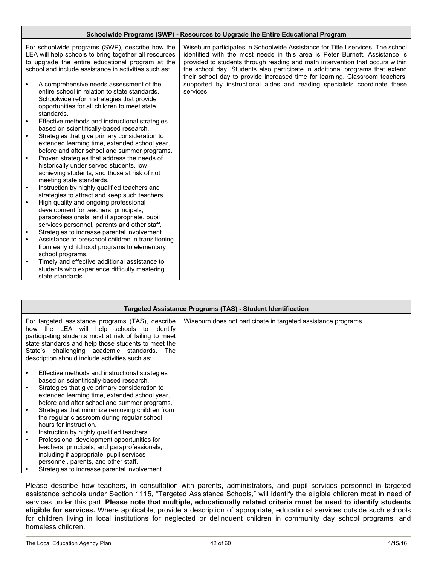|           | Schoolwide Programs (SWP) - Resources to Upgrade the Entire Educational Program                                                                                                                                                                                                                                                                                                                                             |                                                                                                                                                                                                                                                                                                                                                                                                                                                                                                           |  |  |
|-----------|-----------------------------------------------------------------------------------------------------------------------------------------------------------------------------------------------------------------------------------------------------------------------------------------------------------------------------------------------------------------------------------------------------------------------------|-----------------------------------------------------------------------------------------------------------------------------------------------------------------------------------------------------------------------------------------------------------------------------------------------------------------------------------------------------------------------------------------------------------------------------------------------------------------------------------------------------------|--|--|
| $\bullet$ | For schoolwide programs (SWP), describe how the<br>LEA will help schools to bring together all resources<br>to upgrade the entire educational program at the<br>school and include assistance in activities such as:<br>A comprehensive needs assessment of the<br>entire school in relation to state standards.<br>Schoolwide reform strategies that provide<br>opportunities for all children to meet state<br>standards. | Wiseburn participates in Schoolwide Assistance for Title I services. The school<br>identified with the most needs in this area is Peter Burnett. Assistance is<br>provided to students through reading and math intervention that occurs within<br>the school day. Students also participate in additional programs that extend<br>their school day to provide increased time for learning. Classroom teachers,<br>supported by instructional aides and reading specialists coordinate these<br>services. |  |  |
| $\bullet$ | Effective methods and instructional strategies                                                                                                                                                                                                                                                                                                                                                                              |                                                                                                                                                                                                                                                                                                                                                                                                                                                                                                           |  |  |
| $\bullet$ | based on scientifically-based research.<br>Strategies that give primary consideration to<br>extended learning time, extended school year,<br>before and after school and summer programs.                                                                                                                                                                                                                                   |                                                                                                                                                                                                                                                                                                                                                                                                                                                                                                           |  |  |
| $\bullet$ | Proven strategies that address the needs of<br>historically under served students, low<br>achieving students, and those at risk of not<br>meeting state standards.                                                                                                                                                                                                                                                          |                                                                                                                                                                                                                                                                                                                                                                                                                                                                                                           |  |  |
| $\bullet$ | Instruction by highly qualified teachers and<br>strategies to attract and keep such teachers.                                                                                                                                                                                                                                                                                                                               |                                                                                                                                                                                                                                                                                                                                                                                                                                                                                                           |  |  |
| $\bullet$ | High quality and ongoing professional                                                                                                                                                                                                                                                                                                                                                                                       |                                                                                                                                                                                                                                                                                                                                                                                                                                                                                                           |  |  |
|           | development for teachers, principals,                                                                                                                                                                                                                                                                                                                                                                                       |                                                                                                                                                                                                                                                                                                                                                                                                                                                                                                           |  |  |
|           | paraprofessionals, and if appropriate, pupil<br>services personnel, parents and other staff.                                                                                                                                                                                                                                                                                                                                |                                                                                                                                                                                                                                                                                                                                                                                                                                                                                                           |  |  |
| $\bullet$ | Strategies to increase parental involvement.                                                                                                                                                                                                                                                                                                                                                                                |                                                                                                                                                                                                                                                                                                                                                                                                                                                                                                           |  |  |
| $\bullet$ | Assistance to preschool children in transitioning<br>from early childhood programs to elementary                                                                                                                                                                                                                                                                                                                            |                                                                                                                                                                                                                                                                                                                                                                                                                                                                                                           |  |  |
|           | school programs.                                                                                                                                                                                                                                                                                                                                                                                                            |                                                                                                                                                                                                                                                                                                                                                                                                                                                                                                           |  |  |
| $\bullet$ | Timely and effective additional assistance to<br>students who experience difficulty mastering<br>state standards.                                                                                                                                                                                                                                                                                                           |                                                                                                                                                                                                                                                                                                                                                                                                                                                                                                           |  |  |

| Targeted Assistance Programs (TAS) - Student Identification                                                                                                                                                                                                                                                                                                                                                                                                        |                                                                |  |  |  |
|--------------------------------------------------------------------------------------------------------------------------------------------------------------------------------------------------------------------------------------------------------------------------------------------------------------------------------------------------------------------------------------------------------------------------------------------------------------------|----------------------------------------------------------------|--|--|--|
| For targeted assistance programs (TAS), describe<br>how the LEA will help schools to identify<br>participating students most at risk of failing to meet<br>state standards and help those students to meet the<br>State's challenging academic standards. The<br>description should include activities such as:                                                                                                                                                    | Wiseburn does not participate in targeted assistance programs. |  |  |  |
| Effective methods and instructional strategies<br>based on scientifically-based research.<br>Strategies that give primary consideration to<br>extended learning time, extended school year,<br>before and after school and summer programs.<br>Strategies that minimize removing children from<br>the regular classroom during regular school<br>hours for instruction.<br>Instruction by highly qualified teachers.<br>Professional development opportunities for |                                                                |  |  |  |
| teachers, principals, and paraprofessionals,<br>including if appropriate, pupil services<br>personnel, parents, and other staff.<br>Strategies to increase parental involvement.                                                                                                                                                                                                                                                                                   |                                                                |  |  |  |

Please describe how teachers, in consultation with parents, administrators, and pupil services personnel in targeted assistance schools under Section 1115, "Targeted Assistance Schools," will identify the eligible children most in need of services under this part. **Please note that multiple, educationally related criteria must be used to identify students eligible for services.** Where applicable, provide a description of appropriate, educational services outside such schools for children living in local institutions for neglected or delinquent children in community day school programs, and homeless children.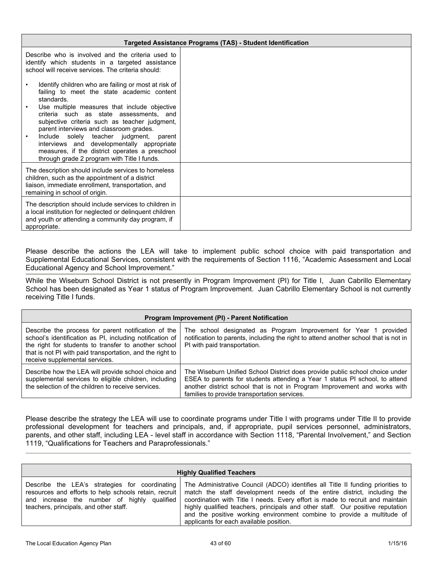|                                                                                                                                                                                                                                                                              | <b>Targeted Assistance Programs (TAS) - Student Identification</b> |  |  |  |  |  |  |
|------------------------------------------------------------------------------------------------------------------------------------------------------------------------------------------------------------------------------------------------------------------------------|--------------------------------------------------------------------|--|--|--|--|--|--|
| Describe who is involved and the criteria used to<br>identify which students in a targeted assistance<br>school will receive services. The criteria should:                                                                                                                  |                                                                    |  |  |  |  |  |  |
| Identify children who are failing or most at risk of<br>failing to meet the state academic content<br>standards.                                                                                                                                                             |                                                                    |  |  |  |  |  |  |
| Use multiple measures that include objective<br>criteria such as state assessments, and<br>subjective criteria such as teacher judgment,<br>parent interviews and classroom grades.<br>Include solely teacher judgment, parent<br>interviews and developmentally appropriate |                                                                    |  |  |  |  |  |  |
| measures, if the district operates a preschool<br>through grade 2 program with Title I funds.                                                                                                                                                                                |                                                                    |  |  |  |  |  |  |
| The description should include services to homeless<br>children, such as the appointment of a district<br>liaison, immediate enrollment, transportation, and<br>remaining in school of origin.                                                                               |                                                                    |  |  |  |  |  |  |
| The description should include services to children in<br>a local institution for neglected or delinquent children<br>and youth or attending a community day program, if<br>appropriate.                                                                                     |                                                                    |  |  |  |  |  |  |

Please describe the actions the LEA will take to implement public school choice with paid transportation and Supplemental Educational Services, consistent with the requirements of Section 1116, "Academic Assessment and Local Educational Agency and School Improvement."

While the Wiseburn School District is not presently in Program Improvement (PI) for Title I, Juan Cabrillo Elementary School has been designated as Year 1 status of Program Improvement. Juan Cabrillo Elementary School is not currently receiving Title I funds.

| Program Improvement (PI) - Parent Notification                                                                                                                                                                                                                         |                                                                                                                                                                                                                                                                                          |  |  |  |  |  |  |
|------------------------------------------------------------------------------------------------------------------------------------------------------------------------------------------------------------------------------------------------------------------------|------------------------------------------------------------------------------------------------------------------------------------------------------------------------------------------------------------------------------------------------------------------------------------------|--|--|--|--|--|--|
| Describe the process for parent notification of the<br>school's identification as PI, including notification of<br>the right for students to transfer to another school<br>that is not PI with paid transportation, and the right to<br>receive supplemental services. | The school designated as Program Improvement for Year 1 provided<br>notification to parents, including the right to attend another school that is not in<br>PI with paid transportation.                                                                                                 |  |  |  |  |  |  |
| Describe how the LEA will provide school choice and<br>supplemental services to eligible children, including<br>the selection of the children to receive services.                                                                                                     | The Wiseburn Unified School District does provide public school choice under<br>ESEA to parents for students attending a Year 1 status PI school, to attend<br>another district school that is not in Program Improvement and works with<br>families to provide transportation services. |  |  |  |  |  |  |

Please describe the strategy the LEA will use to coordinate programs under Title I with programs under Title II to provide professional development for teachers and principals, and, if appropriate, pupil services personnel, administrators, parents, and other staff, including LEA - level staff in accordance with Section 1118, "Parental Involvement," and Section 1119, "Qualifications for Teachers and Paraprofessionals."

| <b>Highly Qualified Teachers</b>                                                      |                                                                                                                                                                                                                                                                                                                                                                                                                                                                                                                                                           |  |  |  |  |  |
|---------------------------------------------------------------------------------------|-----------------------------------------------------------------------------------------------------------------------------------------------------------------------------------------------------------------------------------------------------------------------------------------------------------------------------------------------------------------------------------------------------------------------------------------------------------------------------------------------------------------------------------------------------------|--|--|--|--|--|
| and increase the number of highly qualified<br>teachers, principals, and other staff. | Describe the LEA's strategies for coordinating The Administrative Council (ADCO) identifies all Title II funding priorities to<br>resources and efforts to help schools retain, recruit   match the staff development needs of the entire district, including the<br>coordination with Title I needs. Every effort is made to recruit and maintain<br>highly qualified teachers, principals and other staff. Our positive reputation<br>and the positive working environment combine to provide a multitude of<br>applicants for each available position. |  |  |  |  |  |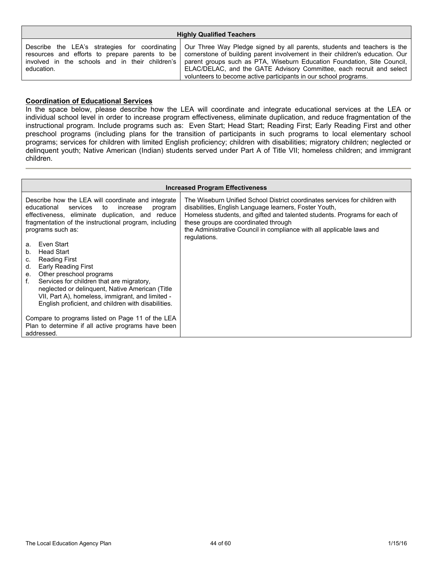| <b>Highly Qualified Teachers</b> |                                                                                                                                                                                                                                                                                                                                                                                                                                                                                                                                        |  |  |  |  |  |
|----------------------------------|----------------------------------------------------------------------------------------------------------------------------------------------------------------------------------------------------------------------------------------------------------------------------------------------------------------------------------------------------------------------------------------------------------------------------------------------------------------------------------------------------------------------------------------|--|--|--|--|--|
| education.                       | Describe the LEA's strategies for coordinating   Our Three Way Pledge signed by all parents, students and teachers is the<br>resources and efforts to prepare parents to be   cornerstone of building parent involvement in their children's education. Our<br>involved in the schools and in their children's   parent groups such as PTA, Wiseburn Education Foundation, Site Council,  <br>ELAC/DELAC, and the GATE Advisory Committee, each recruit and select<br>volunteers to become active participants in our school programs. |  |  |  |  |  |

#### **Coordination of Educational Services**

In the space below, please describe how the LEA will coordinate and integrate educational services at the LEA or individual school level in order to increase program effectiveness, eliminate duplication, and reduce fragmentation of the instructional program. Include programs such as: Even Start; Head Start; Reading First; Early Reading First and other preschool programs (including plans for the transition of participants in such programs to local elementary school programs; services for children with limited English proficiency; children with disabilities; migratory children; neglected or delinquent youth; Native American (Indian) students served under Part A of Title VII; homeless children; and immigrant children.

| <b>Increased Program Effectiveness</b>                                                                                                                                                                                                                                                                                                                                                                                                                                                                                                                                                                 |                                                                                                                                                                                                                                                                                                                                                     |  |  |  |  |  |  |  |
|--------------------------------------------------------------------------------------------------------------------------------------------------------------------------------------------------------------------------------------------------------------------------------------------------------------------------------------------------------------------------------------------------------------------------------------------------------------------------------------------------------------------------------------------------------------------------------------------------------|-----------------------------------------------------------------------------------------------------------------------------------------------------------------------------------------------------------------------------------------------------------------------------------------------------------------------------------------------------|--|--|--|--|--|--|--|
| Describe how the LEA will coordinate and integrate<br>educational services<br>to<br>increase<br>program<br>effectiveness, eliminate duplication, and reduce<br>fragmentation of the instructional program, including<br>programs such as:<br>Even Start<br>a.<br><b>Head Start</b><br>b.<br><b>Reading First</b><br>C.<br>Early Reading First<br>d.<br>Other preschool programs<br>е.<br>Services for children that are migratory,<br>f.<br>neglected or delinquent, Native American (Title<br>VII, Part A), homeless, immigrant, and limited -<br>English proficient, and children with disabilities. | The Wiseburn Unified School District coordinates services for children with<br>disabilities, English Language learners, Foster Youth,<br>Homeless students, and gifted and talented students. Programs for each of<br>these groups are coordinated through<br>the Administrative Council in compliance with all applicable laws and<br>regulations. |  |  |  |  |  |  |  |
| Compare to programs listed on Page 11 of the LEA<br>Plan to determine if all active programs have been<br>addressed.                                                                                                                                                                                                                                                                                                                                                                                                                                                                                   |                                                                                                                                                                                                                                                                                                                                                     |  |  |  |  |  |  |  |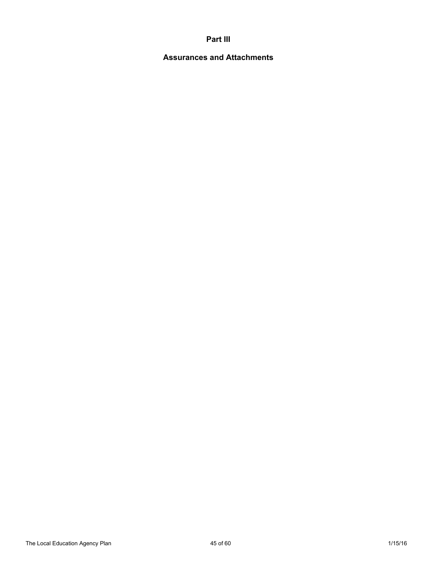### **Part III**

## **Assurances and Attachments**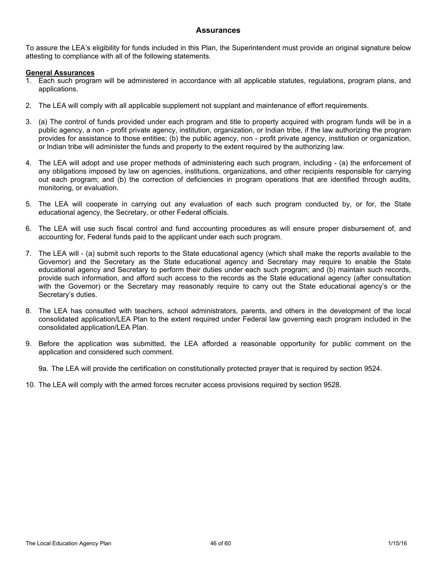To assure the LEA's eligibility for funds included in this Plan, the Superintendent must provide an original signature below attesting to compliance with all of the following statements.

#### **General Assurances**

- 1. Each such program will be administered in accordance with all applicable statutes, regulations, program plans, and applications.
- 2. The LEA will comply with all applicable supplement not supplant and maintenance of effort requirements.
- 3. (a) The control of funds provided under each program and title to property acquired with program funds will be in a public agency, a non - profit private agency, institution, organization, or Indian tribe, if the law authorizing the program provides for assistance to those entities; (b) the public agency, non - profit private agency, institution or organization, or Indian tribe will administer the funds and property to the extent required by the authorizing law.
- 4. The LEA will adopt and use proper methods of administering each such program, including (a) the enforcement of any obligations imposed by law on agencies, institutions, organizations, and other recipients responsible for carrying out each program; and (b) the correction of deficiencies in program operations that are identified through audits, monitoring, or evaluation.
- 5. The LEA will cooperate in carrying out any evaluation of each such program conducted by, or for, the State educational agency, the Secretary, or other Federal officials.
- 6. The LEA will use such fiscal control and fund accounting procedures as will ensure proper disbursement of, and accounting for, Federal funds paid to the applicant under each such program.
- 7. The LEA will (a) submit such reports to the State educational agency (which shall make the reports available to the Governor) and the Secretary as the State educational agency and Secretary may require to enable the State educational agency and Secretary to perform their duties under each such program; and (b) maintain such records, provide such information, and afford such access to the records as the State educational agency (after consultation with the Governor) or the Secretary may reasonably require to carry out the State educational agency's or the Secretary's duties.
- 8. The LEA has consulted with teachers, school administrators, parents, and others in the development of the local consolidated application/LEA Plan to the extent required under Federal law governing each program included in the consolidated application/LEA Plan.
- 9. Before the application was submitted, the LEA afforded a reasonable opportunity for public comment on the application and considered such comment.

9a. The LEA will provide the certification on constitutionally protected prayer that is required by section 9524.

10. The LEA will comply with the armed forces recruiter access provisions required by section 9528.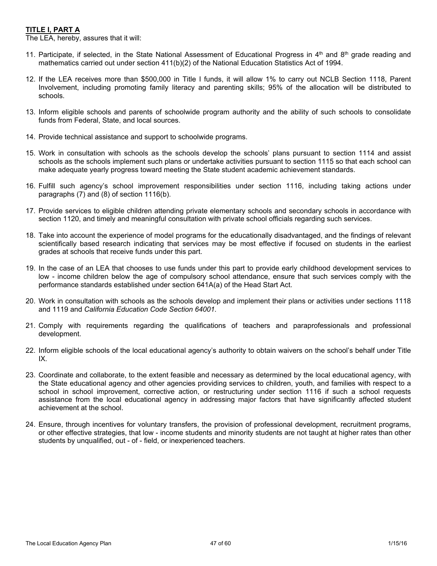### **TITLE I, PART A**

The LEA, hereby, assures that it will:

- 11. Participate, if selected, in the State National Assessment of Educational Progress in  $4<sup>th</sup>$  and  $8<sup>th</sup>$  grade reading and mathematics carried out under section 411(b)(2) of the National Education Statistics Act of 1994.
- 12. If the LEA receives more than \$500,000 in Title I funds, it will allow 1% to carry out NCLB Section 1118, Parent Involvement, including promoting family literacy and parenting skills; 95% of the allocation will be distributed to schools.
- 13. Inform eligible schools and parents of schoolwide program authority and the ability of such schools to consolidate funds from Federal, State, and local sources.
- 14. Provide technical assistance and support to schoolwide programs.
- 15. Work in consultation with schools as the schools develop the schools' plans pursuant to section 1114 and assist schools as the schools implement such plans or undertake activities pursuant to section 1115 so that each school can make adequate yearly progress toward meeting the State student academic achievement standards.
- 16. Fulfill such agency's school improvement responsibilities under section 1116, including taking actions under paragraphs (7) and (8) of section 1116(b).
- 17. Provide services to eligible children attending private elementary schools and secondary schools in accordance with section 1120, and timely and meaningful consultation with private school officials regarding such services.
- 18. Take into account the experience of model programs for the educationally disadvantaged, and the findings of relevant scientifically based research indicating that services may be most effective if focused on students in the earliest grades at schools that receive funds under this part.
- 19. In the case of an LEA that chooses to use funds under this part to provide early childhood development services to low - income children below the age of compulsory school attendance, ensure that such services comply with the performance standards established under section 641A(a) of the Head Start Act.
- 20. Work in consultation with schools as the schools develop and implement their plans or activities under sections 1118 and 1119 and *California Education Code Section 64001.*
- 21. Comply with requirements regarding the qualifications of teachers and paraprofessionals and professional development.
- 22. Inform eligible schools of the local educational agency's authority to obtain waivers on the school's behalf under Title IX.
- 23. Coordinate and collaborate, to the extent feasible and necessary as determined by the local educational agency, with the State educational agency and other agencies providing services to children, youth, and families with respect to a school in school improvement, corrective action, or restructuring under section 1116 if such a school requests assistance from the local educational agency in addressing major factors that have significantly affected student achievement at the school.
- 24. Ensure, through incentives for voluntary transfers, the provision of professional development, recruitment programs, or other effective strategies, that low - income students and minority students are not taught at higher rates than other students by unqualified, out - of - field, or inexperienced teachers.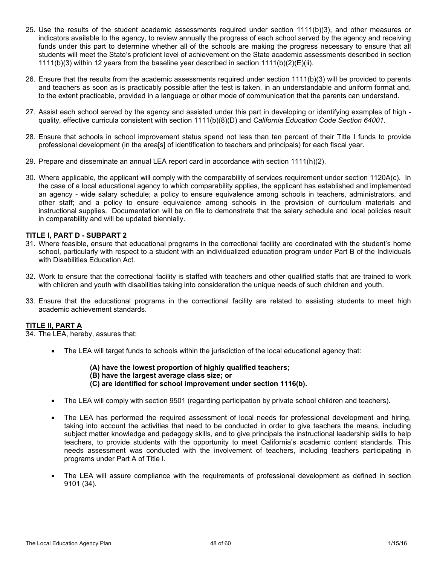- 25. Use the results of the student academic assessments required under section 1111(b)(3), and other measures or indicators available to the agency, to review annually the progress of each school served by the agency and receiving funds under this part to determine whether all of the schools are making the progress necessary to ensure that all students will meet the State's proficient level of achievement on the State academic assessments described in section 1111(b)(3) within 12 years from the baseline year described in section 1111(b)(2)(E)(ii).
- 26. Ensure that the results from the academic assessments required under section 1111(b)(3) will be provided to parents and teachers as soon as is practicably possible after the test is taken, in an understandable and uniform format and, to the extent practicable, provided in a language or other mode of communication that the parents can understand.
- 27. Assist each school served by the agency and assisted under this part in developing or identifying examples of high quality, effective curricula consistent with section 1111(b)(8)(D) and *California Education Code Section 64001*.
- 28. Ensure that schools in school improvement status spend not less than ten percent of their Title I funds to provide professional development (in the area[s] of identification to teachers and principals) for each fiscal year.
- 29. Prepare and disseminate an annual LEA report card in accordance with section 1111(h)(2).
- 30. Where applicable, the applicant will comply with the comparability of services requirement under section 1120A(c). In the case of a local educational agency to which comparability applies, the applicant has established and implemented an agency - wide salary schedule; a policy to ensure equivalence among schools in teachers, administrators, and other staff; and a policy to ensure equivalence among schools in the provision of curriculum materials and instructional supplies. Documentation will be on file to demonstrate that the salary schedule and local policies result in comparability and will be updated biennially.

### **TITLE I, PART D - SUBPART 2**

- 31. Where feasible, ensure that educational programs in the correctional facility are coordinated with the student's home school, particularly with respect to a student with an individualized education program under Part B of the Individuals with Disabilities Education Act.
- 32. Work to ensure that the correctional facility is staffed with teachers and other qualified staffs that are trained to work with children and youth with disabilities taking into consideration the unique needs of such children and youth.
- 33. Ensure that the educational programs in the correctional facility are related to assisting students to meet high academic achievement standards.

### **TITLE II, PART A**

34. The LEA, hereby, assures that:

- The LEA will target funds to schools within the jurisdiction of the local educational agency that:
	- **(A) have the lowest proportion of highly qualified teachers; (B) have the largest average class size; or**
	- **(C) are identified for school improvement under section 1116(b).**
- The LEA will comply with section 9501 (regarding participation by private school children and teachers).
- The LEA has performed the required assessment of local needs for professional development and hiring, taking into account the activities that need to be conducted in order to give teachers the means, including subject matter knowledge and pedagogy skills, and to give principals the instructional leadership skills to help teachers, to provide students with the opportunity to meet California's academic content standards. This needs assessment was conducted with the involvement of teachers, including teachers participating in programs under Part A of Title I.
- The LEA will assure compliance with the requirements of professional development as defined in section 9101 (34).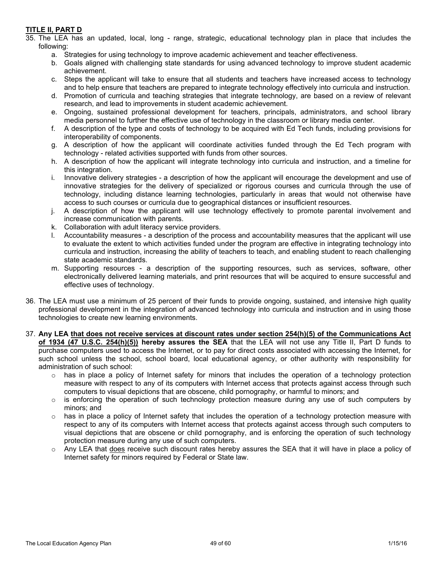### **TITLE II, PART D**

- 35. The LEA has an updated, local, long range, strategic, educational technology plan in place that includes the following:
	- a. Strategies for using technology to improve academic achievement and teacher effectiveness.
	- b. Goals aligned with challenging state standards for using advanced technology to improve student academic achievement.
	- c. Steps the applicant will take to ensure that all students and teachers have increased access to technology and to help ensure that teachers are prepared to integrate technology effectively into curricula and instruction.
	- d. Promotion of curricula and teaching strategies that integrate technology, are based on a review of relevant research, and lead to improvements in student academic achievement.
	- e. Ongoing, sustained professional development for teachers, principals, administrators, and school library media personnel to further the effective use of technology in the classroom or library media center.
	- f. A description of the type and costs of technology to be acquired with Ed Tech funds, including provisions for interoperability of components.
	- g. A description of how the applicant will coordinate activities funded through the Ed Tech program with technology - related activities supported with funds from other sources.
	- h. A description of how the applicant will integrate technology into curricula and instruction, and a timeline for this integration.
	- i. Innovative delivery strategies a description of how the applicant will encourage the development and use of innovative strategies for the delivery of specialized or rigorous courses and curricula through the use of technology, including distance learning technologies, particularly in areas that would not otherwise have access to such courses or curricula due to geographical distances or insufficient resources.
	- j. A description of how the applicant will use technology effectively to promote parental involvement and increase communication with parents.
	- k. Collaboration with adult literacy service providers.
	- l. Accountability measures a description of the process and accountability measures that the applicant will use to evaluate the extent to which activities funded under the program are effective in integrating technology into curricula and instruction, increasing the ability of teachers to teach, and enabling student to reach challenging state academic standards.
	- m. Supporting resources a description of the supporting resources, such as services, software, other electronically delivered learning materials, and print resources that will be acquired to ensure successful and effective uses of technology.
- 36. The LEA must use a minimum of 25 percent of their funds to provide ongoing, sustained, and intensive high quality professional development in the integration of advanced technology into curricula and instruction and in using those technologies to create new learning environments.
- 37. Any LEA that does not receive services at discount rates under section 254(h)(5) of the Communications Act **of 1934 (47 U.S.C. 254(h)(5)) hereby assures the SEA** that the LEA will not use any Title II, Part D funds to purchase computers used to access the Internet, or to pay for direct costs associated with accessing the Internet, for such school unless the school, school board, local educational agency, or other authority with responsibility for administration of such school:
	- $\circ$  has in place a policy of Internet safety for minors that includes the operation of a technology protection measure with respect to any of its computers with Internet access that protects against access through such computers to visual depictions that are obscene, child pornography, or harmful to minors; and
	- $\circ$  is enforcing the operation of such technology protection measure during any use of such computers by minors; and
	- $\circ$  has in place a policy of Internet safety that includes the operation of a technology protection measure with respect to any of its computers with Internet access that protects against access through such computers to visual depictions that are obscene or child pornography, and is enforcing the operation of such technology protection measure during any use of such computers.
	- $\circ$  Any LEA that does receive such discount rates hereby assures the SEA that it will have in place a policy of Internet safety for minors required by Federal or State law.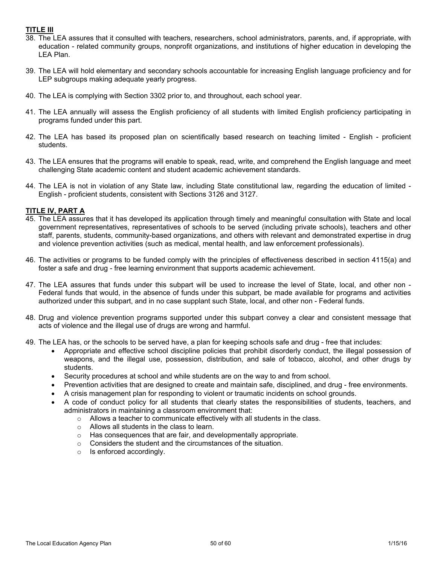### **TITLE III**

- 38. The LEA assures that it consulted with teachers, researchers, school administrators, parents, and, if appropriate, with education - related community groups, nonprofit organizations, and institutions of higher education in developing the LEA Plan.
- 39. The LEA will hold elementary and secondary schools accountable for increasing English language proficiency and for LEP subgroups making adequate yearly progress.
- 40. The LEA is complying with Section 3302 prior to, and throughout, each school year.
- 41. The LEA annually will assess the English proficiency of all students with limited English proficiency participating in programs funded under this part.
- 42. The LEA has based its proposed plan on scientifically based research on teaching limited English proficient students.
- 43. The LEA ensures that the programs will enable to speak, read, write, and comprehend the English language and meet challenging State academic content and student academic achievement standards.
- 44. The LEA is not in violation of any State law, including State constitutional law, regarding the education of limited English - proficient students, consistent with Sections 3126 and 3127.

### **TITLE IV, PART A**

- 45. The LEA assures that it has developed its application through timely and meaningful consultation with State and local government representatives, representatives of schools to be served (including private schools), teachers and other staff, parents, students, community-based organizations, and others with relevant and demonstrated expertise in drug and violence prevention activities (such as medical, mental health, and law enforcement professionals).
- 46. The activities or programs to be funded comply with the principles of effectiveness described in section 4115(a) and foster a safe and drug - free learning environment that supports academic achievement.
- 47. The LEA assures that funds under this subpart will be used to increase the level of State, local, and other non Federal funds that would, in the absence of funds under this subpart, be made available for programs and activities authorized under this subpart, and in no case supplant such State, local, and other non - Federal funds.
- 48. Drug and violence prevention programs supported under this subpart convey a clear and consistent message that acts of violence and the illegal use of drugs are wrong and harmful.
- 49. The LEA has, or the schools to be served have, a plan for keeping schools safe and drug free that includes:
	- Appropriate and effective school discipline policies that prohibit disorderly conduct, the illegal possession of weapons, and the illegal use, possession, distribution, and sale of tobacco, alcohol, and other drugs by students.
	- Security procedures at school and while students are on the way to and from school.
	- Prevention activities that are designed to create and maintain safe, disciplined, and drug free environments.
	- A crisis management plan for responding to violent or traumatic incidents on school grounds.
	- A code of conduct policy for all students that clearly states the responsibilities of students, teachers, and administrators in maintaining a classroom environment that:
		- o Allows a teacher to communicate effectively with all students in the class.
		- o Allows all students in the class to learn.
		- o Has consequences that are fair, and developmentally appropriate.
		- o Considers the student and the circumstances of the situation.
		- o Is enforced accordingly.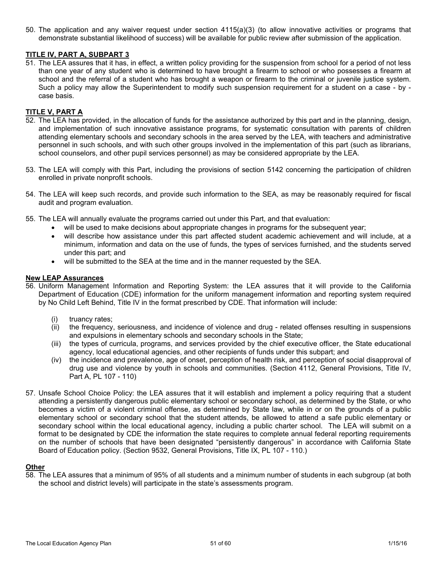50. The application and any waiver request under section 4115(a)(3) (to allow innovative activities or programs that demonstrate substantial likelihood of success) will be available for public review after submission of the application.

### **TITLE IV, PART A, SUBPART 3**

51. The LEA assures that it has, in effect, a written policy providing for the suspension from school for a period of not less than one year of any student who is determined to have brought a firearm to school or who possesses a firearm at school and the referral of a student who has brought a weapon or firearm to the criminal or juvenile justice system. Such a policy may allow the Superintendent to modify such suspension requirement for a student on a case - by case basis.

### **TITLE V, PART A**

- 52. The LEA has provided, in the allocation of funds for the assistance authorized by this part and in the planning, design, and implementation of such innovative assistance programs, for systematic consultation with parents of children attending elementary schools and secondary schools in the area served by the LEA, with teachers and administrative personnel in such schools, and with such other groups involved in the implementation of this part (such as librarians, school counselors, and other pupil services personnel) as may be considered appropriate by the LEA.
- 53. The LEA will comply with this Part, including the provisions of section 5142 concerning the participation of children enrolled in private nonprofit schools.
- 54. The LEA will keep such records, and provide such information to the SEA, as may be reasonably required for fiscal audit and program evaluation.
- 55. The LEA will annually evaluate the programs carried out under this Part, and that evaluation:
	- will be used to make decisions about appropriate changes in programs for the subsequent year;
	- will describe how assistance under this part affected student academic achievement and will include, at a minimum, information and data on the use of funds, the types of services furnished, and the students served under this part; and
	- will be submitted to the SEA at the time and in the manner requested by the SEA.

#### **New LEAP Assurances**

- 56. Uniform Management Information and Reporting System: the LEA assures that it will provide to the California Department of Education (CDE) information for the uniform management information and reporting system required by No Child Left Behind, Title IV in the format prescribed by CDE. That information will include:
	- (i) truancy rates;
	- (ii) the frequency, seriousness, and incidence of violence and drug related offenses resulting in suspensions and expulsions in elementary schools and secondary schools in the State;
	- (iii) the types of curricula, programs, and services provided by the chief executive officer, the State educational agency, local educational agencies, and other recipients of funds under this subpart; and
	- (iv) the incidence and prevalence, age of onset, perception of health risk, and perception of social disapproval of drug use and violence by youth in schools and communities. (Section 4112, General Provisions, Title IV, Part A, PL 107 - 110)
- 57. Unsafe School Choice Policy: the LEA assures that it will establish and implement a policy requiring that a student attending a persistently dangerous public elementary school or secondary school, as determined by the State, or who becomes a victim of a violent criminal offense, as determined by State law, while in or on the grounds of a public elementary school or secondary school that the student attends, be allowed to attend a safe public elementary or secondary school within the local educational agency, including a public charter school. The LEA will submit on a format to be designated by CDE the information the state requires to complete annual federal reporting requirements on the number of schools that have been designated "persistently dangerous" in accordance with California State Board of Education policy. (Section 9532, General Provisions, Title IX, PL 107 - 110.)

### **Other**

58. The LEA assures that a minimum of 95% of all students and a minimum number of students in each subgroup (at both the school and district levels) will participate in the state's assessments program.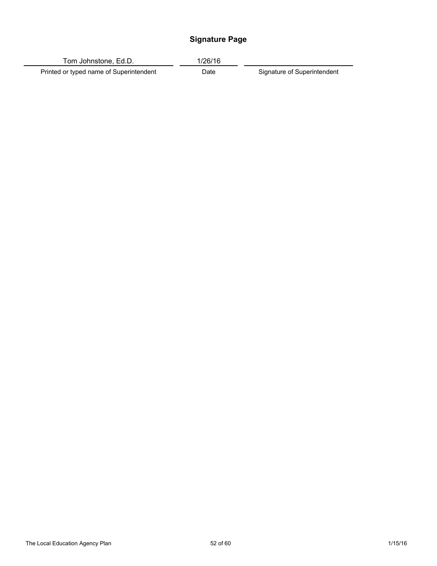## **Signature Page**

Tom Johnstone, Ed.D. 1/26/16

Printed or typed name of Superintendent Date Signature of Superintendent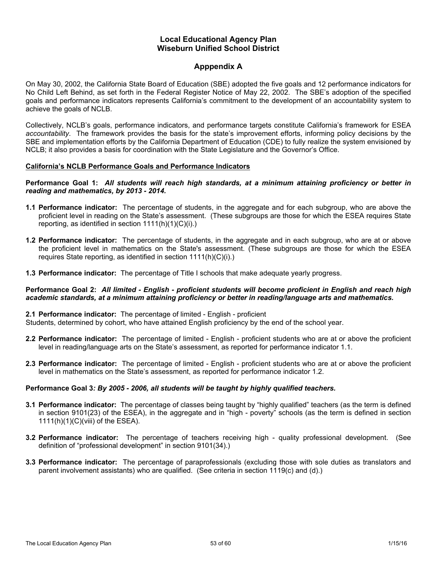### **Local Educational Agency Plan Wiseburn Unified School District**

### **Apppendix A**

On May 30, 2002, the California State Board of Education (SBE) adopted the five goals and 12 performance indicators for No Child Left Behind, as set forth in the Federal Register Notice of May 22, 2002. The SBE's adoption of the specified goals and performance indicators represents California's commitment to the development of an accountability system to achieve the goals of NCLB.

Collectively, NCLB's goals, performance indicators, and performance targets constitute California's framework for ESEA *accountability*. The framework provides the basis for the state's improvement efforts, informing policy decisions by the SBE and implementation efforts by the California Department of Education (CDE) to fully realize the system envisioned by NCLB; it also provides a basis for coordination with the State Legislature and the Governor's Office.

#### **California's NCLB Performance Goals and Performance Indicators**

#### Performance Goal 1: All students will reach high standards, at a minimum attaining proficiency or better in *reading and mathematics, by 2013 - 2014.*

- **1.1 Performance indicator:** The percentage of students, in the aggregate and for each subgroup, who are above the proficient level in reading on the State's assessment. (These subgroups are those for which the ESEA requires State reporting, as identified in section  $1111(h)(1)(C)(i)$ .
- **1.2 Performance indicator:** The percentage of students, in the aggregate and in each subgroup, who are at or above the proficient level in mathematics on the State's assessment. (These subgroups are those for which the ESEA requires State reporting, as identified in section 1111(h)(C)(i).)
- **1.3 Performance indicator:** The percentage of Title I schools that make adequate yearly progress.

#### Performance Goal 2: All limited - English - proficient students will become proficient in English and reach high *academic standards, at a minimum attaining proficiency or better in reading/language arts and mathematics.*

### **2.1 Performance indicator:** The percentage of limited - English - proficient

Students, determined by cohort, who have attained English proficiency by the end of the school year.

- **2.2 Performance indicator:** The percentage of limited English proficient students who are at or above the proficient level in reading/language arts on the State's assessment, as reported for performance indicator 1.1.
- **2.3 Performance indicator:** The percentage of limited English proficient students who are at or above the proficient level in mathematics on the State's assessment, as reported for performance indicator 1.2.

### **Performance Goal 3***: By 2005 - 2006, all students will be taught by highly qualified teachers.*

- **3.1 Performance indicator:** The percentage of classes being taught by "highly qualified" teachers (as the term is defined in section 9101(23) of the ESEA), in the aggregate and in "high - poverty" schools (as the term is defined in section 1111(h)(1)(C)(viii) of the ESEA).
- **3.2 Performance indicator:** The percentage of teachers receiving high quality professional development. (See definition of "professional development" in section 9101(34).)
- **3.3 Performance indicator:** The percentage of paraprofessionals (excluding those with sole duties as translators and parent involvement assistants) who are qualified. (See criteria in section 1119(c) and (d).)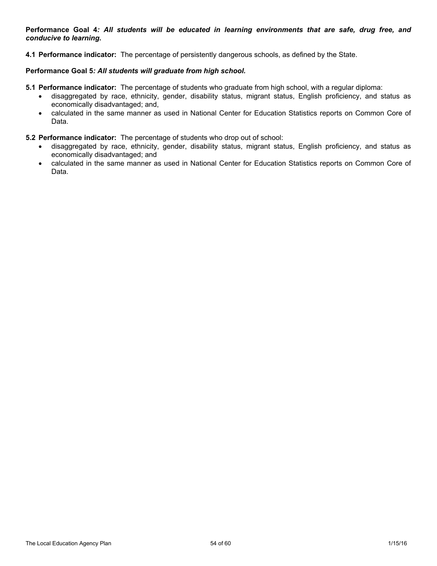Performance Goal 4: All students will be educated in learning environments that are safe, drug free, and *conducive to learning.*

**4.1 Performance indicator:** The percentage of persistently dangerous schools, as defined by the State.

### **Performance Goal 5***: All students will graduate from high school.*

- **5.1 Performance indicator:** The percentage of students who graduate from high school, with a regular diploma:
	- disaggregated by race, ethnicity, gender, disability status, migrant status, English proficiency, and status as economically disadvantaged; and,
	- calculated in the same manner as used in National Center for Education Statistics reports on Common Core of Data.
- **5.2 Performance indicator:** The percentage of students who drop out of school:
	- disaggregated by race, ethnicity, gender, disability status, migrant status, English proficiency, and status as economically disadvantaged; and
	- calculated in the same manner as used in National Center for Education Statistics reports on Common Core of Data.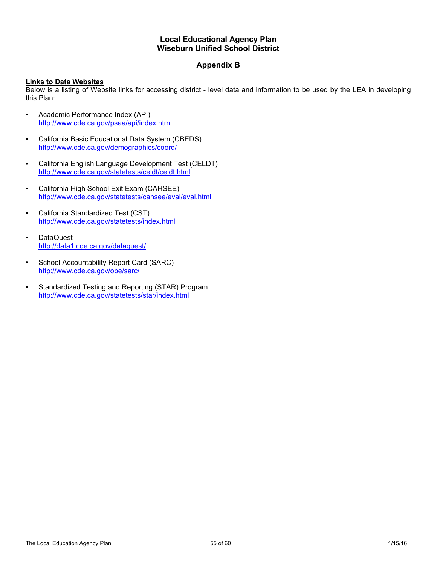### **Local Educational Agency Plan Wiseburn Unified School District**

### **Appendix B**

### **Links to Data Websites**

Below is a listing of Website links for accessing district - level data and information to be used by the LEA in developing this Plan:

- Academic Performance Index (API) <http://www.cde.ca.gov/psaa/api/index.htm>
- California Basic Educational Data System (CBEDS) <http://www.cde.ca.gov/demographics/coord/>
- California English Language Development Test (CELDT) <http://www.cde.ca.gov/statetests/celdt/celdt.html>
- California High School Exit Exam (CAHSEE) <http://www.cde.ca.gov/statetests/cahsee/eval/eval.html>
- California Standardized Test (CST) <http://www.cde.ca.gov/statetests/index.html>
- DataQuest <http://data1.cde.ca.gov/dataquest/>
- School Accountability Report Card (SARC) <http://www.cde.ca.gov/ope/sarc/>
- Standardized Testing and Reporting (STAR) Program <http://www.cde.ca.gov/statetests/star/index.html>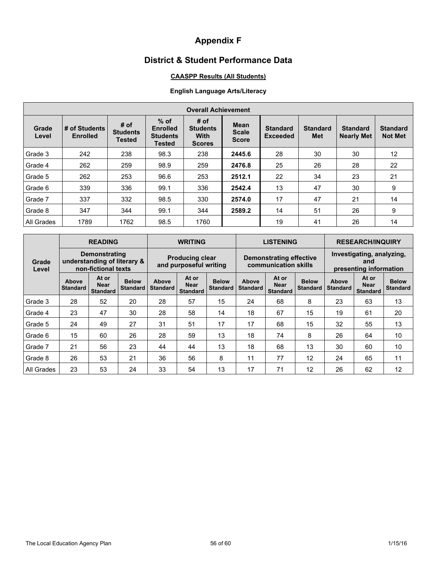# **Appendix F**

## **District & Student Performance Data**

### **CAASPP Results (All Students)**

### **English Language Arts/Literacy**

| <b>Overall Achievement</b> |                                  |                                          |                                                               |                                                         |                                             |                                    |                               |                                      |                                   |
|----------------------------|----------------------------------|------------------------------------------|---------------------------------------------------------------|---------------------------------------------------------|---------------------------------------------|------------------------------------|-------------------------------|--------------------------------------|-----------------------------------|
| Grade<br>Level             | # of Students<br><b>Enrolled</b> | # of<br><b>Students</b><br><b>Tested</b> | $%$ of<br><b>Enrolled</b><br><b>Students</b><br><b>Tested</b> | # of<br><b>Students</b><br><b>With</b><br><b>Scores</b> | <b>Mean</b><br><b>Scale</b><br><b>Score</b> | <b>Standard</b><br><b>Exceeded</b> | <b>Standard</b><br><b>Met</b> | <b>Standard</b><br><b>Nearly Met</b> | <b>Standard</b><br><b>Not Met</b> |
| Grade 3                    | 242                              | 238                                      | 98.3                                                          | 238                                                     | 2445.6                                      | 28                                 | 30                            | 30                                   | 12                                |
| Grade 4                    | 262                              | 259                                      | 98.9                                                          | 259                                                     | 2476.8                                      | 25                                 | 26                            | 28                                   | 22                                |
| Grade 5                    | 262                              | 253                                      | 96.6                                                          | 253                                                     | 2512.1                                      | 22                                 | 34                            | 23                                   | 21                                |
| Grade 6                    | 339                              | 336                                      | 99.1                                                          | 336                                                     | 2542.4                                      | 13                                 | 47                            | 30                                   | 9                                 |
| Grade 7                    | 337                              | 332                                      | 98.5                                                          | 330                                                     | 2574.0                                      | 17                                 | 47                            | 21                                   | 14                                |
| Grade 8                    | 347                              | 344                                      | 99.1                                                          | 344                                                     | 2589.2                                      | 14                                 | 51                            | 26                                   | 9                                 |
| All Grades                 | 1789                             | 1762                                     | 98.5                                                          | 1760                                                    |                                             | 19                                 | 41                            | 26                                   | 14                                |

|                                                                                              |                                 | <b>READING</b>                                   |                                 |                          | <b>WRITING</b>                                  |                                 |                          | <b>LISTENING</b>                                           |                                 |                          | <b>RESEARCH/INQUIRY</b>                 |                                 |  |
|----------------------------------------------------------------------------------------------|---------------------------------|--------------------------------------------------|---------------------------------|--------------------------|-------------------------------------------------|---------------------------------|--------------------------|------------------------------------------------------------|---------------------------------|--------------------------|-----------------------------------------|---------------------------------|--|
| <b>Demonstrating</b><br>understanding of literary &<br>Grade<br>non-fictional texts<br>Level |                                 | <b>Producing clear</b><br>and purposeful writing |                                 |                          | Demonstrating effective<br>communication skills |                                 |                          | Investigating, analyzing,<br>and<br>presenting information |                                 |                          |                                         |                                 |  |
|                                                                                              | <b>Above</b><br><b>Standard</b> | At or<br><b>Near</b><br><b>Standard</b>          | <b>Below</b><br><b>Standard</b> | Above<br><b>Standard</b> | At or<br><b>Near</b><br><b>Standard</b>         | <b>Below</b><br><b>Standard</b> | Above<br><b>Standard</b> | At or<br><b>Near</b><br><b>Standard</b>                    | <b>Below</b><br><b>Standard</b> | Above<br><b>Standard</b> | At or<br><b>Near</b><br><b>Standard</b> | <b>Below</b><br><b>Standard</b> |  |
| Grade 3                                                                                      | 28                              | 52                                               | 20                              | 28                       | 57                                              | 15                              | 24                       | 68                                                         | 8                               | 23                       | 63                                      | 13                              |  |
| Grade 4                                                                                      | 23                              | 47                                               | 30                              | 28                       | 58                                              | 14                              | 18                       | 67                                                         | 15                              | 19                       | 61                                      | 20                              |  |
| Grade 5                                                                                      | 24                              | 49                                               | 27                              | 31                       | 51                                              | 17                              | 17                       | 68                                                         | 15                              | 32                       | 55                                      | 13                              |  |
| Grade 6                                                                                      | 15                              | 60                                               | 26                              | 28                       | 59                                              | 13                              | 18                       | 74                                                         | 8                               | 26                       | 64                                      | 10                              |  |
| Grade 7                                                                                      | 21                              | 56                                               | 23                              | 44                       | 44                                              | 13                              | 18                       | 68                                                         | 13                              | 30                       | 60                                      | 10                              |  |
| Grade 8                                                                                      | 26                              | 53                                               | 21                              | 36                       | 56                                              | 8                               | 11                       | 77                                                         | 12                              | 24                       | 65                                      | 11                              |  |
| All Grades                                                                                   | 23                              | 53                                               | 24                              | 33                       | 54                                              | 13                              | 17                       | 71                                                         | 12                              | 26                       | 62                                      | 12                              |  |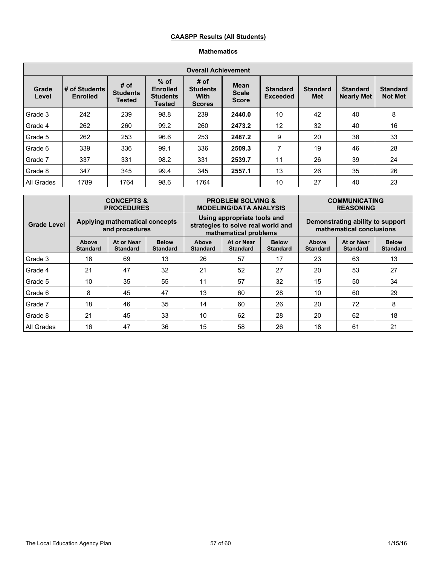### **CAASPP Results (All Students)**

### **Mathematics**

| <b>Overall Achievement</b> |                                  |                                          |                                                               |                                                         |                                             |                                    |                        |                                      |                                   |
|----------------------------|----------------------------------|------------------------------------------|---------------------------------------------------------------|---------------------------------------------------------|---------------------------------------------|------------------------------------|------------------------|--------------------------------------|-----------------------------------|
| Grade<br>Level             | # of Students<br><b>Enrolled</b> | # of<br><b>Students</b><br><b>Tested</b> | $%$ of<br><b>Enrolled</b><br><b>Students</b><br><b>Tested</b> | # of<br><b>Students</b><br><b>With</b><br><b>Scores</b> | <b>Mean</b><br><b>Scale</b><br><b>Score</b> | <b>Standard</b><br><b>Exceeded</b> | <b>Standard</b><br>Met | <b>Standard</b><br><b>Nearly Met</b> | <b>Standard</b><br><b>Not Met</b> |
| Grade 3                    | 242                              | 239                                      | 98.8                                                          | 239                                                     | 2440.0                                      | 10                                 | 42                     | 40                                   | 8                                 |
| Grade 4                    | 262                              | 260                                      | 99.2                                                          | 260                                                     | 2473.2                                      | 12                                 | 32                     | 40                                   | 16                                |
| Grade 5                    | 262                              | 253                                      | 96.6                                                          | 253                                                     | 2487.2                                      | 9                                  | 20                     | 38                                   | 33                                |
| Grade 6                    | 339                              | 336                                      | 99.1                                                          | 336                                                     | 2509.3                                      | 7                                  | 19                     | 46                                   | 28                                |
| Grade 7                    | 337                              | 331                                      | 98.2                                                          | 331                                                     | 2539.7                                      | 11                                 | 26                     | 39                                   | 24                                |
| Grade 8                    | 347                              | 345                                      | 99.4                                                          | 345                                                     | 2557.1                                      | 13                                 | 26                     | 35                                   | 26                                |
| All Grades                 | 1789                             | 1764                                     | 98.6                                                          | 1764                                                    |                                             | 10                                 | 27                     | 40                                   | 23                                |

|                    | <b>CONCEPTS &amp;</b><br><b>PROCEDURES</b><br>Applying mathematical concepts<br>and procedures |                               |                                 |                                                                                            | <b>PROBLEM SOLVING &amp;</b><br><b>MODELING/DATA ANALYSIS</b>    |    | <b>COMMUNICATING</b><br><b>REASONING</b>                     |                               |                                 |
|--------------------|------------------------------------------------------------------------------------------------|-------------------------------|---------------------------------|--------------------------------------------------------------------------------------------|------------------------------------------------------------------|----|--------------------------------------------------------------|-------------------------------|---------------------------------|
| <b>Grade Level</b> |                                                                                                |                               |                                 | Using appropriate tools and<br>strategies to solve real world and<br>mathematical problems |                                                                  |    | Demonstrating ability to support<br>mathematical conclusions |                               |                                 |
|                    | Above<br><b>Standard</b>                                                                       | At or Near<br><b>Standard</b> | <b>Below</b><br><b>Standard</b> | Above<br><b>Standard</b>                                                                   | At or Near<br><b>Below</b><br><b>Standard</b><br><b>Standard</b> |    | Above<br><b>Standard</b>                                     | At or Near<br><b>Standard</b> | <b>Below</b><br><b>Standard</b> |
| Grade 3            | 18                                                                                             | 69                            | 13                              | 26                                                                                         | 57                                                               | 17 | 23                                                           | 63                            | 13                              |
| Grade 4            | 21                                                                                             | 47                            | 32                              | 21                                                                                         | 52                                                               | 27 | 20                                                           | 53                            | 27                              |
| Grade 5            | 10                                                                                             | 35                            | 55                              | 11                                                                                         | 57                                                               | 32 | 15                                                           | 50                            | 34                              |
| Grade 6            | 8                                                                                              | 45                            | 47                              | 13                                                                                         | 60                                                               | 28 | 10                                                           | 60                            | 29                              |
| Grade 7            | 18                                                                                             | 46                            | 35                              | 14                                                                                         | 60                                                               | 26 | 20                                                           | 72                            | 8                               |
| Grade 8            | 21                                                                                             | 45                            | 33                              | 10                                                                                         | 62                                                               | 28 | 20                                                           | 62                            | 18                              |
| All Grades         | 16                                                                                             | 47                            | 36                              | 15                                                                                         | 58                                                               | 26 | 18                                                           | 61                            | 21                              |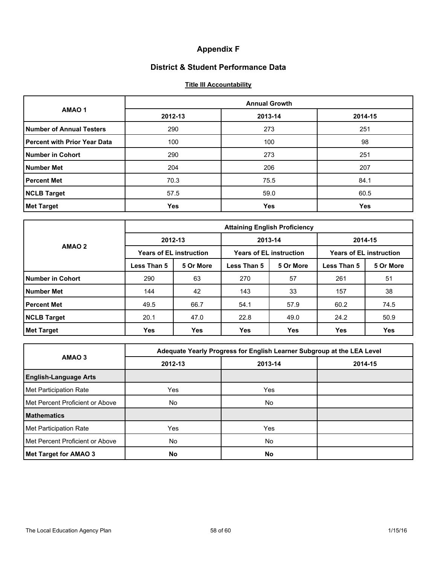## **Appendix F**

### **District & Student Performance Data**

### **Title III Accountability**

|                                     | <b>Annual Growth</b> |         |         |  |  |  |  |
|-------------------------------------|----------------------|---------|---------|--|--|--|--|
| AMAO <sub>1</sub>                   | 2012-13              | 2013-14 | 2014-15 |  |  |  |  |
| <b>Number of Annual Testers</b>     | 290                  | 273     | 251     |  |  |  |  |
| <b>Percent with Prior Year Data</b> | 100                  | 100     | 98      |  |  |  |  |
| Number in Cohort                    | 290                  | 273     | 251     |  |  |  |  |
| <b>Number Met</b>                   | 204                  | 206     | 207     |  |  |  |  |
| <b>Percent Met</b>                  | 70.3                 | 75.5    | 84.1    |  |  |  |  |
| <b>NCLB Target</b>                  | 57.5                 | 59.0    | 60.5    |  |  |  |  |
| <b>Met Target</b>                   | <b>Yes</b>           | Yes     | Yes     |  |  |  |  |

|                    | <b>Attaining English Proficiency</b> |                                |             |                                |                                |            |  |  |
|--------------------|--------------------------------------|--------------------------------|-------------|--------------------------------|--------------------------------|------------|--|--|
|                    |                                      | 2012-13                        |             | 2013-14                        | 2014-15                        |            |  |  |
| AMAO 2             |                                      | <b>Years of EL instruction</b> |             | <b>Years of EL instruction</b> | <b>Years of EL instruction</b> |            |  |  |
|                    | Less Than 5                          | 5 Or More                      | Less Than 5 | 5 Or More                      | Less Than 5                    | 5 Or More  |  |  |
| Number in Cohort   | 290                                  | 63                             | 270         | 57                             | 261                            | 51         |  |  |
| Number Met         | 144                                  | 42                             | 143         | 33                             | 157                            | 38         |  |  |
| <b>Percent Met</b> | 49.5                                 | 66.7                           | 54.1        | 57.9                           | 60.2                           | 74.5       |  |  |
| <b>NCLB Target</b> | 20.1                                 | 47.0                           | 22.8        | 49.0                           | 24.2                           | 50.9       |  |  |
| <b>Met Target</b>  | <b>Yes</b>                           | <b>Yes</b>                     | <b>Yes</b>  | <b>Yes</b>                     | Yes                            | <b>Yes</b> |  |  |

|                                 | Adequate Yearly Progress for English Learner Subgroup at the LEA Level |           |         |  |  |  |  |
|---------------------------------|------------------------------------------------------------------------|-----------|---------|--|--|--|--|
| AMAO 3                          | 2012-13                                                                | 2013-14   | 2014-15 |  |  |  |  |
| <b>English-Language Arts</b>    |                                                                        |           |         |  |  |  |  |
| Met Participation Rate          | Yes                                                                    | Yes.      |         |  |  |  |  |
| Met Percent Proficient or Above | No.                                                                    | No        |         |  |  |  |  |
| <b>Mathematics</b>              |                                                                        |           |         |  |  |  |  |
| Met Participation Rate          | Yes                                                                    | Yes       |         |  |  |  |  |
| Met Percent Proficient or Above | No.                                                                    | No.       |         |  |  |  |  |
| Met Target for AMAO 3           | <b>No</b>                                                              | <b>No</b> |         |  |  |  |  |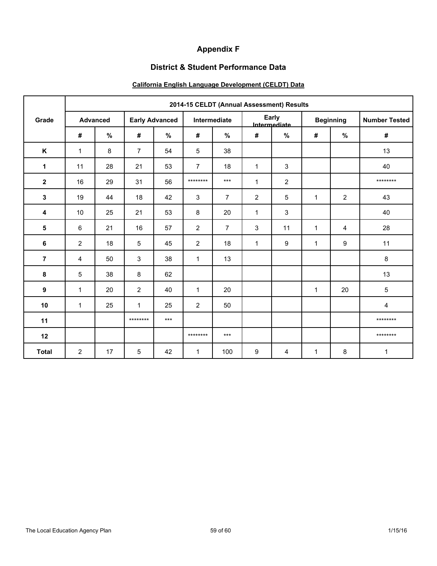## **Appendix F**

### **District & Student Performance Data**

## **California English Language Development (CELDT) Data**

|                | 2014-15 CELDT (Annual Assessment) Results |      |                       |       |                |                |                       |                  |                  |                |                      |
|----------------|-------------------------------------------|------|-----------------------|-------|----------------|----------------|-----------------------|------------------|------------------|----------------|----------------------|
| Grade          | <b>Advanced</b>                           |      | <b>Early Advanced</b> |       | Intermediate   |                | Early<br>Intermediate |                  | <b>Beginning</b> |                | <b>Number Tested</b> |
|                | #                                         | $\%$ | #                     | %     | $\pmb{\#}$     | %              | #                     | $\%$             | #                | $\%$           | $\#$                 |
| K              | $\mathbf{1}$                              | 8    | $\overline{7}$        | 54    | 5              | 38             |                       |                  |                  |                | 13                   |
| $\mathbf{1}$   | 11                                        | 28   | 21                    | 53    | $\overline{7}$ | 18             | $\mathbf{1}$          | 3                |                  |                | 40                   |
| $\overline{2}$ | 16                                        | 29   | 31                    | 56    | ********       | $***$          | $\mathbf{1}$          | 2                |                  |                | ********             |
| 3              | 19                                        | 44   | 18                    | 42    | 3              | $\overline{7}$ | $\overline{2}$        | 5                | $\mathbf{1}$     | $\overline{2}$ | 43                   |
| 4              | 10                                        | 25   | 21                    | 53    | 8              | 20             | $\mathbf{1}$          | 3                |                  |                | 40                   |
| 5              | 6                                         | 21   | 16                    | 57    | $\overline{2}$ | $\overline{7}$ | 3                     | 11               | 1                | 4              | 28                   |
| 6              | $\overline{2}$                            | 18   | 5                     | 45    | $\overline{2}$ | 18             | $\mathbf{1}$          | $\boldsymbol{9}$ | 1                | 9              | 11                   |
| 7              | $\overline{4}$                            | 50   | $\mathfrak{S}$        | 38    | $\mathbf{1}$   | 13             |                       |                  |                  |                | 8                    |
| 8              | 5                                         | 38   | 8                     | 62    |                |                |                       |                  |                  |                | 13                   |
| 9              | $\mathbf{1}$                              | 20   | $\overline{2}$        | 40    | $\mathbf{1}$   | 20             |                       |                  | 1                | 20             | 5                    |
| 10             | $\mathbf{1}$                              | 25   | $\mathbf{1}$          | 25    | $\overline{2}$ | 50             |                       |                  |                  |                | 4                    |
| 11             |                                           |      | ********              | $***$ |                |                |                       |                  |                  |                | ********             |
| 12             |                                           |      |                       |       | ********       | $***$          |                       |                  |                  |                | ********             |
| <b>Total</b>   | $\overline{2}$                            | 17   | 5                     | 42    | $\mathbf{1}$   | 100            | 9                     | 4                | $\mathbf{1}$     | 8              | $\mathbf{1}$         |